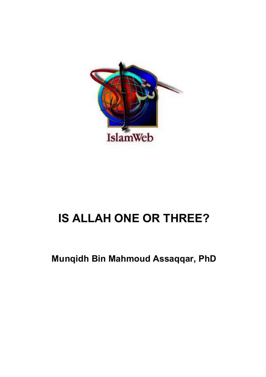

# **IS ALLAH ONE OR THREE?**

**Munqidh Bin Mahmoud Assaqqar, PhD**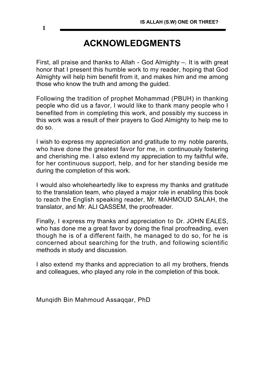# **ACKNOWLEDGMENTS**

First, all praise and thanks to Allah - God Almighty –. It is with great honor that I present this humble work to my reader, hoping that God Almighty will help him benefit from it, and makes him and me among those who know the truth and among the guided.

Following the tradition of prophet Mohammad (PBUH) in thanking people who did us a favor, I would like to thank many people who I benefited from in completing this work, and possibly my success in this work was a result of their prayers to God Almighty to help me to do so.

I wish to express my appreciation and gratitude to my noble parents, who have done the greatest favor for me, in continuously fostering and cherishing me. I also extend my appreciation to my faithful wife, for her continuous support, help, and for her standing beside me during the completion of this work.

I would also wholeheartedly like to express my thanks and gratitude to the translation team, who played a major role in enabling this book to reach the English speaking reader, Mr. MAHMOUD SALAH, the translator, and Mr. ALI QASSEM, the proofreader.

Finally, I express my thanks and appreciation to Dr. JOHN EALES, who has done me a great favor by doing the final proofreading, even though he is of a different faith, he managed to do so, for he is concerned about searching for the truth, and following scientific methods in study and discussion.

I also extend my thanks and appreciation to all my brothers, friends and colleagues, who played any role in the completion of this book.

Munqidh Bin Mahmoud Assaqqar, PhD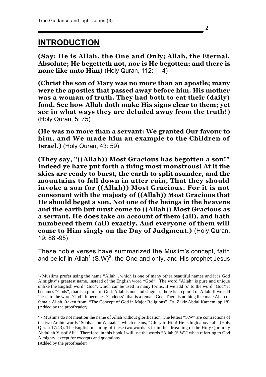### **INTRODUCTION**

**(Say: He is Allah, the One and Only; Allah, the Eternal, Absolute; He begetteth not, nor is He begotten; and there is none like unto Him)** (Holy Quran, 112: 1- 4)

**(Christ the son of Mary was no more than an apostle; many were the apostles that passed away before him. His mother was a woman of truth. They had both to eat their (daily) food. See how Allah doth make His signs clear to them; yet see in what ways they are deluded away from the truth!)**  (Holy Quran, 5: 75)

**(He was no more than a servant: We granted Our favour to him, and We made him an example to the Children of Israel.)** (Holy Quran, 43: 59)

**(They say, "((Allah)) Most Gracious has begotten a son!" Indeed ye have put forth a thing most monstrous! At it the skies are ready to burst, the earth to split asunder, and the mountains to fall down in utter ruin, That they should invoke a son for ((Allah)) Most Gracious. For it is not consonant with the majesty of ((Allah)) Most Gracious that He should beget a son. Not one of the beings in the heavens and the earth but must come to ((Allah)) Most Gracious as a servant. He does take an account of them (all), and hath numbered them (all) exactly. And everyone of them will come to Him singly on the Day of Judgment.)** (Holy Quran, 19: 88 -95)

These noble verses have summarized the Muslim's concept, faith and belief in Allah<sup>1</sup> (S.W)<sup>2</sup>, the One and only, and His prophet Jesus

-

(Added by the proofreader)

<sup>&</sup>lt;sup>1</sup>- Muslims prefer using the name "Allah", which is one of many other beautiful names and it is God Almighty's greatest name, instead of the English word "God". The word "Allah" is pure and unique unlike the English word "God", which can be used in many forms. If we add 's' to the word "God" it becomes "Gods", that is a plural of God. Allah is one and singular, there is no plural of Allah. If we add 'dess' to the word 'God', it becomes 'Goddess', that is a female God. There is nothing like male Allah or female Allah. (taken from: "The Concept of God in Major Religions", Dr. Zakir Abdul Kareem, pp 18) (Added by the proofreader)

 $2$  - Muslims do not mention the name of Allah without glorification. The letters "S.W" are contractions of the two Arabic words "Sobhanahu Wataala", which means, "Glory to Him! He is high above all" (Holy Quran 17:43). The English meaning of these two words is from the "Meaning of the Holy Quran by Abdullah Yusof Ali". Therefore, in this book I will use the words "Allah (S.W)" when referring to God Almighty, except for excerpts and quotations.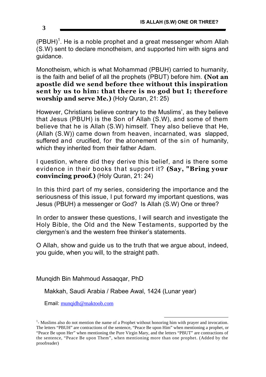$(PBUH)<sup>1</sup>$ . He is a noble prophet and a great messenger whom Allah (S.W) sent to declare monotheism, and supported him with signs and guidance.

Monotheism, which is what Mohammad (PBUH) carried to humanity, is the faith and belief of all the prophets (PBUT) before him. **(Not an apostle did we send before thee without this inspiration sent by us to him: that there is no god but I; therefore worship and serve Me.)** (Holy Quran, 21: 25)

However, Christians believe contrary to the Muslims', as they believe that Jesus (PBUH) is the Son of Allah (S.W), and some of them believe that he is Allah (S.W) himself. They also believe that He, (Allah (S.W)) came down from heaven, incarnated, was slapped, suffered and crucified, for the atonement of the sin of humanity, which they inherited from their father Adam.

I question, where did they derive this belief, and is there some evidence in their books that support it? **(Say, "Bring your convincing proof.)** (Holy Quran, 21: 24)

In this third part of my series, considering the importance and the seriousness of this issue, I put forward my important questions, was Jesus (PBUH) a messenger or God? Is Allah (S.W) One or three?

In order to answer these questions, I will search and investigate the Holy Bible, the Old and the New Testaments, supported by the clergymen's and the western free thinker's statements.

O Allah, show and guide us to the truth that we argue about, indeed, you guide, when you will, to the straight path.

Munqidh Bin Mahmoud Assaqqar, PhD

Makkah, Saudi Arabia / Rabee Awal, 1424 (Lunar year)

Email: munqidh@maktoob.com

 $\overline{a}$ 

<sup>&</sup>lt;sup>1</sup>- Muslims also do not mention the name of a Prophet without honoring him with prayer and invocation. The letters "PBUH" are contractions of the sentence, "Peace Be upon Him" when mentioning a prophet, or "Peace Be upon Her" when mentioning the Pure Virgin Mary, and the letters "PBUT" are contractions of the sentence, "Peace Be upon Them", when mentioning more than one prophet. (Added by the proofreader)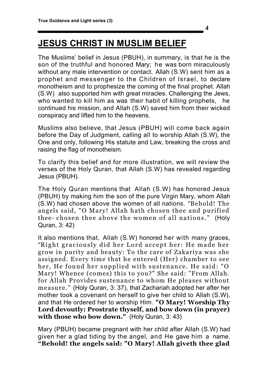# **JESUS CHRIST IN MUSLIM BELIEF**

The Muslims' belief in Jesus (PBUH), in summary, is that he is the son of the truthful and honored Mary; he was born miraculously without any male intervention or contact. Allah (S.W) sent him as a prophet and messenger to the Children of Israel, to declare monotheism and to prophesize the coming of the final prophet. Allah (S.W) also supported him with great miracles. Challenging the Jews, who wanted to kill him as was their habit of killing prophets. he continued his mission, and Allah (S.W) saved him from their wicked conspiracy and lifted him to the heavens.

**4**

Muslims also believe, that Jesus (PBUH) will come back again before the Day of Judgment, calling all to worship Allah (S.W), the One and only, following His statute and Law, breaking the cross and raising the flag of monotheism.

To clarify this belief and for more illustration, we will review the verses of the Holy Quran, that Allah (S.W) has revealed regarding Jesus (PBUH).

The Holy Quran mentions that Allah (S.W) has honored Jesus (PBUH) by making him the son of the pure Virgin Mary, whom Allah (S.W) had chosen above the women of all nations. "Behold! The angels said, "O Mary! Allah hath chosen thee and purified thee- chosen thee above the women of all nations. " (Holy Quran, 3: 42)

It also mentions that, Allah (S.W) honored her with many graces, "Right graciously did her Lord accept her: He made her grow in purity and beauty: To the care of Zakariya was she assigned. Every time that he entered (Her) chamber to see her, He found her supplied with sustenance. He said: "O Mary! Whence (comes) this to you?" She said: "From Allah. for Allah Provides sustenance to whom He pleases without measure." (Holy Quran, 3: 37), that Zachariah adopted her after her mother took a covenant on herself to give her child to Allah (S.W), and that He ordered her to worship Him. **"O Mary! Worship Thy Lord devoutly: Prostrate thyself, and bow down (in prayer) with those who bow down."** (Holy Quran, 3: 43)

Mary (PBUH) became pregnant with her child after Allah (S.W) had given her a glad tiding by the angel, and He gave him a name. **"Behold! the angels said: "O Mary! Allah giveth thee glad**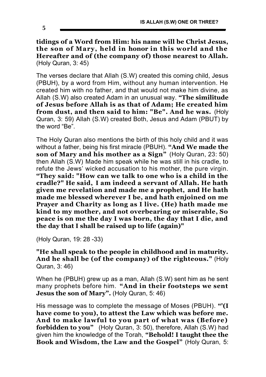**tidings of a Word from Him: his name will be Christ Jesus, the son of Mary, held in honor in this world and the Hereafter and of (the company of) those nearest to Allah.** (Holy Quran, 3: 45)

The verses declare that Allah (S.W) created this coming child, Jesus (PBUH), by a word from Him, without any human intervention. He created him with no father, and that would not make him divine, as Allah (S.W) also created Adam in an unusual way. **"The similitude of Jesus before Allah is as that of Adam; He created him from dust, and then said to him: "Be". And he was.** (Holy Quran, 3: 59) Allah (S.W) created Both, Jesus and Adam (PBUT) by the word "Be".

The Holy Quran also mentions the birth of this holy child and it was without a father, being his first miracle (PBUH). **"And We made the son of Mary and his mother as a Sign"** (Holy Quran, 23: 50) then Allah (S.W) Made him speak while he was still in his cradle, to refute the Jews' wicked accusation to his mother, the pure virgin. **"They said: "How can we talk to one who is a child in the cradle?" He said, I am indeed a servant of Allah. He hath given me revelation and made me a prophet, and He hath made me blessed wherever I be, and hath enjoined on me Prayer and Charity as long as I live. (He) hath made me kind to my mother, and not overbearing or miserable, So peace is on me the day I was born, the day that I die, and the day that I shall be raised up to life (again)"**

(Holy Quran, 19: 28 -33)

**"He shall speak to the people in childhood and in maturity. And he shall be (of the company) of the righteous."** (Holy Quran, 3: 46)

When he (PBUH) grew up as a man, Allah (S.W) sent him as he sent many prophets before him. **"And in their footsteps we sent Jesus the son of Mary".** (Holy Quran, 5: 46)

His message was to complete the message of Moses (PBUH). **"'(I have come to you), to attest the Law which was before me. And to make lawful to you part of what was (Before) forbidden to you"** (Holy Quran, 3: 50), therefore, Allah (S.W) had given him the knowledge of the Torah, **"Behold! I taught thee the Book and Wisdom, the Law and the Gospel"** (Holy Quran, 5: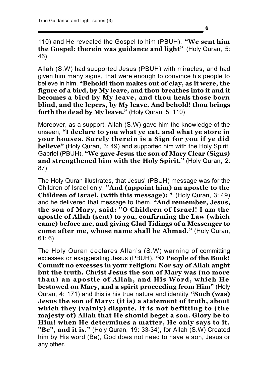110) and He revealed the Gospel to him (PBUH). **"We sent him the Gospel: therein was guidance and light"** (Holy Quran, 5: 46)

Allah (S.W) had supported Jesus (PBUH) with miracles, and had given him many signs, that were enough to convince his people to believe in him. **"Behold! thou makes out of clay, as it were, the figure of a bird, by My leave, and thou breathes into it and it becomes a bird by My leave, and thou heals those born blind, and the lepers, by My leave. And behold! thou brings forth the dead by My leave."** (Holy Quran, 5: 110)

Moreover, as a support, Allah (S.W) gave him the knowledge of the unseen, **"I declare to you what ye eat, and what ye store in your houses. Surely therein is a Sign for you if ye did believe"** (Holy Quran, 3: 49) and supported him with the Holy Spirit, Gabriel (PBUH). **"We gave Jesus the son of Mary Clear (Signs) and strengthened him with the Holy Spirit."** (Holy Quran, 2: 87)

The Holy Quran illustrates, that Jesus' (PBUH) message was for the Children of Israel only, **"And (appoint him) an apostle to the Children of Israel, (with this message): "** (Holy Quran, 3: 49) and he delivered that message to them. **"And remember, Jesus, the son of Mary, said: "O Children of Israel! I am the apostle of Allah (sent) to you, confirming the Law (which came) before me, and giving Glad Tidings of a Messenger to come after me, whose name shall be Ahmad."** (Holy Quran, 61: 6)

The Holy Quran declares Allah's (S.W) warning of committing excesses or exaggerating Jesus (PBUH). **"O People of the Book! Commit no excesses in your religion: Nor say of Allah aught but the truth. Christ Jesus the son of Mary was (no more than) an apostle of Allah, and His Word, which He bestowed on Mary, and a spirit proceeding from Him"** (Holy Quran, 4: 171) and this is his true nature and identity **"Such (was) Jesus the son of Mary: (it is) a statement of truth, about which they (vainly) dispute. It is not befitting to (the majesty of) Allah that He should beget a son. Glory be to Him! when He determines a matter, He only says to it, "Be", and it is."** (Holy Quran, 19: 33-34), for Allah (S.W) Created him by His word (Be), God does not need to have a son, Jesus or any other.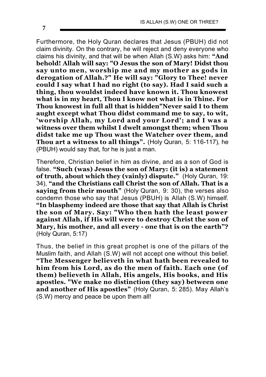Furthermore, the Holy Quran declares that Jesus (PBUH) did not claim divinity. On the contrary, he will reject and deny everyone who claims his divinity, and that will be when Allah (S.W) asks him: **"And behold! Allah will say: "O Jesus the son of Mary! Didst thou say unto men, worship me and my mother as gods in derogation of Allah.?" He will say: "Glory to Thee! never could I say what I had no right (to say). Had I said such a thing, thou wouldst indeed have known it. Thou knowest what is in my heart, Thou I know not what is in Thine. For Thou knowest in full all that is hidden"Never said I to them aught except what Thou didst command me to say, to wit, 'worship Allah, my Lord and your Lord'; and I was a witness over them whilst I dwelt amongst them; when Thou didst take me up Thou wast the Watcher over them, and Thou art a witness to all things".** (Holy Quran, 5: 116-117), he (PBUH) would say that, for he is just a man.

Therefore, Christian belief in him as divine, and as a son of God is false. **"Such (was) Jesus the son of Mary: (it is) a statement of truth, about which they (vainly) dispute."** (Holy Quran, 19: 34), **"and the Christians call Christ the son of Allah. That is a saying from their mouth"** (Holy Quran, 9: 30), the verses also condemn those who say that Jesus (PBUH) is Allah (S.W) himself. **"In blasphemy indeed are those that say that Allah is Christ the son of Mary. Say: "Who then hath the least power against Allah, if His will were to destroy Christ the son of Mary, his mother, and all every - one that is on the earth"?** (Holy Quran, 5:17)

Thus, the belief in this great prophet is one of the pillars of the Muslim faith, and Allah (S.W) will not accept one without this belief. **"The Messenger believeth in what hath been revealed to him from his Lord, as do the men of faith. Each one (of them) believeth in Allah, His angels, His books, and His apostles. "We make no distinction (they say) between one and another of His apostles"** (Holy Quran, 5: 285). May Allah's (S.W) mercy and peace be upon them all!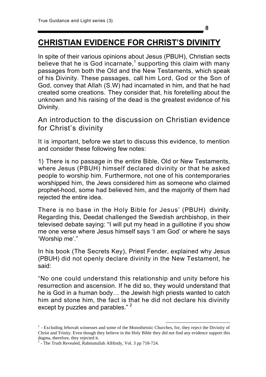# **CHRISTIAN EVIDENCE FOR CHRIST'S DIVINITY**

**8**

In spite of their various opinions about Jesus (PBUH), Christian sects believe that he is God incarnate,<sup>1</sup> supporting this claim with many passages from both the Old and the New Testaments, which speak of his Divinity. These passages, call him Lord, God or the Son of God, convey that Allah (S.W) had incarnated in him, and that he had created some creations. They consider that, his foretelling about the unknown and his raising of the dead is the greatest evidence of his Divinity.

### An introduction to the discussion on Christian evidence for Christ's divinity

It is important, before we start to discuss this evidence, to mention and consider these following few notes:

1) There is no passage in the entire Bible, Old or New Testaments, where Jesus (PBUH) himself declared divinity or that he asked people to worship him. Furthermore, not one of his contemporaries worshipped him, the Jews considered him as someone who claimed prophet-hood, some had believed him, and the majority of them had rejected the entire idea.

There is no base in the Holy Bible for Jesus' (PBUH) divinity. Regarding this, Deedat challenged the Swedish archbishop, in their televised debate saying: "I will put my head in a guillotine if you show me one verse where Jesus himself says 'I am God' or where he says 'Worship me'."

In his book (The Secrets Key), Priest Fender, explained why Jesus (PBUH) did not openly declare divinity in the New Testament, he said:

"No one could understand this relationship and unity before his resurrection and ascension. If he did so, they would understand that he is God in a human body… the Jewish high priests wanted to catch him and stone him, the fact is that he did not declare his divinity except by puzzles and parables."<sup>2</sup>

<u>.</u>

<sup>&</sup>lt;sup>1</sup> - Excluding Jehovah witnesses and some of the Monotheistic Churches, for, they reject the Divinity of Christ and Trinity. Even though they believe in the Holy Bible they did not find any evidence support this dogma, therefore, they rejected it.

<sup>&</sup>lt;sup>2</sup> - The Truth Revealed, Rahmatullah AlHindy, Vol. 3 pp 718-724.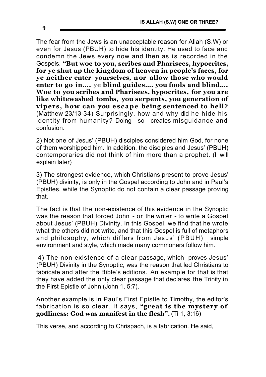The fear from the Jews is an unacceptable reason for Allah (S.W) or even for Jesus (PBUH) to hide his identity. He used to face and condemn the Jews every now and then as is recorded in the Gospels. **"But woe to you, scribes and Pharisees, hypocrites, for ye shut up the kingdom of heaven in people's faces, for ye neither enter yourselves, nor allow those who would enter to go in…. ye blind guides…. you fools and blind…. Woe to you scribes and Pharisees, hypocrites, for you are like whitewashed tombs, you serpents, you generation of vipers, how can you escape being sentenced to hell?** (Matthew 23/13-34) Surprisingly, how and why did he hide his identity from humanity? Doing so creates misguidance and confusion.

2) Not one of Jesus' (PBUH) disciples considered him God, for none of them worshipped him. In addition, the disciples and Jesus' (PBUH) contemporaries did not think of him more than a prophet. (I will explain later)

3) The strongest evidence, which Christians present to prove Jesus' (PBUH) divinity, is only in the Gospel according to John and in Paul's Epistles, while the Synoptic do not contain a clear passage proving that.

The fact is that the non-existence of this evidence in the Synoptic was the reason that forced John - or the writer - to write a Gospel about Jesus' (PBUH) Divinity. In this Gospel, we find that he wrote what the others did not write, and that this Gospel is full of metaphors and philosophy, which differs from Jesus' (PBUH) simple environment and style, which made many commoners follow him.

4) The non-existence of a clear passage, which proves Jesus' (PBUH) Divinity in the Synoptic, was the reason that led Christians to fabricate and alter the Bible's editions. An example for that is that they have added the only clear passage that declares the Trinity in the First Epistle of John (John 1, 5:7).

Another example is in Paul's First Epistle to Timothy, the editor's fabrication is so clear. It says, **"great is the mystery of godliness: God was manifest in the flesh".** (Ti 1, 3:16)

This verse, and according to Chrispach, is a fabrication. He said,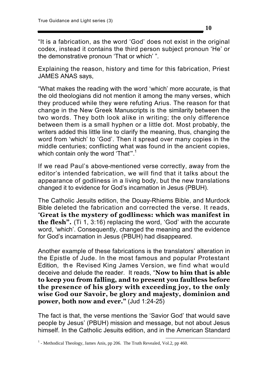"It is a fabrication, as the word 'God' does not exist in the original codex, instead it contains the third person subject pronoun 'He' or the demonstrative pronoun 'That or which' ".

Explaining the reason, history and time for this fabrication, Priest JAMES ANAS says,

"What makes the reading with the word 'which' more accurate, is that the old theologians did not mention it among the many verses, which they produced while they were refuting Arius. The reason for that change in the New Greek Manuscripts is the similarity between the two words. They both look alike in writing; the only difference between them is a small hyphen or a little dot. Most probably, the writers added this little line to clarify the meaning, thus, changing the word from 'which' to 'God'. Then it spread over many copies in the middle centuries; conflicting what was found in the ancient copies, which contain only the word 'That"<sup>1</sup>.

If we read Paul's above-mentioned verse correctly, away from the editor's intended fabrication, we will find that it talks about the appearance of godliness in a living body, but the new translations changed it to evidence for God's incarnation in Jesus (PBUH).

The Catholic Jesuits edition, the Douay-Rhiems Bible, and Murdock Bible deleted the fabrication and corrected the verse. It reads, "**Great is the mystery of godliness: which was manifest in the flesh".** (Ti 1, 3:16) replacing the word, 'God' with the accurate word, 'which'. Consequently, changed the meaning and the evidence for God's incarnation in Jesus (PBUH) had disappeared.

Another example of these fabrications is the translators' alteration in the Epistle of Jude. In the most famous and popular Protestant Edition, the Revised King James Version, we find what would deceive and delude the reader. It reads, "**Now to him that is able to keep you from falling, and to present you faultless before the presence of his glory with exceeding joy, to the only wise God our Savoir, be glory and majesty, dominion and power, both now and ever."** (Jud 1:24-25)

The fact is that, the verse mentions the 'Savior God' that would save people by Jesus' (PBUH) mission and message, but not about Jesus himself. In the Catholic Jesuits edition, and in the American Standard

<u>.</u>

<sup>&</sup>lt;sup>1</sup> - Methodical Theology, James Anis, pp 206. The Truth Revealed, Vol.2, pp 460.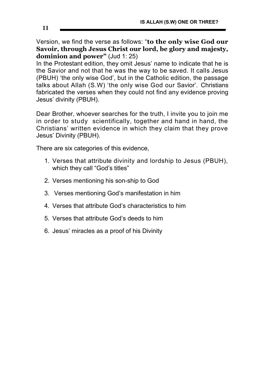Version, we find the verse as follows: "**to the only wise God our Savoir, through Jesus Christ our lord, be glory and majesty, dominion and power"** (Jud 1: 25)

In the Protestant edition, they omit Jesus' name to indicate that he is the Savior and not that he was the way to be saved. It calls Jesus (PBUH) 'the only wise God', but in the Catholic edition, the passage talks about Allah (S.W) 'the only wise God our Savior'. Christians fabricated the verses when they could not find any evidence proving Jesus' divinity (PBUH).

Dear Brother, whoever searches for the truth, I invite you to join me in order to study scientifically, together and hand in hand, the Christians' written evidence in which they claim that they prove Jesus' Divinity (PBUH).

There are six categories of this evidence,

- 1. Verses that attribute divinity and lordship to Jesus (PBUH), which they call "God's titles"
- 2. Verses mentioning his son-ship to God
- 3. Verses mentioning God's manifestation in him
- 4. Verses that attribute God's characteristics to him
- 5. Verses that attribute God's deeds to him
- 6. Jesus' miracles as a proof of his Divinity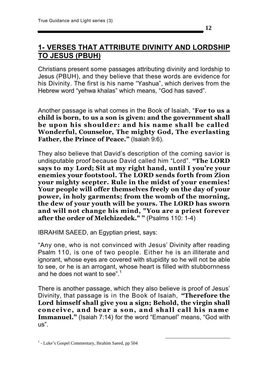## **1- VERSES THAT ATTRIBUTE DIVINITY AND LORDSHIP TO JESUS (PBUH)**

Christians present some passages attributing divinity and lordship to Jesus (PBUH), and they believe that these words are evidence for his Divinity. The first is his name "Yashua", which derives from the Hebrew word "yehwa khalas" which means, "God has saved".

Another passage is what comes in the Book of Isaiah, "**For to us a child is born, to us a son is given: and the government shall be upon his shoulder: and his name shall be called Wonderful, Counselor, The mighty God, The everlasting Father, the Prince of Peace."** (Isaiah 9:6).

They also believe that David's description of the coming savior is undisputable proof because David called him "Lord". **"The LORD says to my Lord; Sit at my right hand, until I you're your enemies your footstool. The LORD sends forth from Zion your mighty scepter. Rule in the midst of your enemies! Your people will offer themselves freely on the day of your power, in holy garments; from the womb of the morning, the dew of your youth will be yours. The LORD has sworn and will not change his mind, "You are a priest forever after the order of Melchizedek." "** (Psalms 110: 1-4)

IBRAHIM SAEED, an Egyptian priest, says:

"Any one, who is not convinced with Jesus' Divinity after reading Psalm 110, is one of two people. Either he is an illiterate and ignorant, whose eyes are covered with stupidity so he will not be able to see, or he is an arrogant, whose heart is filled with stubbornness and he does not want to see". $1$ 

There is another passage, which they also believe is proof of Jesus' Divinity, that passage is in the Book of Isaiah, **"Therefore the Lord himself shall give you a sign; Behold, the virgin shall conceive, and bear a son, and shall call his name Immanuel."** (Isaiah 7:14) for the word "Emanuel" means, "God with us".

<u>.</u>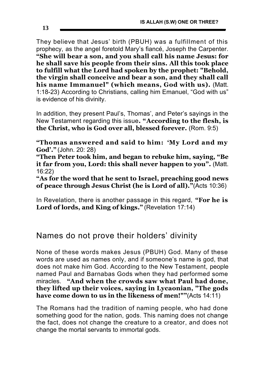They believe that Jesus' birth (PBUH) was a fulfillment of this prophecy, as the angel foretold Mary's fiancé, Joseph the Carpenter. **"She will bear a son, and you shall call his name Jesus: for he shall save his people from their sins. All this took place to fulfill what the Lord had spoken by the prophet: "Behold, the virgin shall conceive and bear a son, and they shall call his name Immanuel" (which means, God with us).** (Matt. 1:18-23) According to Christians, calling him Emanuel, "God with us" is evidence of his divinity.

In addition, they present Paul's, Thomas', and Peter's sayings in the New Testament regarding this issue**. "According to the flesh, is the Christ, who is God over all, blessed forever.** (Rom. 9:5)

**"Thomas answered and said to him: 'My Lord and my God'."** (John. 20: 28)

**"Then Peter took him, and began to rebuke him, saying, "Be**  it far from you, Lord: this shall never happen to you". (Matt. 16:22)

**"As for the word that he sent to Israel, preaching good news of peace through Jesus Christ (he is Lord of all)."**(Acts 10:36)

In Revelation, there is another passage in this regard, **"For he is Lord of lords, and King of kings."** (Revelation 17:14)

# Names do not prove their holders' divinity

None of these words makes Jesus (PBUH) God. Many of these words are used as names only, and if someone's name is god, that does not make him God. According to the New Testament, people named Paul and Barnabas Gods when they had performed some miracles. **"And when the crowds saw what Paul had done, they lifted up their voices, saying in Lycaonian, "The gods have come down to us in the likeness of men!""**(Acts 14:11)

The Romans had the tradition of naming people, who had done something good for the nation, gods. This naming does not change the fact, does not change the creature to a creator, and does not change the mortal servants to immortal gods.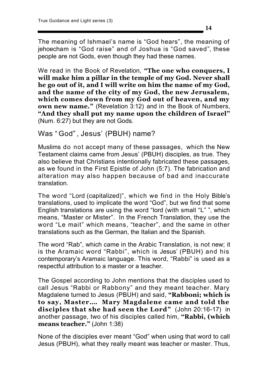The meaning of Ishmael's name is "God hears", the meaning of jehoecham is "God raise" and of Joshua is "God saved", these people are not Gods, even though they had these names.

We read in the Book of Revelation, **"The one who conquers, I will make him a pillar in the temple of my God. Never shall he go out of it, and I will write on him the name of my God, and the name of the city of my God, the new Jerusalem, which comes down from my God out of heaven, and my own new name."** (Revelation 3:12) and in the Book of Numbers, **"And they shall put my name upon the children of Israel"** (Num. 6:27) but they are not Gods.

Was " God" , Jesus' (PBUH) name?

Muslims do not accept many of these passages, which the New Testament claims came from Jesus' (PBUH) disciples, as true. They also believe that Christians intentionally fabricated these passages, as we found in the First Epistle of John (5:7). The fabrication and alteration may also happen because of bad and inaccurate translation.

The word "Lord (capitalized)", which we find in the Holy Bible's translations, used to implicate the word "God", but we find that some English translations are using the word "lord (with small "L" ", which means, "Master or Mister". In the French Translation, they use the word "Le mait" which means, "teacher", and the same in other translations such as the German, the Italian and the Spanish.

The word "Rab", which came in the Arabic Translation, is not new; it is the Aramaic word "Rabbi", which is Jesus' (PBUH) and his contemporary's Aramaic language. This word, "Rabbi" is used as a respectful attribution to a master or a teacher.

The Gospel according to John mentions that the disciples used to call Jesus "Rabbi or Rabbony" and they meant teacher. Mary Magdalene turned to Jesus (PBUH) and said, **"Rabboni; which is to say, Master…. Mary Magdalene came and told the disciples that she had seen the Lord"** (John 20:16-17) in another passage, two of his disciples called him, **"Rabbi, (which means teacher."** (John 1:38)

None of the disciples ever meant "God" when using that word to call Jesus (PBUH), what they really meant was teacher or master. Thus,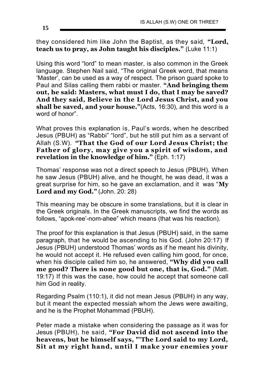they considered him like John the Baptist, as they said, **"Lord, teach us to pray, as John taught his disciples."** (Luke 11:1)

Using this word "lord" to mean master, is also common in the Greek language. Stephen Nail said, "The original Greek word, that means 'Master', can be used as a way of respect. The prison guard spoke to Paul and Silas calling them rabbi or master. **"And bringing them out, he said: Masters, what must I do, that I may be saved? And they said, Believe in the Lord Jesus Christ, and you shall be saved, and your house."**(Acts, 16:30), and this word is a word of honor".

What proves this explanation is, Paul's words, when he described Jesus (PBUH) as "Rabbi" "lord", but he still put him as a servant of Allah (S.W). **"That the God of our Lord Jesus Christ; the Father of glory, may give you a spirit of wisdom, and revelation in the knowledge of him."** (Eph. 1:17)

Thomas' response was not a direct speech to Jesus (PBUH). When he saw Jesus (PBUH) alive, and he thought, he was dead, it was a great surprise for him, so he gave an exclamation, and it was "**My Lord and my God."** (John. 20: 28)

This meaning may be obscure in some translations, but it is clear in the Greek originals. In the Greek manuscripts, we find the words as follows, "apok-ree'-nom-ahee" which means (that was his reaction).

The proof for this explanation is that Jesus (PBUH) said, in the same paragraph, that he would be ascending to his God. (John 20:17) If Jesus (PBUH) understood Thomas' words as if he meant his divinity, he would not accept it. He refused even calling him good, for once, when his disciple called him so, he answered, **"Why did you call me good? There is none good but one, that is, God."** (Matt. 19:17) If this was the case, how could he accept that someone call him God in reality.

Regarding Psalm (110:1), it did not mean Jesus (PBUH) in any way, but it meant the expected messiah whom the Jews were awaiting, and he is the Prophet Mohammad (PBUH).

Peter made a mistake when considering the passage as it was for Jesus (PBUH), he said, **"For David did not ascend into the heavens, but he himself says, "'The Lord said to my Lord, Sit at my right hand, until I make your enemies your**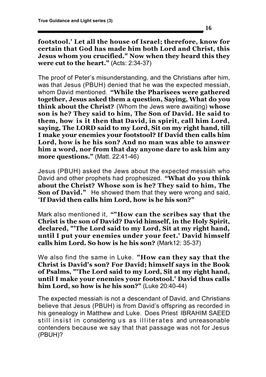**footstool.' Let all the house of Israel; therefore, know for certain that God has made him both Lord and Christ, this Jesus whom you crucified." Now when they heard this they were cut to the heart."** (Acts: 2:34-37)

The proof of Peter's misunderstanding, and the Christians after him, was that Jesus (PBUH) denied that he was the expected messiah, whom David mentioned. **"While the Pharisees were gathered together, Jesus asked them a question, Saying, What do you think about the Christ?** (Whom the Jews were awaiting) **whose son is he? They said to him, The Son of David. He said to them, how is it then that David, in spirit, call him Lord, saying, The LORD said to my Lord, Sit on my right hand, till I make your enemies your footstool? If David then calls him Lord, how is he his son? And no man was able to answer him a word, nor from that day anyone dare to ask him any more questions."** (Matt. 22:41-46)

Jesus (PBUH) asked the Jews about the expected messiah who David and other prophets had prophesized. **"What do you think about the Christ? Whose son is he? They said to him, The**  Son of David." He showed them that they were wrong and said, "**If David then calls him Lord, how is he his son?"** 

Mark also mentioned it, **""How can the scribes say that the Christ is the son of David? David himself, in the Holy Spirit, declared, "'The Lord said to my Lord, Sit at my right hand, until I put your enemies under your feet.' David himself calls him Lord. So how is he his son?** (Mark12: 35-37)

We also find the same in Luke. **"How can they say that the Christ is David's son? For David; himself says in the Book of Psalms, "'The Lord said to my Lord, Sit at my right hand, until I make your enemies your footstool.' David thus calls him Lord, so how is he his son?"** (Luke 20:40-44)

The expected messiah is not a descendant of David, and Christians believe that Jesus (PBUH) is from David's offspring as recorded in his genealogy in Matthew and Luke. Does Priest IBRAHIM SAEED still insist in considering us as illiterates and unreasonable contenders because we say that that passage was not for Jesus (PBUH)?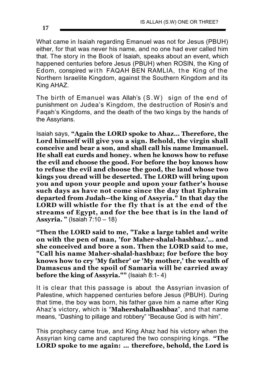What came in Isaiah regarding Emanuel was not for Jesus (PBUH) either, for that was never his name, and no one had ever called him that. The story in the Book of Isaiah, speaks about an event, which happened centuries before Jesus (PBUH) when ROSIN, the King of Edom, conspired with FAQAH BEN RAMLIA, the King of the Northern Israelite Kingdom, against the Southern Kingdom and its King AHAZ.

The birth of Emanuel was Allah's (S.W) sign of the end of punishment on Judea's Kingdom, the destruction of Rosin's and Faqah's Kingdoms, and the death of the two kings by the hands of the Assyrians.

Isaiah says, **"Again the LORD spoke to Ahaz… Therefore, the Lord himself will give you a sign. Behold, the virgin shall conceive and bear a son, and shall call his name Immanuel. He shall eat curds and honey. when he knows how to refuse the evil and choose the good. For before the boy knows how to refuse the evil and choose the good, the land whose two kings you dread will be deserted. The LORD will bring upon you and upon your people and upon your father's house such days as have not come since the day that Ephraim departed from Judah--the king of Assyria." In that day the LORD will whistle for the fly that is at the end of the streams of Egypt, and for the bee that is in the land of Assyria. "** (Isaiah 7:10 – 18)

**"Then the LORD said to me, "Take a large tablet and write on with the pen of man, 'for Maher-shalal-hashbaz.'… and she conceived and bore a son. Then the LORD said to me, "Call his name Maher-shalal-hashbaz; for before the boy knows how to cry 'My father' or 'My mother,' the wealth of Damascus and the spoil of Samaria will be carried away before the king of Assyria.""** (Isaiah 8:1- 4)

It is clear that this passage is about the Assyrian invasion of Palestine, which happened centuries before Jesus (PBUH). During that time, the boy was born, his father gave him a name after King Ahaz's victory, which is "**Mahershalalhashbaz**", and that name means, "Dashing to pillage and robbery" "Because God is with him".

This prophecy came true, and King Ahaz had his victory when the Assyrian king came and captured the two conspiring kings. **"The LORD spoke to me again: … therefore, behold, the Lord is**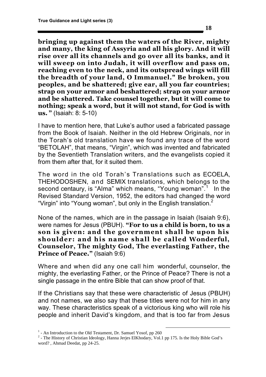**bringing up against them the waters of the River, mighty and many, the king of Assyria and all his glory. And it will rise over all its channels and go over all its banks, and it will sweep on into Judah, it will overflow and pass on, reaching even to the neck, and its outspread wings will fill the breadth of your land, O Immanuel." Be broken, you peoples, and be shattered; give ear, all you far countries; strap on your armor and beshattered; strap on your armor and be shattered. Take counsel together, but it will come to nothing; speak a word, but it will not stand, for God is with us. "** (Isaiah: 8: 5-10)

I have to mention here, that Luke's author used a fabricated passage from the Book of Isaiah. Neither in the old Hebrew Originals, nor in the Torah's old translation have we found any trace of the word "BETOLAH", that means, "Virgin", which was invented and fabricated by the Seventieth Translation writers, and the evangelists copied it from them after that, for it suited them.

The word in the old Torah's Translations such as ECOELA, THEHODOSHEN, and SEMIX translations, which belongs to the second centaury, is "Alma" which means, "Young woman".<sup>1</sup> In the Revised Standard Version, 1952, the editors had changed the word "Virgin" into "Young woman", but only in the English translation. $2$ 

None of the names, which are in the passage in Isaiah (Isaiah 9:6), were names for Jesus (PBUH). **"For to us a child is born, to us a son is given: and the government shall be upon his shoulder: and his name shall be called Wonderful, Counselor, The mighty God, The everlasting Father, the Prince of Peace."** (Isaiah 9:6)

Where and when did any one call him wonderful, counselor, the mighty, the everlasting Father, or the Prince of Peace? There is not a single passage in the entire Bible that can show proof of that.

If the Christians say that these were characteristic of Jesus (PBUH) and not names, we also say that these titles were not for him in any way. These characteristics speak of a victorious king who will role his people and inherit David's kingdom, and that is too far from Jesus

<u>.</u>

<sup>&</sup>lt;sup>1</sup> - An Introduction to the Old Testament, Dr. Samuel Yosof, pp 260

 $2$  - The History of Christian Ideology, Hanna Jerjes ElKhodary, Vol.1 pp 175. Is the Holy Bible God's word? , Ahmad Deedat, pp 24-25.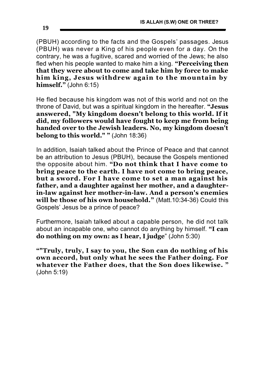(PBUH) according to the facts and the Gospels' passages. Jesus (PBUH) was never a King of his people even for a day. On the contrary, he was a fugitive, scared and worried of the Jews; he also fled when his people wanted to make him a king. **"Perceiving then that they were about to come and take him by force to make him king, Jesus withdrew again to the mountain by himself."** (John 6:15)

He fled because his kingdom was not of this world and not on the throne of David, but was a spiritual kingdom in the hereafter. **"Jesus answered, "My kingdom doesn't belong to this world. If it did, my followers would have fought to keep me from being handed over to the Jewish leaders. No, my kingdom doesn't belong to this world." "** (John 18:36)

In addition, Isaiah talked about the Prince of Peace and that cannot be an attribution to Jesus (PBUH), because the Gospels mentioned the opposite about him. **"Do not think that I have come to bring peace to the earth. I have not come to bring peace, but a sword. For I have come to set a man against his father, and a daughter against her mother, and a daughterin-law against her mother-in-law. And a person's enemies**  will be those of his own household." (Matt.10:34-36) Could this Gospels' Jesus be a prince of peace?

Furthermore, Isaiah talked about a capable person, he did not talk about an incapable one, who cannot do anything by himself. **"I can do nothing on my own: as I hear, I judge**" (John 5:30)

**""Truly, truly, I say to you, the Son can do nothing of his own accord, but only what he sees the Father doing. For whatever the Father does, that the Son does likewise. "** (John 5:19)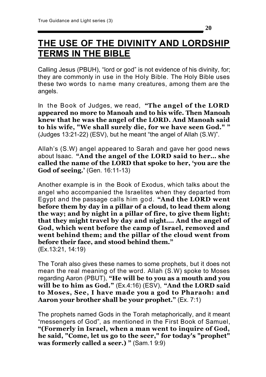**THE USE OF THE DIVINITY AND LORDSHIP TERMS IN THE BIBLE**

Calling Jesus (PBUH), "lord or god" is not evidence of his divinity, for; they are commonly in use in the Holy Bible. The Holy Bible uses these two words to name many creatures, among them are the angels.

In the Book of Judges, we read, **"The angel of the LORD appeared no more to Manoah and to his wife. Then Manoah knew that he was the angel of the LORD. And Manoah said to his wife, "We shall surely die, for we have seen God." "** (Judges 13:21-22) (ESV), but he meant "the angel of Allah (S.W)".

Allah's (S.W) angel appeared to Sarah and gave her good news about Isaac. **"And the angel of the LORD said to her… she called the name of the LORD that spoke to her, 'you are the God of seeing.'** (Gen. 16:11-13)

Another example is in the Book of Exodus, which talks about the angel who accompanied the Israelites when they departed from Egypt and the passage calls him god. **"And the LORD went before them by day in a pillar of a cloud, to lead them along the way; and by night in a pillar of fire, to give them light; that they might travel by day and night…. And the angel of God, which went before the camp of Israel, removed and went behind them; and the pillar of the cloud went from before their face, and stood behind them."** 

(Ex.13:21, 14:19)

The Torah also gives these names to some prophets, but it does not mean the real meaning of the word. Allah (S.W) spoke to Moses regarding Aaron (PBUT), **"He will be to you as a mouth and you will be to him as God."** (Ex.4:16) (ESV), **"And the LORD said to Moses, See, I have made you a god to Pharaoh: and Aaron your brother shall be your prophet."** (Ex. 7:1)

The prophets named Gods in the Torah metaphorically, and it meant "messengers of God", as mentioned in the First Book of Samuel, **"(Formerly in Israel, when a man went to inquire of God, he said, "Come, let us go to the seer," for today's "prophet" was formerly called a seer.) "** (Sam.1 9:9)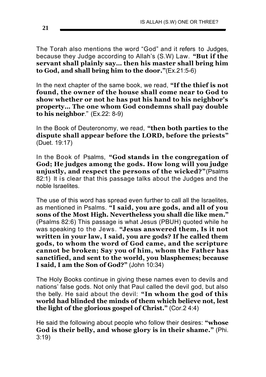The Torah also mentions the word "God" and it refers to Judges, because they Judge according to Allah's (S.W) Law. **"But if the servant shall plainly say… then his master shall bring him to God, and shall bring him to the door."**(Ex.21:5-6)

In the next chapter of the same book, we read, **"If the thief is not found, the owner of the house shall come near to God to show whether or not he has put his hand to his neighbor's property… The one whom God condemns shall pay double to his neighbor**." (Ex.22: 8-9)

In the Book of Deuteronomy, we read, **"then both parties to the dispute shall appear before the LORD, before the priests"** (Duet. 19:17)

In the Book of Psalms, **"God stands in the congregation of God; He judges among the gods. How long will you judge unjustly, and respect the persons of the wicked?"**(Psalms 82:1) It is clear that this passage talks about the Judges and the noble Israelites.

The use of this word has spread even further to call all the Israelites, as mentioned in Psalms. **"I said, you are gods, and all of you sons of the Most High. Nevertheless you shall die like men."** (Psalms 82:6) This passage is what Jesus (PBUH) quoted while he was speaking to the Jews. **"Jesus answered them, Is it not written in your law, I said, you are gods? If he called them gods, to whom the word of God came, and the scripture cannot be broken; Say you of him, whom the Father has sanctified, and sent to the world, you blasphemes; because I said, I am the Son of God?"** (John 10:34)

The Holy Books continue in giving these names even to devils and nations' false gods. Not only that Paul called the devil god, but also the belly. He said about the devil: **"In whom the god of this world had blinded the minds of them which believe not, lest the light of the glorious gospel of Christ."** (Cor.2 4:4)

He said the following about people who follow their desires: **"whose God is their belly, and whose glory is in their shame."** (Phi. 3:19)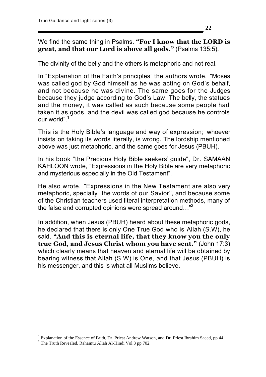#### We find the same thing in Psalms. **"For I know that the LORD is great, and that our Lord is above all gods."** (Psalms 135:5).

The divinity of the belly and the others is metaphoric and not real.

In "Explanation of the Faith's principles" the authors wrote, "Moses was called god by God himself as he was acting on God's behalf, and not because he was divine. The same goes for the Judges because they judge according to God's Law. The belly, the statues and the money, it was called as such because some people had taken it as gods, and the devil was called god because he controls our world"<sup>1</sup>

This is the Holy Bible's language and way of expression; whoever insists on taking its words literally, is wrong. The lordship mentioned above was just metaphoric, and the same goes for Jesus (PBUH).

In his book "the Precious Holy Bible seekers' guide", Dr. SAMAAN KAHLOON wrote, "Expressions in the Holy Bible are very metaphoric and mysterious especially in the Old Testament".

He also wrote, "Expressions in the New Testament are also very metaphoric, specially "the words of our Savior", and because some of the Christian teachers used literal interpretation methods, many of the false and corrupted opinions were spread around..."<sup>2</sup>

In addition, when Jesus (PBUH) heard about these metaphoric gods, he declared that there is only One True God who is Allah (S.W), he said, **"And this is eternal life, that they know you the only true God, and Jesus Christ whom you have sent."** (John 17:3) which clearly means that heaven and eternal life will be obtained by bearing witness that Allah (S.W) is One, and that Jesus (PBUH) is his messenger, and this is what all Muslims believe.

<sup>&</sup>lt;sup>1</sup> Explanation of the Essence of Faith, Dr. Priest Andrew Watson, and Dr. Priest Ibrahim Saeed, pp 44

<sup>&</sup>lt;sup>2</sup> The Truth Revealed, Rahamtu Allah Al-Hindi Vol.3 pp 702.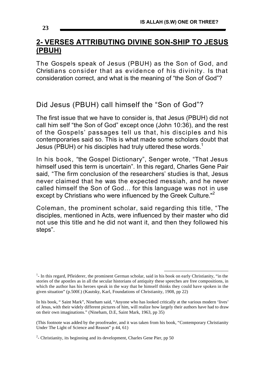## **2- VERSES ATTRIBUTING DIVINE SON-SHIP TO JESUS (PBUH)**

The Gospels speak of Jesus (PBUH) as the Son of God, and Christians consider that as evidence of his divinity. Is that consideration correct, and what is the meaning of "the Son of God"?

Did Jesus (PBUH) call himself the "Son of God"?

The first issue that we have to consider is, that Jesus (PBUH) did not call him self "the Son of God" except once (John 10:36), and the rest of the Gospels' passages tell us that, his disciples and his contemporaries said so. This is what made some scholars doubt that Jesus (PBUH) or his disciples had truly uttered these words.<sup>1</sup>

In his book, "the Gospel Dictionary", Senger wrote, "That Jesus himself used this term is uncertain". In this regard, Charles Gene Pair said, "The firm conclusion of the researchers' studies is that, Jesus never claimed that he was the expected messiah, and he never called himself the Son of God… for this language was not in use except by Christians who were influenced by the Greek Culture."<sup>2</sup>

Coleman, the prominent scholar, said regarding this title, "The disciples, mentioned in Acts, were influenced by their master who did not use this title and he did not want it, and then they followed his steps".

 $\overline{a}$ <sup>1</sup>- In this regard, Pfleiderer, the prominent German scholar, said in his book on early Christianity, "in the stories of the apostles as in all the secular historians of antiquity these speeches are free compositions, in which the author has his heroes speak in the way that he himself thinks they could have spoken in the given situation" (p.500f.) (Kautsky, Karl, Foundations of Christianity, 1908, pp 22)

In his book, " Saint Mark", Nineham said, "Anyone who has looked critically at the various modern 'lives' of Jesus, with their widely different pictures of him, will realize how largely their authors have had to draw on their own imaginations." (Nineham, D.E, Saint Mark, 1963, pp 35)

<sup>(</sup>This footnote was added by the proofreader, and it was taken from his book, "Contemporary Christianity Under The Light of Science and Reason" p 44, 61)

 $2$ - Christianity, its beginning and its development, Charles Gene Pier, pp 50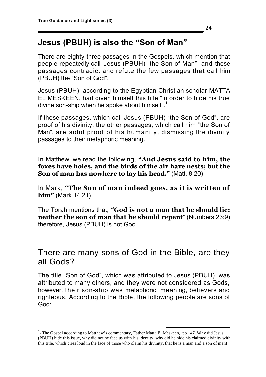# **Jesus (PBUH) is also the "Son of Man"**

There are eighty-three passages in the Gospels, which mention that people repeatedly call Jesus (PBUH) "the Son of Man", and these passages contradict and refute the few passages that call him (PBUH) the "Son of God".

Jesus (PBUH), according to the Egyptian Christian scholar MATTA EL MESKEEN, had given himself this title "in order to hide his true divine son-ship when he spoke about himself".<sup>1</sup>

If these passages, which call Jesus (PBUH) "the Son of God", are proof of his divinity, the other passages, which call him "the Son of Man", are solid proof of his humanity, dismissing the divinity passages to their metaphoric meaning.

In Matthew, we read the following, **"And Jesus said to him, the foxes have holes, and the birds of the air have nests; but the Son of man has nowhere to lay his head."** (Matt. 8:20)

In Mark, **"The Son of man indeed goes, as it is written of him"** (Mark 14:21)

The Torah mentions that, **"God is not a man that he should lie; neither the son of man that he should repent**" (Numbers 23:9) therefore, Jesus (PBUH) is not God.

### There are many sons of God in the Bible, are they all Gods?

The title "Son of God", which was attributed to Jesus (PBUH), was attributed to many others, and they were not considered as Gods, however, their son-ship was metaphoric, meaning, believers and righteous. According to the Bible, the following people are sons of God:

<u>.</u>

<sup>&</sup>lt;sup>1</sup>- The Gospel according to Matthew's commentary, Father Matta El Meskeen, pp 147. Why did Jesus (PBUH) hide this issue, why did not he face us with his identity, why did he hide his claimed divinity with this title, which cries loud in the face of those who claim his divinity, that he is a man and a son of man!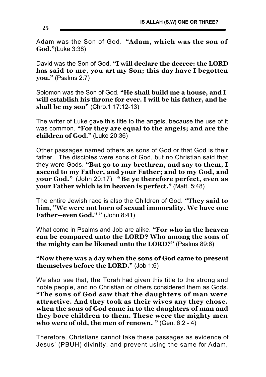Adam was the Son of God. **"Adam, which was the son of God."**(Luke 3:38)

David was the Son of God. **"I will declare the decree: the LORD has said to me, you art my Son; this day have I begotten you."** (Psalms 2:7)

Solomon was the Son of God. **"He shall build me a house, and I will establish his throne for ever. I will be his father, and he shall be my son"** (Chro.1 17:12-13)

The writer of Luke gave this title to the angels, because the use of it was common. **"For they are equal to the angels; and are the children of God."** (Luke 20:36)

Other passages named others as sons of God or that God is their father. The disciples were sons of God, but no Christian said that they were Gods. **"But go to my brethren, and say to them, I ascend to my Father, and your Father; and to my God, and your God."** (John 20:17) **"Be ye therefore perfect, even as your Father which is in heaven is perfect."** (Matt. 5:48)

The entire Jewish race is also the Children of God. **"They said to him, "We were not born of sexual immorality. We have one**  Father--even God." " (John 8:41)

What come in Psalms and Job are alike. **"For who in the heaven can be compared unto the LORD? Who among the sons of the mighty can be likened unto the LORD?"** (Psalms 89:6)

**"Now there was a day when the sons of God came to present themselves before the LORD."** (Job 1:6)

We also see that, the Torah had given this title to the strong and noble people, and no Christian or others considered them as Gods. **"The sons of God saw that the daughters of man were attractive. And they took as their wives any they chose. when the sons of God came in to the daughters of man and they bore children to them. These were the mighty men who were of old, the men of renown. "** (Gen. 6:2 - 4)

Therefore, Christians cannot take these passages as evidence of Jesus' (PBUH) divinity, and prevent using the same for Adam,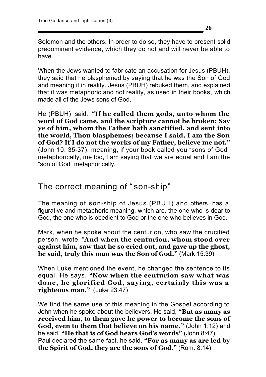**26**

Solomon and the others. In order to do so, they have to present solid predominant evidence, which they do not and will never be able to have.

When the Jews wanted to fabricate an accusation for Jesus (PBUH), they said that he blasphemed by saying that he was the Son of God and meaning it in reality. Jesus (PBUH) rebuked them, and explained that it was metaphoric and not reality, as used in their books, which made all of the Jews sons of God.

He (PBUH) said, **"If he called them gods, unto whom the word of God came, and the scripture cannot be broken; Say ye of him, whom the Father hath sanctified, and sent into the world, Thou blasphemes; because I said, I am the Son of God? If I do not the works of my Father, believe me not."** (John 10: 35-37), meaning, if your book called you "sons of God" metaphorically, me too, I am saying that we are equal and I am the "son of God" metaphorically.

# The correct meaning of "son-ship"

The meaning of son-ship of Jesus (PBUH) and others has a figurative and metaphoric meaning, which are, the one who is dear to God, the one who is obedient to God or the one who believes in God.

Mark, when he spoke about the centurion, who saw the crucified person, wrote, "**And when the centurion, whom stood over against him, saw that he so cried out, and gave up the ghost, he said, truly this man was the Son of God."** (Mark 15:39)

When Luke mentioned the event, he changed the sentence to its equal. He says, **"Now when the centurion saw what was done, he glorified God, saying, certainly this was a righteous man."** (Luke 23:47)

We find the same use of this meaning in the Gospel according to John when he spoke about the believers. He said, **"But as many as received him, to them gave he power to become the sons of God, even to them that believe on his name."** (John 1:12) and he said, **"He that is of God hears God's words"** (John 8:47) Paul declared the same fact, he said, **"For as many as are led by the Spirit of God, they are the sons of God."** (Rom. 8:14)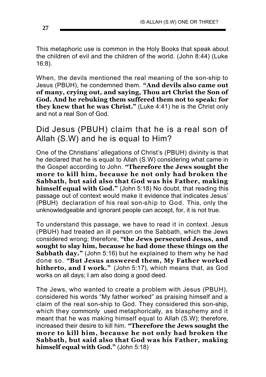This metaphoric use is common in the Holy Books that speak about the children of evil and the children of the world. (John 8:44) (Luke 16:8).

When, the devils mentioned the real meaning of the son-ship to Jesus (PBUH), he condemned them. **"And devils also came out of many, crying out, and saying, Thou art Christ the Son of God. And he rebuking them suffered them not to speak: for they knew that he was Christ."** (Luke 4:41) he is the Christ only and not a real Son of God.

Did Jesus (PBUH) claim that he is a real son of Allah (S.W) and he is equal to Him?

One of the Christians' allegations of Christ's (PBUH) divinity is that he declared that he is equal to Allah (S.W) considering what came in the Gospel according to John. **"Therefore the Jews sought the more to kill him, because he not only had broken the Sabbath, but said also that God was his Father, making himself equal with God."** (John 5:18) No doubt, that reading this passage out of context would make it evidence that indicates Jesus' (PBUH) declaration of his real son-ship to God. This, only the unknowledgeable and ignorant people can accept, for, it is not true.

To understand this passage, we have to read it in context. Jesus (PBUH) had treated an ill person on the Sabbath, which the Jews considered wrong; therefore, **"the Jews persecuted Jesus, and sought to slay him, because he had done these things on the Sabbath day."** (John 5:16) but he explained to them why he had done so. **"But Jesus answered them, My Father worked hitherto, and I work."** (John 5:17), which means that, as God works on all days; I am also doing a good deed.

The Jews, who wanted to create a problem with Jesus (PBUH), considered his words "My father worked" as praising himself and a claim of the real son-ship to God. They considered this son-ship, which they commonly used metaphorically, as blasphemy and it meant that he was making himself equal to Allah (S.W); therefore, increased their desire to kill him. **"Therefore the Jews sought the more to kill him, because he not only had broken the Sabbath, but said also that God was his Father, making himself equal with God."** (John 5:18)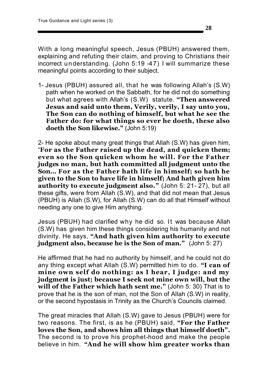With a long meaningful speech, Jesus (PBUH) answered them, explaining and refuting their claim, and proving to Christians their incorrect understanding. (John 5:19 -47) I will summarize these meaningful points according to their subject.

1- Jesus (PBUH) assured all, that he was following Allah's (S.W) path when he worked on the Sabbath, for he did not do something but what agrees with Allah's (S.W) statute. **"Then answered Jesus and said unto them, Verily, verily, I say unto you, The Son can do nothing of himself, but what he see the Father do: for what things so ever he doeth, these also doeth the Son likewise."** (John 5:19)

2- He spoke about many great things that Allah (S.W) has given him, "**For as the Father raised up the dead, and quicken them; even so the Son quicken whom he will. For the Father judges no man, but hath committed all judgment unto the Son… For as the Father hath life in himself; so hath he given to the Son to have life in himself; And hath given him authority to execute judgment also."** (John 5: 21- 27), but all these gifts, were from Allah (S.W), and that did not mean that Jesus (PBUH) is Allah (S.W), for Allah (S.W) can do all that Himself without needing any one to give Him anything.

Jesus (PBUH) had clarified why he did so. It was because Allah (S.W) has given him these things considering his humanity and not divinity. He says, **"And hath given him authority to execute judgment also, because he is the Son of man."** (John 5: 27)

He affirmed that he had no authority by himself, and he could not do any thing except what Allah (S.W) permitted him to do. **"I can of mine own self do nothing: as I hear, I judge: and my judgment is just; because I seek not mine own will, but the will of the Father which hath sent me."** (John 5: 30) That is to prove that he is the son of man, not the Son of Allah (S.W) in reality, or the second hypostasis in Trinity as the Church's Councils claimed.

The great miracles that Allah (S.W) gave to Jesus (PBUH) were for two reasons. The first, is as he (PBUH) said, **"For the Father loves the Son, and shows him all things that himself doeth".** The second is to prove his prophet-hood and make the people believe in him. **"And he will show him greater works than**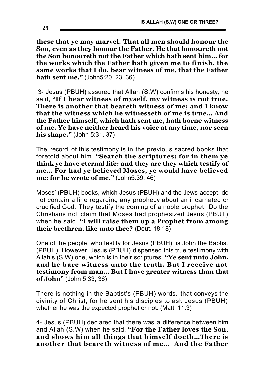**these that ye may marvel. That all men should honour the Son, even as they honour the Father. He that honoureth not the Son honoureth not the Father which hath sent him… for the works which the Father hath given me to finish, the same works that I do, bear witness of me, that the Father hath sent me."** (John5:20, 23, 36)

3- Jesus (PBUH) assured that Allah (S.W) confirms his honesty, he said, **"If I bear witness of myself, my witness is not true. There is another that beareth witness of me; and I know that the witness which he witnesseth of me is true… And the Father himself, which hath sent me, hath borne witness of me. Ye have neither heard his voice at any time, nor seen his shape."** (John 5:31, 37)

The record of this testimony is in the previous sacred books that foretold about him. **"Search the scriptures; for in them ye think ye have eternal life: and they are they which testify of me… For had ye believed Moses, ye would have believed me: for he wrote of me."** (John5:39, 46)

Moses' (PBUH) books, which Jesus (PBUH) and the Jews accept, do not contain a line regarding any prophecy about an incarnated or crucified God. They testify the coming of a noble prophet. Do the Christians not claim that Moses had prophesized Jesus (PBUT) when he said, **"I will raise them up a Prophet from among their brethren, like unto thee?** (Deut. 18:18)

One of the people, who testify for Jesus (PBUH), is John the Baptist (PBUH). However, Jesus (PBUH) dispensed this true testimony with Allah's (S.W) one, which is in their scriptures. **"Ye sent unto John, and he bare witness unto the truth. But I receive not testimony from man… But I have greater witness than that of John"** (John 5:33, 36)

There is nothing in the Baptist's (PBUH) words, that conveys the divinity of Christ, for he sent his disciples to ask Jesus (PBUH) whether he was the expected prophet or not. (Matt. 11:3)

4- Jesus (PBUH) declared that there was a difference between him and Allah (S.W) when he said, **"For the Father loves the Son, and shows him all things that himself doeth…There is another that beareth witness of me… And the Father**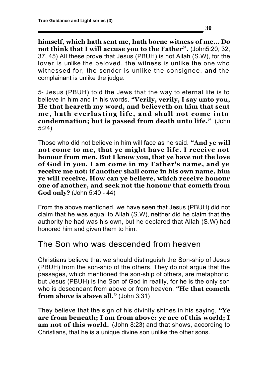**himself, which hath sent me, hath borne witness of me… Do not think that I will accuse you to the Father".** (John5:20, 32, 37, 45) All these prove that Jesus (PBUH) is not Allah (S.W), for the lover is unlike the beloved, the witness is unlike the one who witnessed for, the sender is unlike the consignee, and the complainant is unlike the judge.

5- Jesus (PBUH) told the Jews that the way to eternal life is to believe in him and in his words. **"Verily, verily, I say unto you, He that heareth my word, and believeth on him that sent me, hath everlasting life, and shall not come into condemnation; but is passed from death unto life."** (John 5:24)

Those who did not believe in him will face as he said. **"And ye will not come to me, that ye might have life. I receive not honour from men. But I know you, that ye have not the love of God in you. I am come in my Father's name, and ye receive me not: if another shall come in his own name, him ye will receive. How can ye believe, which receive honour one of another, and seek not the honour that cometh from God only?** (John 5:40 - 44)

From the above mentioned, we have seen that Jesus (PBUH) did not claim that he was equal to Allah (S.W), neither did he claim that the authority he had was his own, but he declared that Allah (S.W) had honored him and given them to him.

# The Son who was descended from heaven

Christians believe that we should distinguish the Son-ship of Jesus (PBUH) from the son-ship of the others. They do not argue that the passages, which mentioned the son-ship of others, are metaphoric, but Jesus (PBUH) is the Son of God in reality, for he is the only son who is descendant from above or from heaven. **"He that cometh from above is above all."** (John 3:31)

They believe that the sign of his divinity shines in his saying, **"Ye are from beneath; I am from above: ye are of this world; I am not of this world.** (John 8:23) and that shows, according to Christians, that he is a unique divine son unlike the other sons.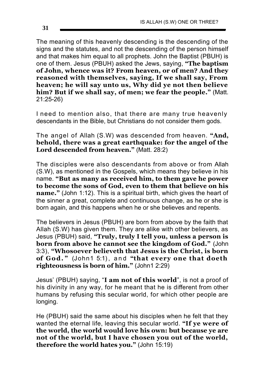The meaning of this heavenly descending is the descending of the signs and the statutes, and not the descending of the person himself and that makes him equal to all prophets. John the Baptist (PBUH) is one of them. Jesus (PBUH) asked the Jews, saying, **"The baptism of John, whence was it? From heaven, or of men? And they reasoned with themselves, saying, If we shall say, From heaven; he will say unto us, Why did ye not then believe him? But if we shall say, of men; we fear the people."** (Matt. 21:25-26)

I need to mention also, that there are many true heavenly descendants in the Bible, but Christians do not consider them gods.

The angel of Allah (S.W) was descended from heaven. **"And, behold, there was a great earthquake: for the angel of the**  Lord descended from heaven." (Matt. 28:2)

The disciples were also descendants from above or from Allah (S.W), as mentioned in the Gospels, which means they believe in his name. **"But as many as received him, to them gave he power to become the sons of God, even to them that believe on his name."** (John 1:12). This is a spiritual birth, which gives the heart of the sinner a great, complete and continuous change, as he or she is born again, and this happens when he or she believes and repents.

The believers in Jesus (PBUH) are born from above by the faith that Allah (S.W) has given them. They are alike with other believers, as Jesus (PBUH) said, **"Truly, truly I tell you, unless a person is born from above he cannot see the kingdom of God."** (John 3:3), **"Whosoever believeth that Jesus is the Christ, is born of God."** (John1 5:1), and **"that every one that doeth righteousness is born of him."** (John1 2:29)

Jesus' (PBUH) saying, "**I am not of this world**", is not a proof of his divinity in any way, for he meant that he is different from other humans by refusing this secular world, for which other people are longing.

He (PBUH) said the same about his disciples when he felt that they wanted the eternal life, leaving this secular world. **"If ye were of the world, the world would love his own: but because ye are not of the world, but I have chosen you out of the world, therefore the world hates you."** (John 15:19)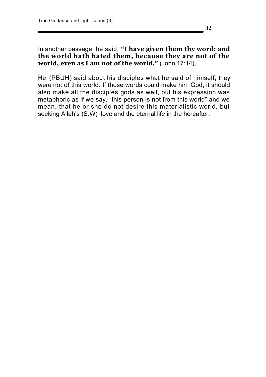In another passage, he said, **"I have given them thy word; and the world hath hated them, because they are not of the world, even as I am not of the world."** (John 17:14),

He (PBUH) said about his disciples what he said of himself, they were not of this world. If those words could make him God, it should also make all the disciples gods as well, but his expression was metaphoric as if we say, "this person is not from this world" and we mean, that he or she do not desire this materialistic world, but seeking Allah's (S.W) love and the eternal life in the hereafter.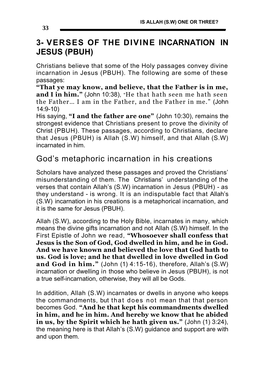# **3- VERSES OF THE DIVINE INCARNATION IN JESUS (PBUH)**

Christians believe that some of the Holy passages convey divine incarnation in Jesus (PBUH). The following are some of these passages:

**"That ye may know, and believe, that the Father is in me, and I in him."** (John 10:38), "He that hath seen me hath seen the Father… I am in the Father, and the Father in me." (John 14:9-10)

His saying, **"I and the father are one"** (John 10:30), remains the strongest evidence that Christians present to prove the divinity of Christ (PBUH). These passages, according to Christians, declare that Jesus (PBUH) is Allah (S.W) himself, and that Allah (S.W) incarnated in him.

# God's metaphoric incarnation in his creations

Scholars have analyzed these passages and proved the Christians' misunderstanding of them. The Christians' understanding of the verses that contain Allah's (S.W) incarnation in Jesus (PBUH) - as they understand - is wrong. It is an indisputable fact that Allah's (S.W) incarnation in his creations is a metaphorical incarnation, and it is the same for Jesus (PBUH).

Allah (S.W), according to the Holy Bible, incarnates in many, which means the divine gifts incarnation and not Allah (S.W) himself. In the First Epistle of John we read, **"Whosoever shall confess that Jesus is the Son of God, God dwelled in him, and he in God. And we have known and believed the love that God hath to us. God is love; and he that dwelled in love dwelled in God and God in him."** (John (1) 4:15-16), therefore, Allah's (S.W) incarnation or dwelling in those who believe in Jesus (PBUH), is not a true self-incarnation, otherwise, they will all be Gods.

In addition, Allah (S.W) incarnates or dwells in anyone who keeps the commandments, but that does not mean that that person becomes God. **"And he that kept his commandments dwelled in him, and he in him. And hereby we know that he abided in us, by the Spirit which he hath given us."** (John (1) 3:24), the meaning here is that Allah's (S.W) guidance and support are with and upon them.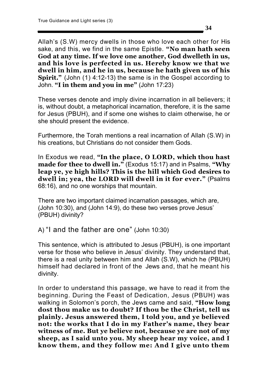Allah's (S.W) mercy dwells in those who love each other for His sake, and this, we find in the same Epistle. **"No man hath seen God at any time. If we love one another, God dwelleth in us, and his love is perfected in us. Hereby know we that we dwell in him, and he in us, because he hath given us of his Spirit."** (John (1) 4:12-13) the same is in the Gospel according to John. **"I in them and you in me"** (John 17:23)

These verses denote and imply divine incarnation in all believers; it is, without doubt, a metaphorical incarnation, therefore, it is the same for Jesus (PBUH), and if some one wishes to claim otherwise, he or she should present the evidence.

Furthermore, the Torah mentions a real incarnation of Allah (S.W) in his creations, but Christians do not consider them Gods.

In Exodus we read, **"In the place, O LORD, which thou hast made for thee to dwell in."** (Exodus 15:17) and in Psalms, **"Why leap ye, ye high hills? This is the hill which God desires to dwell in; yea, the LORD will dwell in it for ever."** (Psalms 68:16), and no one worships that mountain.

There are two important claimed incarnation passages, which are, (John 10:30), and (John 14:9), do these two verses prove Jesus' (PBUH) divinity?

A) "I and the father are one" (John 10:30)

This sentence, which is attributed to Jesus (PBUH), is one important verse for those who believe in Jesus' divinity. They understand that, there is a real unity between him and Allah (S.W), which he (PBUH) himself had declared in front of the Jews and, that he meant his divinity.

In order to understand this passage, we have to read it from the beginning. During the Feast of Dedication, Jesus (PBUH) was walking in Solomon's porch, the Jews came and said, **"How long dost thou make us to doubt? If thou be the Christ, tell us plainly. Jesus answered them, I told you, and ye believed not: the works that I do in my Father's name, they bear witness of me. But ye believe not, because ye are not of my sheep, as I said unto you. My sheep hear my voice, and I know them, and they follow me: And I give unto them**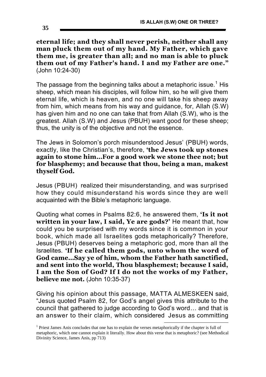**eternal life; and they shall never perish, neither shall any man pluck them out of my hand. My Father, which gave them me, is greater than all; and no man is able to pluck them out of my Father's hand. I and my Father are one."** (John 10:24-30)

The passage from the beginning talks about a metaphoric issue.<sup>1</sup> His sheep, which mean his disciples, will follow him, so he will give them eternal life, which is heaven, and no one will take his sheep away from him, which means from his way and guidance, for, Allah (S.W) has given him and no one can take that from Allah (S.W), who is the greatest. Allah (S.W) and Jesus (PBUH) want good for these sheep; thus, the unity is of the objective and not the essence.

The Jews in Solomon's porch misunderstood Jesus' (PBUH) words, exactly, like the Christian's, therefore, **'the Jews took up stones again to stone him…For a good work we stone thee not; but for blasphemy; and because that thou, being a man, makest thyself God.** 

Jesus (PBUH) realized their misunderstanding, and was surprised how they could misunderstand his words since they are well acquainted with the Bible's metaphoric language.

Quoting what comes in Psalms 82:6, he answered them, **'Is it not written in your law, I said, Ye are gods?'** He meant that, how could you be surprised with my words since it is common in your book, which made all Israelites gods metaphorically? Therefore, Jesus (PBUH) deserves being a metaphoric god, more than all the Israelites. **'If he called them gods, unto whom the word of God came…Say ye of him, whom the Father hath sanctified, and sent into the world, Thou blasphemest; because I said, I am the Son of God? If I do not the works of my Father, believe me not.** (John 10:35-37)

Giving his opinion about this passage, MATTA ALMESKEEN said, "Jesus quoted Psalm 82, for God's angel gives this attribute to the council that gathered to judge according to God's word… and that is an answer to their claim, which considered Jesus as committing

 $\overline{a}$ 

<sup>&</sup>lt;sup>1</sup> Priest James Anis concludes that one has to explain the verses metaphorically if the chapter is full of metaphoric, which one cannot explain it literally. How about this verse that is metaphoric? (see Methodical Divinity Science, James Anis, pp 713)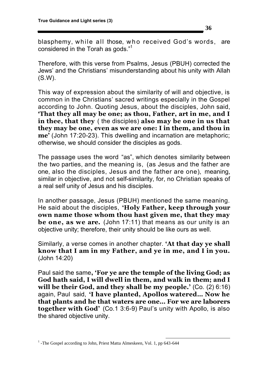**36**

blasphemy, while all those, who received God's words, are considered in the Torah as gods."<sup>1</sup>

Therefore, with this verse from Psalms, Jesus (PBUH) corrected the Jews' and the Christians' misunderstanding about his unity with Allah (S.W).

This way of expression about the similarity of will and objective, is common in the Christians' sacred writings especially in the Gospel according to John. Quoting Jesus, about the disciples, John said, **'That they all may be one; as thou, Father, art in me, and I in thee, that they** ( the disciples) **also may be one in us that they may be one, even as we are one: I in them, and thou in me'** (John 17:20-23). This dwelling and incarnation are metaphoric; otherwise, we should consider the disciples as gods.

The passage uses the word "as", which denotes similarity between the two parties, and the meaning is, (as Jesus and the father are one, also the disciples, Jesus and the father are one), meaning, similar in objective, and not self-similarity, for, no Christian speaks of a real self unity of Jesus and his disciples.

In another passage, Jesus (PBUH) mentioned the same meaning. He said about the disciples, **'Holy Father, keep through your own name those whom thou hast given me, that they may be one, as we are.** (John 17:11) that means as our unity is an objective unity; therefore, their unity should be like ours as well.

Similarly, a verse comes in another chapter. **'At that day ye shall know that I am in my Father, and ye in me, and I in you.** (John 14:20)

Paul said the same**, 'For ye are the temple of the living God; as God hath said, I will dwell in them, and walk in them; and I will be their God, and they shall be my people.'** (Co. (2) 6:16) again, Paul said, **'I have planted, Apollos watered… Now he that plants and he that waters are one… For we are laborers together with God'** (Co.1 3:6-9) Paul's unity with Apollo, is also the shared objective unity.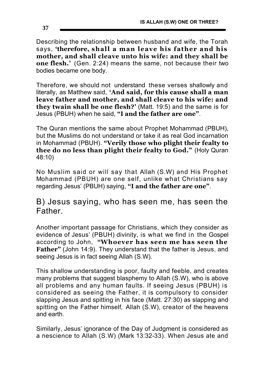Describing the relationship between husband and wife, the Torah says, **'therefore, shall a man leave his father and his mother, and shall cleave unto his wife: and they shall be one flesh.'** (Gen. 2:24) means the same, not because their two bodies became one body.

Therefore, we should not understand these verses shallowly and literally, as Matthew said, **'And said, for this cause shall a man leave father and mother, and shall cleave to his wife: and they twain shall be one flesh?'** (Matt. 19:5) and the same is for Jesus (PBUH) when he said, **"I and the father are one"**.

The Quran mentions the same about Prophet Mohammad (PBUH), but the Muslims do not understand or take it as real God incarnation in Mohammad (PBUH). **"Verily those who plight their fealty to thee do no less than plight their fealty to God."** (Holy Quran 48:10)

No Muslim said or will say that Allah (S.W) and His Prophet Mohammad (PBUH) are one self, unlike what Christians say regarding Jesus' (PBUH) saying, **"I and the father are one"**.

B) Jesus saying, who has seen me, has seen the Father.

Another important passage for Christians, which they consider as evidence of Jesus' (PBUH) divinity, is what we find in the Gospel according to John, **"Whoever has seen me has seen the Father"** (John 14:9). They understand that the father is Jesus, and seeing Jesus is in fact seeing Allah (S.W).

This shallow understanding is poor, faulty and feeble, and creates many problems that suggest blasphemy to Allah (S.W), who is above all problems and any human faults. If seeing Jesus (PBUH) is considered as seeing the Father, it is compulsory to consider slapping Jesus and spitting in his face (Matt. 27:30) as slapping and spitting on the Father himself, Allah (S.W), creator of the heavens and earth.

Similarly, Jesus' ignorance of the Day of Judgment is considered as a nescience to Allah (S.W) (Mark 13:32-33). When Jesus ate and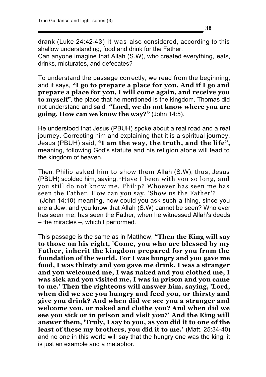drank (Luke 24:42-43) it was also considered, according to this shallow understanding, food and drink for the Father. Can anyone imagine that Allah (S.W), who created everything, eats, drinks, micturates, and defecates?

To understand the passage correctly, we read from the beginning, and it says, **"I go to prepare a place for you. And if I go and prepare a place for you, I will come again, and receive you to myself"**, the place that he mentioned is the kingdom. Thomas did not understand and said, **"Lord, we do not know where you are going. How can we know the way?"** (John 14:5).

He understood that Jesus (PBUH) spoke about a real road and a real journey. Correcting him and explaining that it is a spiritual journey, Jesus (PBUH) said, **"I am the way, the truth, and the life" ,** meaning, following God's statute and his religion alone will lead to the kingdom of heaven.

Then, Philip asked him to show them Allah (S.W); thus, Jesus (PBUH) scolded him, saying, "Have I been with you so long, and you still do not know me, Philip? Whoever has seen me has seen the Father. How can you say, 'Show us the Father'? (John 14:10) meaning, how could you ask such a thing, since you are a Jew, and you know that Allah (S.W) cannot be seen? Who ever has seen me, has seen the Father, when he witnessed Allah's deeds – the miracles –, which I performed.

This passage is the same as in Matthew, **"Then the King will say to those on his right, 'Come, you who are blessed by my Father, inherit the kingdom prepared for you from the foundation of the world. For I was hungry and you gave me food, I was thirsty and you gave me drink, I was a stranger and you welcomed me, I was naked and you clothed me, I was sick and you visited me, I was in prison and you came to me.' Then the righteous will answer him, saying, 'Lord, when did we see you hungry and feed you, or thirsty and give you drink? And when did we see you a stranger and welcome you, or naked and clothe you? And when did we see you sick or in prison and visit you?' And the King will answer them, 'Truly, I say to you, as you did it to one of the least of these my brothers, you did it to me.'** (Matt. 25:34-40) and no one in this world will say that the hungry one was the king; it is just an example and a metaphor.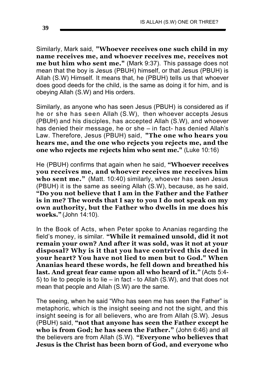Similarly, Mark said, **"Whoever receives one such child in my name receives me, and whoever receives me, receives not me but him who sent me."** (Mark 9:37). This passage does not mean that the boy is Jesus (PBUH) himself, or that Jesus (PBUH) is Allah (S.W) Himself. It means that, he (PBUH) tells us that whoever does good deeds for the child, is the same as doing it for him, and is obeying Allah (S.W) and His orders.

Similarly, as anyone who has seen Jesus (PBUH) is considered as if he or she has seen Allah (S.W), then whoever accepts Jesus (PBUH) and his disciples, has accepted Allah (S.W), and whoever has denied their message, he or she – in fact- has denied Allah's Law. Therefore, Jesus (PBUH) said, **"The one who hears you hears me, and the one who rejects you rejects me, and the one who rejects me rejects him who sent me."** (Luke 10:16)

He (PBUH) confirms that again when he said, **"Whoever receives you receives me, and whoever receives me receives him**  who sent me." (Matt. 10:40) similarly, whoever has seen Jesus (PBUH) it is the same as seeing Allah (S.W), because, as he said, **"Do you not believe that I am in the Father and the Father is in me? The words that I say to you I do not speak on my own authority, but the Father who dwells in me does his works."** (John 14:10).

In the Book of Acts, when Peter spoke to Ananias regarding the field's money, is similar. **"While it remained unsold, did it not remain your own? And after it was sold, was it not at your disposal? Why is it that you have contrived this deed in your heart? You have not lied to men but to God." When Ananias heard these words, he fell down and breathed his last. And great fear came upon all who heard of it."** (Acts 5:4- 5) to lie to people is to lie – in fact - to Allah (S.W), and that does not mean that people and Allah (S.W) are the same.

The seeing, when he said "Who has seen me has seen the Father" is metaphoric, which is the insight seeing and not the sight, and this insight seeing is for all believers, who are from Allah (S.W). Jesus (PBUH) said, **"not that anyone has seen the Father except he who is from God; he has seen the Father."** (John 6:46) and all the believers are from Allah (S.W). **"Everyone who believes that Jesus is the Christ has been born of God, and everyone who**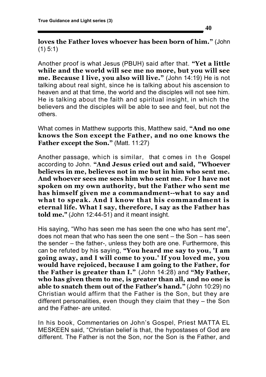#### **loves the Father loves whoever has been born of him."** (John (1) 5:1)

Another proof is what Jesus (PBUH) said after that. **"Yet a little while and the world will see me no more, but you will see me. Because I live, you also will live."** (John 14:19) He is not talking about real sight, since he is talking about his ascension to heaven and at that time, the world and the disciples will not see him. He is talking about the faith and spiritual insight, in which the believers and the disciples will be able to see and feel, but not the others.

What comes in Matthew supports this, Matthew said, **"And no one knows the Son except the Father, and no one knows the Father except the Son."** (Matt. 11:27)

Another passage, which is similar, that c omes in the Gospel according to John. **"And Jesus cried out and said, "Whoever believes in me, believes not in me but in him who sent me. And whoever sees me sees him who sent me. For I have not spoken on my own authority, but the Father who sent me has himself given me a commandment--what to say and what to speak. And I know that his commandment is eternal life. What I say, therefore, I say as the Father has told me."** (John 12:44-51) and it meant insight.

His saying, "Who has seen me has seen the one who has sent me", does not mean that who has seen the one sent – the Son – has seen the sender – the father-, unless they both are one. Furthermore, this can be refuted by his saying, **"You heard me say to you, 'I am going away, and I will come to you.' If you loved me, you would have rejoiced, because I am going to the Father, for the Father is greater than I."** (John 14:28) and **"My Father, who has given them to me, is greater than all, and no one is able to snatch them out of the Father's hand."** (John 10:29) no Christian would affirm that the Father is the Son, but they are different personalities, even though they claim that they – the Son and the Father- are united.

In his book, Commentaries on John's Gospel, Priest MATTA EL MESKEEN said, "Christian belief is that, the hypostases of God are different. The Father is not the Son, nor the Son is the Father, and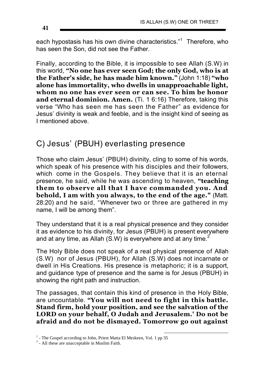each hypostasis has his own divine characteristics."<sup>1</sup> Therefore, who has seen the Son, did not see the Father.

Finally, according to the Bible, it is impossible to see Allah (S.W) in this world, **"No one has ever seen God; the only God, who is at the Father's side, he has made him known."** (John 1:18) **"who alone has immortality, who dwells in unapproachable light, whom no one has ever seen or can see. To him be honor and eternal dominion. Amen.** (Ti. 1 6:16) Therefore, taking this verse "Who has seen me has seen the Father" as evidence for Jesus' divinity is weak and feeble, and is the insight kind of seeing as I mentioned above.

## C) Jesus' (PBUH) everlasting presence

Those who claim Jesus' (PBUH) divinity, cling to some of his words, which speak of his presence with his disciples and their followers, which come in the Gospels. They believe that it is an eternal presence, he said, while he was ascending to heaven, **"teaching them to observe all that I have commanded you. And behold, I am with you always, to the end of the age."** (Matt. 28:20) and he said, "Whenever two or three are gathered in my name, I will be among them".

They understand that it is a real physical presence and they consider it as evidence to his divinity, for Jesus (PBUH) is present everywhere and at any time, as Allah (S.W) is everywhere and at any time.<sup>2</sup>

The Holy Bible does not speak of a real physical presence of Allah (S.W) nor of Jesus (PBUH), for Allah (S.W) does not incarnate or dwell in His Creations. His presence is metaphoric; it is a support, and guidance type of presence and the same is for Jesus (PBUH) in showing the right path and instruction.

The passages, that contain this kind of presence in the Holy Bible, are uncountable. **"You will not need to fight in this battle. Stand firm, hold your position, and see the salvation of the LORD on your behalf, O Judah and Jerusalem.' Do not be afraid and do not be dismayed. Tomorrow go out against** 

 $\overline{a}$ <sup>1</sup> - The Gospel according to John, Priest Matta El Meskeen, Vol. 1 pp 35

<sup>&</sup>lt;sup>2</sup> - All these are unacceptable in Muslim Faith.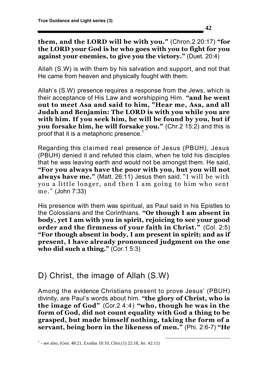#### **them, and the LORD will be with you."** (Chron.2 20:17) **"for the LORD your God is he who goes with you to fight for you against your enemies, to give you the victory."** (Duet. 20:4)

Allah (S.W) is with them by his salvation and support, and not that He came from heaven and physically fought with them.

Allah's (S.W) presence requires a response from the Jews, which is their acceptance of His Law and worshipping Him. **"and he went out to meet Asa and said to him, "Hear me, Asa, and all Judah and Benjamin: The LORD is with you while you are with him. If you seek him, he will be found by you, but if you forsake him, he will forsake you."** (Chr.2 15:2) and this is proof that it is a metaphoric presence.<sup>1</sup>

Regarding this claimed real presence of Jesus (PBUH), Jesus (PBUH) denied it and refuted this claim, when he told his disciples that he was leaving earth and would not be amongst them. He said, **"For you always have the poor with you, but you will not always have me."** (Matt. 26:11) Jesus then said, "I will be with you a little longer, and then I am going to him who sent me." (John 7:33)

His presence with them was spiritual, as Paul said in his Epistles to the Colossians and the Corinthians. **"Or though I am absent in body, yet I am with you in spirit, rejoicing to see your good order and the firmness of your faith in Christ."** (Col. 2:5) **"For though absent in body, I am present in spirit; and as if present, I have already pronounced judgment on the one who did such a thing."** (Cor.1 5:3)

## D) Christ, the image of Allah (S.W)

Among the evidence Christians present to prove Jesus' (PBUH) divinity, are Paul's words about him. **"the glory of Christ, who is the image of God"** (Cor.2 4:4) **"who, though he was in the form of God, did not count equality with God a thing to be grasped, but made himself nothing, taking the form of a servant, being born in the likeness of men."** (Phi. 2:6-7) **"He** 

<u>.</u>

<sup>1</sup> - see also, (Gen. 48:21, Exodus 10:10, Chro.(1) 22:18, Jer. 42:11)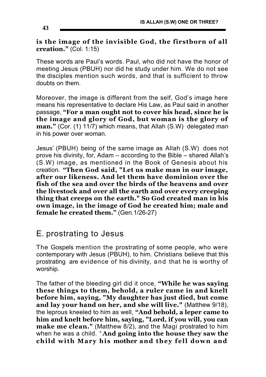#### **is the image of the invisible God, the firstborn of all creation."** (Col. 1:15)

These words are Paul's words. Paul, who did not have the honor of meeting Jesus (PBUH) nor did he study under him. We do not see the disciples mention such words, and that is sufficient to throw doubts on them.

Moreover, the image is different from the self, God's image here means his representative to declare His Law, as Paul said in another passage, **"For a man ought not to cover his head, since he is the image and glory of God, but woman is the glory of man."** (Cor. (1) 11/7) which means, that Allah (S.W) delegated man in his power over woman.

Jesus' (PBUH) being of the same image as Allah (S.W) does not prove his divinity, for, Adam – according to the Bible – shared Allah's (S.W) image, as mentioned in the Book of Genesis about his creation. **"Then God said, "Let us make man in our image, after our likeness. And let them have dominion over the fish of the sea and over the birds of the heavens and over the livestock and over all the earth and over every creeping thing that creeps on the earth." So God created man in his own image, in the image of God he created him; male and female he created them."** (Gen.1/26-27)

# E. prostrating to Jesus

The Gospels mention the prostrating of some people, who were contemporary with Jesus (PBUH), to him. Christians believe that this prostrating are evidence of his divinity, and that he is worthy of worship.

The father of the bleeding girl did it once, **"While he was saying these things to them, behold, a ruler came in and knelt before him, saying, "My daughter has just died, but come and lay your hand on her, and she will live."** (Matthew 9/18), the leprous kneeled to him as well, **"And behold, a leper came to him and knelt before him, saying, "Lord, if you will, you can make me clean."** (Matthew 8/2), and the Magi prostrated to him when he was a child. " **And going into the house they saw the child with Mary his mother and they fell down and**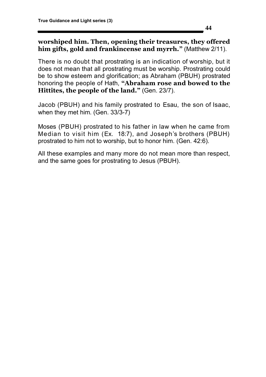#### **worshiped him. Then, opening their treasures, they offered him gifts, gold and frankincense and myrrh."** (Matthew 2/11).

There is no doubt that prostrating is an indication of worship, but it does not mean that all prostrating must be worship. Prostrating could be to show esteem and glorification; as Abraham (PBUH) prostrated honoring the people of Hath, **"Abraham rose and bowed to the Hittites, the people of the land."** (Gen. 23/7).

Jacob (PBUH) and his family prostrated to Esau, the son of Isaac, when they met him. (Gen. 33/3-7)

Moses (PBUH) prostrated to his father in law when he came from Median to visit him (Ex. 18:7), and Joseph's brothers (PBUH) prostrated to him not to worship, but to honor him. (Gen. 42:6).

All these examples and many more do not mean more than respect, and the same goes for prostrating to Jesus (PBUH).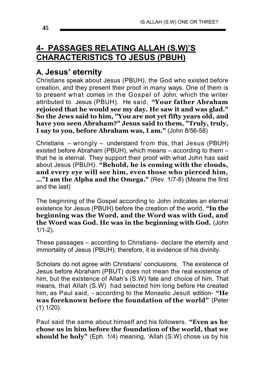# **4- PASSAGES RELATING ALLAH (S.W)'S CHARACTERISTICS TO JESUS (PBUH)**

## **A. Jesus' eternity**

Christians speak about Jesus (PBUH), the God who existed before creation, and they present their proof in many ways. One of them is to present what comes in the Gospel of John, which the writer attributed to Jesus (PBUH). He said, **"Your father Abraham rejoiced that he would see my day. He saw it and was glad." So the Jews said to him, "You are not yet fifty years old, and have you seen Abraham?" Jesus said to them, "Truly, truly, I say to you, before Abraham was, I am."** (John 8/56-58)

Christians – wrongly – understand from this, that Jesus (PBUH) existed before Abraham (PBUH), which means – according to them – that he is eternal. They support their proof with what John has said about Jesus (PBUH). **"Behold, he is coming with the clouds, and every eye will see him, even those who pierced him, …"I am the Alpha and the Omega."** (Rev. 1/7-8) (Means the first and the last)

The beginning of the Gospel according to John indicates an eternal existence for Jesus (PBUH) before the creation of the world. **"In the beginning was the Word, and the Word was with God, and the Word was God. He was in the beginning with God.** (John 1/1-2).

These passages – according to Christians- declare the eternity and immortality of Jesus (PBUH); therefore, it is evidence of his divinity.

Scholars do not agree with Christians' conclusions. The existence of Jesus before Abraham (PBUT) does not mean the real existence of him, but the existence of Allah's (S.W) fate and choice of him. That means, that Allah (S.W) had selected him long before He created him, as Paul said, - according to the Monastic Jesuit edition- **"He was foreknown before the foundation of the world"** (Peter (1) 1/20).

Paul said the same about himself and his followers. **"Even as he chose us in him before the foundation of the world, that we should be holy"** (Eph. 1/4) meaning, 'Allah (S.W) chose us by his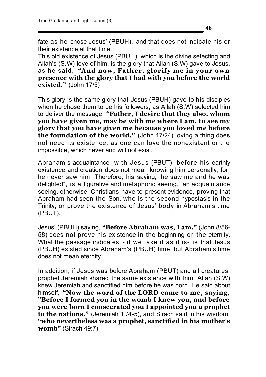**46**

fate as he chose Jesus' (PBUH), and that does not indicate his or their existence at that time.

This old existence of Jesus (PBUH), which is the divine selecting and Allah's (S.W) love of him, is the glory that Allah (S.W) gave to Jesus, as he said, **"And now, Father, glorify me in your own presence with the glory that I had with you before the world existed."** (John 17/5)

This glory is the same glory that Jesus (PBUH) gave to his disciples when he chose them to be his followers, as Allah (S.W) selected him to deliver the message. **"Father, I desire that they also, whom you have given me, may be with me where I am, to see my glory that you have given me because you loved me before the foundation of the world."** (John 17/24) loving a thing does not need its existence, as one can love the nonexistent or the impossible, which never and will not exist.

Abraham's acquaintance with Jesus (PBUT) before his earthly existence and creation does not mean knowing him personally; for, he never saw him. Therefore, his saying, "he saw me and he was delighted", is a figurative and metaphoric seeing, an acquaintance seeing, otherwise, Christians have to present evidence, proving that Abraham had seen the Son, who is the second hypostasis in the Trinity, or prove the existence of Jesus' body in Abraham's time (PBUT).

Jesus' (PBUH) saying, **"Before Abraham was, I am."** (John 8/56- 58) does not prove his existence in the beginning or the eternity. What the passage indicates - if we take it as it is- is that Jesus (PBUH) existed since Abraham's (PBUH) time, but Abraham's time does not mean eternity.

In addition, if Jesus was before Abraham (PBUT) and all creatures, prophet Jeremiah shared the same existence with him. Allah (S.W) knew Jeremiah and sanctified him before he was born. He said about himself, **"Now the word of the LORD came to me, saying, "Before I formed you in the womb I knew you, and before you were born I consecrated you I appointed you a prophet to the nations."** (Jeremiah 1 /4-5), and Sirach said in his wisdom, **"who nevertheless was a prophet, sanctified in his mother's womb"** (Sirach 49:7)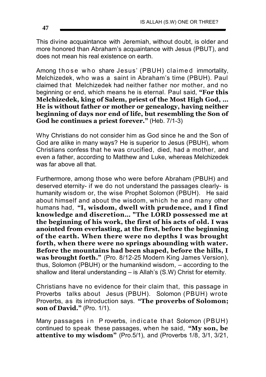This divine acquaintance with Jeremiah, without doubt, is older and more honored than Abraham's acquaintance with Jesus (PBUT), and does not mean his real existence on earth.

Among those who share Jesus' (PBUH) claimed immortality, Melchizedek, who was a saint in Abraham's time (PBUH). Paul claimed that Melchizedek had neither father nor mother, and no beginning or end, which means he is eternal. Paul said, **"For this Melchizedek, king of Salem, priest of the Most High God, … He is without father or mother or genealogy, having neither beginning of days nor end of life, but resembling the Son of God he continues a priest forever."** (Heb. 7/1-3)

Why Christians do not consider him as God since he and the Son of God are alike in many ways? He is superior to Jesus (PBUH), whom Christians confess that he was crucified, died, had a mother, and even a father, according to Matthew and Luke, whereas Melchizedek was far above all that.

Furthermore, among those who were before Abraham (PBUH) and deserved eternity- if we do not understand the passages clearly- is humanity wisdom or, the wise Prophet Solomon (PBUH). He said about himself and about the wisdom, which he and many other humans had, **"I, wisdom, dwell with prudence, and I find knowledge and discretion… "The LORD possessed me at the beginning of his work, the first of his acts of old. I was anointed from everlasting, at the first, before the beginning of the earth. When there were no depths I was brought forth, when there were no springs abounding with water. Before the mountains had been shaped, before the hills, I was brought forth."** (Pro. 8/12-25 Modern King James Version), thus, Solomon (PBUH) or the humankind wisdom, – according to the shallow and literal understanding – is Allah's (S.W) Christ for eternity.

Christians have no evidence for their claim that, this passage in Proverbs talks about Jesus (PBUH). Solomon (PBUH) wrote Proverbs, as its introduction says. **"The proverbs of Solomon; son of David."** (Pro. 1/1).

Many passages in P roverbs, indicate that Solomon (PBUH) continued to speak these passages, when he said, **"My son, be attentive to my wisdom"** (Pro.5/1), and (Proverbs 1/8, 3/1, 3/21,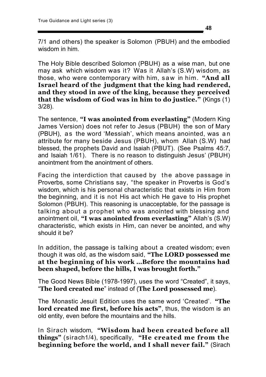7/1 and others) the speaker is Solomon (PBUH) and the embodied wisdom in him.

The Holy Bible described Solomon (PBUH) as a wise man, but one may ask which wisdom was it? Was it Allah's (S.W) wisdom, as those, who were contemporary with him, saw in him. **"And all Israel heard of the judgment that the king had rendered, and they stood in awe of the king, because they perceived that the wisdom of God was in him to do justice."** (Kings (1) 3/28).

The sentence, **"I was anointed from everlasting"** (Modern King James Version) does not refer to Jesus (PBUH) the son of Mary (PBUH), as the word 'Messiah', which means anointed, was an attribute for many beside Jesus (PBUH), whom Allah (S.W) had blessed, the prophets David and Isaiah (PBUT). (See Psalms 45:7, and Isaiah 1/61). There is no reason to distinguish Jesus' (PBUH) anointment from the anointment of others.

Facing the interdiction that caused by the above passage in Proverbs, some Christians say, "the speaker in Proverbs is God's wisdom, which is his personal characteristic that exists in Him from the beginning, and it is not His act which He gave to His prophet Solomon (PBUH). This reasoning is unacceptable, for the passage is talking about a prophet who was anointed with blessing and anointment oil, **"I was anointed from everlasting"** Allah's (S.W) characteristic, which exists in Him, can never be anointed, and why should it be?

In addition, the passage is talking about a created wisdom; even though it was old, as the wisdom said, **"The LORD possessed me at the beginning of his work …Before the mountains had been shaped, before the hills, I was brought forth."**

The Good News Bible (1978-1997), uses the word "Created", it says, "**The lord created me**" instead of (**The Lord possessed me**).

The Monastic Jesuit Edition uses the same word 'Created'. **"The lord created me first, before his acts"**, thus, the wisdom is an old entity, even before the mountains and the hills.

In Sirach wisdom, **"Wisdom had been created before all things"** (sirach1/4), specifically, **"He created me from the beginning before the world, and I shall never fail."** (Sirach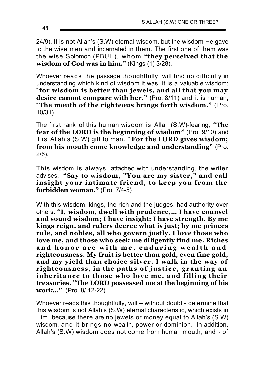24/9). It is not Allah's (S.W) eternal wisdom, but the wisdom He gave to the wise men and incarnated in them. The first one of them was the wise Solomon (PBUH), whom **"they perceived that the wisdom of God was in him."** (Kings (1) 3/28).

Whoever reads the passage thoughtfully, will find no difficulty in understanding which kind of wisdom it was. It is a valuable wisdom; "**for wisdom is better than jewels, and all that you may desire cannot compare with her."** (Pro. 8/11) and it is human; "**The mouth of the righteous brings forth wisdom."** (Pro. 10/31).

The first rank of this human wisdom is Allah (S.W)-fearing; **"The fear of the LORD is the beginning of wisdom"** (Pro. 9/10) and it is Allah's (S.W) gift to man. " **For the LORD gives wisdom; from his mouth come knowledge and understanding"** (Pro. 2/6).

This wisdom is always attached with understanding, the writer advises, **"Say to wisdom, "You are my sister," and call insight your intimate friend, to keep you from the forbidden woman."** (Pro. 7/4-5)

With this wisdom, kings, the rich and the judges, had authority over others**. "I, wisdom, dwell with prudence,… I have counsel and sound wisdom; I have insight; I have strength. By me kings reign, and rulers decree what is just; by me princes rule, and nobles, all who govern justly. I love those who love me, and those who seek me diligently find me. Riches and honor are with me, enduring wealth and righteousness. My fruit is better than gold, even fine gold, and my yield than choice silver. I walk in the way of righteousness, in the paths of justice, granting an inheritance to those who love me, and filling their treasuries. "The LORD possessed me at the beginning of his work..."** (Pro. 8/ 12-22)

Whoever reads this thoughtfully, will – without doubt - determine that this wisdom is not Allah's (S.W) eternal characteristic, which exists in Him, because there are no jewels or money equal to Allah's (S.W) wisdom, and it brings no wealth, power or dominion. In addition, Allah's (S.W) wisdom does not come from human mouth, and - of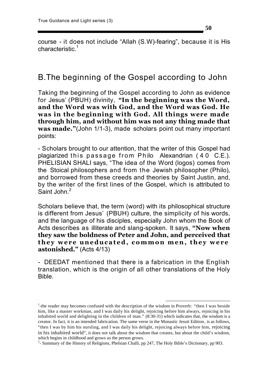course - it does not include "Allah (S.W)-fearing", because it is His characteristic.<sup>1</sup>

## B.The beginning of the Gospel according to John

Taking the beginning of the Gospel according to John as evidence for Jesus' (PBUH) divinity, **"In the beginning was the Word, and the Word was with God, and the Word was God. He was in the beginning with God. All things were made through him, and without him was not any thing made that was made."**(John 1/1-3), made scholars point out many important points:

- Scholars brought to our attention, that the writer of this Gospel had plagiarized this passage from Philo Alexandrian  $(40\text{ C.E.})$ . PHELISIAN SHALI says, "The idea of the Word (logos) comes from the Stoical philosophers and from the Jewish philosopher (Philo), and borrowed from these creeds and theories by Saint Justin, and, by the writer of the first lines of the Gospel, which is attributed to Saint John.<sup>2</sup>

Scholars believe that, the term (word) with its philosophical structure is different from Jesus' (PBUH) culture, the simplicity of his words, and the language of his disciples, especially John whom the Book of Acts describes as illiterate and slang-spoken. It says, **"Now when they saw the boldness of Peter and John, and perceived that they were uneducated, common men, they were astonished."** (Acts 4/13)

- DEEDAT mentioned that there is a fabrication in the English translation, which is the origin of all other translations of the Holy Bible.

<sup>2</sup>- Summary of the History of Religions, Phelsian Challi, pp 247, The Holy Bible's Dictionary, pp 903.

<sup>-</sup><sup>1</sup>-the reader may becomes confused with the description of the wisdom in Proverb: "then I was beside him, like a master workman, and I was daily his delight, rejoicing before him always, rejoicing in his inhabited world and delighting in the children of man." (8:30-31) which indicates that, the wisdom is a creator. In fact, it is an intended fabrication. The same verse in the Monastic Jesuit Edition, is as follows, "then I was by him his nursling, and I was daily his delight, rejoicing always before him, rejoicing in his inhabited world", it does not talk about the wisdom that creates, but about the child's wisdom, which begins in childhood and grows as the person grows.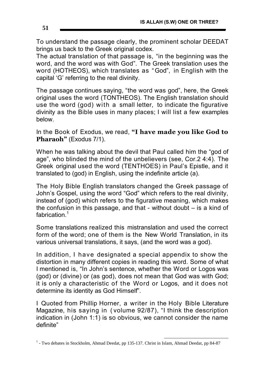To understand the passage clearly, the prominent scholar DEEDAT brings us back to the Greek original codex.

The actual translation of that passage is, "in the beginning was the word, and the word was with God". The Greek translation uses the word (HOTHEOS), which translates as "God", in English with the capital 'G' referring to the real divinity.

The passage continues saying, "the word was god", here, the Greek original uses the word (TONTHEOS). The English translation should use the word (god) with a small letter, to indicate the figurative divinity as the Bible uses in many places; I will list a few examples below.

In the Book of Exodus, we read, **"I have made you like God to Pharaoh"** (Exodus 7/1).

When he was talking about the devil that Paul called him the "god of age", who blinded the mind of the unbelievers (see, Cor.2 4:4). The Greek original used the word (TENTHOES) in Paul's Epistle, and it translated to (god) in English, using the indefinite article (a).

The Holy Bible English translators changed the Greek passage of John's Gospel, using the word "God" which refers to the real divinity, instead of (god) which refers to the figurative meaning, which makes the confusion in this passage, and that - without doubt – is a kind of fabrication.<sup>1</sup>

Some translations realized this mistranslation and used the correct form of the word; one of them is the New World Translation, in its various universal translations, it says, (and the word was a god).

In addition, I have designated a special appendix to show the distortion in many different copies in reading this word. Some of what I mentioned is, "In John's sentence, whether the Word or Logos was (god) or (divine) or (as god), does not mean that God was with God; it is only a characteristic of the Word or Logos, and it does not determine its identity as God Himself".

I Quoted from Phillip Horner, a writer in the Holy Bible Literature Magazine, his saying in ( volume 92/87), "I think the description indication in (John 1:1) is so obvious, we cannot consider the name definite"

<sup>&</sup>lt;sup>1</sup> - Two debates in Stockholm, Ahmad Deedat, pp 135-137. Christ in Islam, Ahmad Deedat, pp 84-87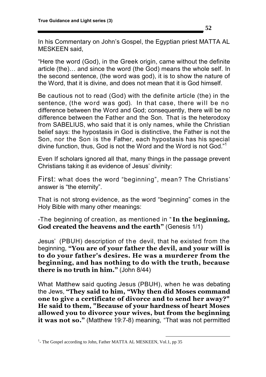In his Commentary on John's Gospel, the Egyptian priest MATTA AL MESKEEN said,

"Here the word (God), in the Greek origin, came without the definite article (the)… and since the word (the God) means the whole self. In the second sentence, (the word was god), it is to show the nature of the Word, that it is divine, and does not mean that it is God himself.

Be cautious not to read (God) with the definite article (the) in the sentence, (the word was god). In that case, there will be no difference between the Word and God; consequently, there will be no difference between the Father and the Son. That is the heterodoxy from SABELIUS, who said that it is only names, while the Christian belief says: the hypostasis in God is distinctive, the Father is not the Son, nor the Son is the Father, each hypostasis has his special divine function, thus, God is not the Word and the Word is not God."<sup>1</sup>

Even If scholars ignored all that, many things in the passage prevent Christians taking it as evidence of Jesus' divinity:

First: what does the word "beginning", mean? The Christians' answer is "the eternity".

That is not strong evidence, as the word "beginning" comes in the Holy Bible with many other meanings:

-The beginning of creation, as mentioned in " **In the beginning, God created the heavens and the earth"** (Genesis 1/1)

Jesus' (PBUH) description of the devil, that he existed from the beginning, **"You are of your father the devil, and your will is to do your father's desires. He was a murderer from the beginning, and has nothing to do with the truth, because there is no truth in him."** (John 8/44)

What Matthew said quoting Jesus (PBUH), when he was debating the Jews, **"They said to him, "Why then did Moses command one to give a certificate of divorce and to send her away?" He said to them, "Because of your hardness of heart Moses allowed you to divorce your wives, but from the beginning it was not so."** (Matthew 19:7-8) meaning, "That was not permitted

<u>.</u>

<sup>&</sup>lt;sup>1</sup>- The Gospel according to John, Father MATTA AL MESKEEN, Vol.1, pp 35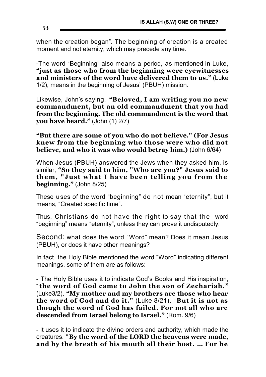when the creation began". The beginning of creation is a created moment and not eternity, which may precede any time.

-The word "Beginning" also means a period, as mentioned in Luke, **"just as those who from the beginning were eyewitnesses and ministers of the word have delivered them to us."** (Luke 1/2), means in the beginning of Jesus' (PBUH) mission.

Likewise, John's saying, **"Beloved, I am writing you no new commandment, but an old commandment that you had from the beginning. The old commandment is the word that you have heard."** (John (1) 2/7)

**"But there are some of you who do not believe." (For Jesus knew from the beginning who those were who did not believe, and who it was who would betray him.)** (John 6/64)

When Jesus (PBUH) answered the Jews when they asked him, is similar, **"So they said to him, "Who are you?" Jesus said to them, "Just what I have been telling you from the beginning."** (John 8/25)

These uses of the word "beginning" do not mean "eternity", but it means, "Created specific time".

Thus, Christians do not have the right to say that the word "beginning" means "eternity", unless they can prove it undisputedly.

Second: what does the word "Word" mean? Does it mean Jesus (PBUH), or does it have other meanings?

In fact, the Holy Bible mentioned the word "Word" indicating different meanings, some of them are as follows:

- The Holy Bible uses it to indicate God's Books and His inspiration, "**the word of God came to John the son of Zechariah."** (Luke3/2), **"My mother and my brothers are those who hear the word of God and do it."** (Luke 8/21), " **But it is not as though the word of God has failed. For not all who are descended from Israel belong to Israel."** (Rom. 9/6)

- It uses it to indicate the divine orders and authority, which made the creatures. " **By the word of the LORD the heavens were made, and by the breath of his mouth all their host. … For he**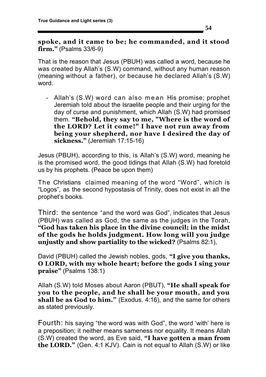**54**

**spoke, and it came to be; he commanded, and it stood firm."** (Psalms 33/6-9)

That is the reason that Jesus (PBUH) was called a word, because he was created by Allah's (S.W) command, without any human reason (meaning without a father), or because he declared Allah's (S.W) word.

- Allah's (S.W) word can also mean His promise; prophet Jeremiah told about the Israelite people and their urging for the day of curse and punishment, which Allah (S.W) had promised them. **"Behold, they say to me, "Where is the word of the LORD? Let it come!" I have not run away from being your shepherd, nor have I desired the day of sickness."** (Jeremiah 17:15-16)

Jesus (PBUH), according to this, is Allah's (S.W) word, meaning he is the promised word, the good tidings that Allah (S.W) had foretold us by his prophets. (Peace be upon them)

The Christians claimed meaning of the word "Word", which is "Logos", as the second hypostasis of Trinity, does not exist in all the prophet's books.

Third: the sentence "and the word was God", indicates that Jesus (PBUH) was called as God, the same as the judges in the Torah, **"God has taken his place in the divine council; in the midst of the gods he holds judgment. How long will you judge unjustly and show partiality to the wicked?** (Psalms 82:1),

David (PBUH) called the Jewish nobles, gods, **"I give you thanks, O LORD, with my whole heart; before the gods I sing your praise"** (Psalms 138:1)

Allah (S.W) told Moses about Aaron (PBUT), **"He shall speak for you to the people, and he shall be your mouth, and you shall be as God to him."** (Exodus. 4:16), and the same for others as stated previously.

Fourth: his saying "the word was with God", the word 'with' here is a preposition; it neither means sameness nor equality. It means Allah (S.W) created the word, as Eve said, **"I have gotten a man from the LORD."** (Gen. 4:1 KJV). Cain is not equal to Allah (S.W) or like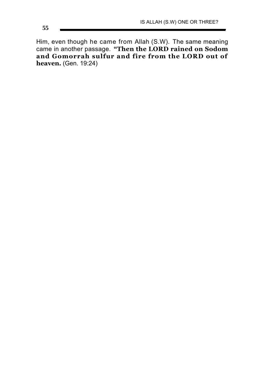Him, even though he came from Allah (S.W). The same meaning came in another passage. **"Then the LORD rained on Sodom and Gomorrah sulfur and fire from the LORD out of heaven.** (Gen. 19:24)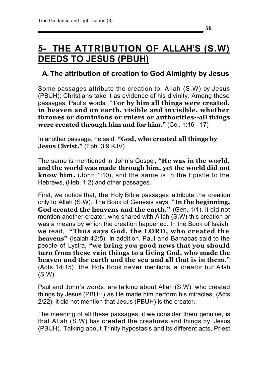# **5- THE ATTRIBUTION OF ALLAH'S (S.W) DEEDS TO JESUS (PBUH)**

### **A. The attribution of creation to God Almighty by Jesus**

Some passages attribute the creation to Allah (S.W) by Jesus (PBUH); Christians take it as evidence of his divinity. Among these passages, Paul's words, " **For by him all things were created, in heaven and on earth, visible and invisible, whether thrones or dominions or rulers or authorities--all things were created through him and for him."** (Col. 1:16 - 17)

In another passage, he said, **"God, who created all things by Jesus Christ."** (Eph. 3:9 KJV)

The same is mentioned in John's Gospel, **"He was in the world, and the world was made through him, yet the world did not know him.** (John 1:10), and the same is in the Epistle to the Hebrews, (Heb. 1:2) and other passages.

First, we notice that, the Holy Bible passages attribute the creation only to Allah (S.W). The Book of Genesis says, " **In the beginning, God created the heavens and the earth."** (Gen. 1/1), it did not mention another creator, who shared with Allah (S.W) this creation or was a means by which the creation happened. In the Book of Isaiah, we read, **"Thus says God, the LORD, who created the heavens"** (Isaiah 42:5). In addition, Paul and Barnabas said to the people of Lystra, **"we bring you good news that you should turn from these vain things to a living God, who made the heaven and the earth and the sea and all that is in them."**  (Acts 14:15), the Holy Book never mentions a creator but Allah (S.W).

Paul and John's words, are talking about Allah (S.W), who created things by Jesus (PBUH) as He made him perform his miracles, (Acts 2/22), it did not mention that Jesus (PBUH) is the creator.

The meaning of all these passages, if we consider them genuine, is that Allah (S.W) has created the creatures and things by Jesus (PBUH). Talking about Trinity hypostasis and its different acts, Priest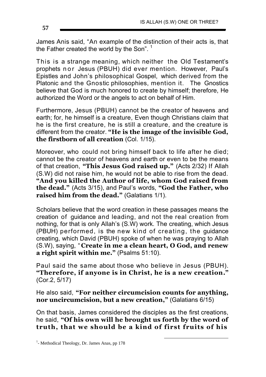James Anis said, "An example of the distinction of their acts is, that the Father created the world by the Son".<sup>1</sup>

This is a strange meaning, which neither the Old Testament's prophets nor Jesus (PBUH) did ever mention. However, Paul's Epistles and John's philosophical Gospel, which derived from the Platonic and the Gnostic philosophies, mention it. The Gnostics believe that God is much honored to create by himself; therefore, He authorized the Word or the angels to act on behalf of Him.

Furthermore, Jesus (PBUH) cannot be the creator of heavens and earth; for, he himself is a creature, Even though Christians claim that he is the first creature, he is still a creature, and the creature is different from the creator. **"He is the image of the invisible God, the firstborn of all creation** (Col. 1/15).

Moreover, who could not bring himself back to life after he died; cannot be the creator of heavens and earth or even to be the means of that creation, **"This Jesus God raised up."** (Acts 2/32) If Allah (S.W) did not raise him, he would not be able to rise from the dead. **"And you killed the Author of life, whom God raised from the dead."** (Acts 3/15), and Paul's words, **"God the Father, who raised him from the dead."** (Galatians 1/1).

Scholars believe that the word creation in these passages means the creation of guidance and leading, and not the real creation from nothing, for that is only Allah's (S.W) work. The creating, which Jesus (PBUH) performed, is the new kind of creating, the guidance creating, which David (PBUH) spoke of when he was praying to Allah (S.W), saying, " **Create in me a clean heart, O God, and renew a right spirit within me."** (Psalms 51:10).

Paul said the same about those who believe in Jesus (PBUH). **"Therefore, if anyone is in Christ, he is a new creation."** (Cor.2, 5/17)

He also said, **"For neither circumcision counts for anything, nor uncircumcision, but a new creation,"** (Galatians 6/15)

On that basis, James considered the disciples as the first creations, he said, **"Of his own will he brought us forth by the word of truth, that we should be a kind of first fruits of his** 

 $\overline{a}$ 

<sup>&</sup>lt;sup>1</sup>- Methodical Theology, Dr. James Anas, pp 178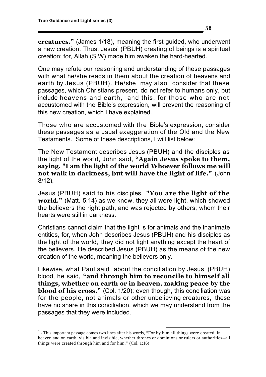**creatures."** (James 1/18), meaning the first guided, who underwent a new creation. Thus, Jesus' (PBUH) creating of beings is a spiritual creation; for, Allah (S.W) made him awaken the hard-hearted.

One may refute our reasoning and understanding of these passages with what he/she reads in them about the creation of heavens and earth by Jesus (PBUH). He/she may also consider that these passages, which Christians present, do not refer to humans only, but include heavens and earth, and this, for those who are not accustomed with the Bible's expression, will prevent the reasoning of this new creation, which I have explained.

Those who are accustomed with the Bible's expression, consider these passages as a usual exaggeration of the Old and the New Testaments. Some of these descriptions, I will list below:

The New Testament describes Jesus (PBUH) and the disciples as the light of the world, John said, **"Again Jesus spoke to them, saying, "I am the light of the world Whoever follows me will not walk in darkness, but will have the light of life."** (John 8/12),

Jesus (PBUH) said to his disciples, **"You are the light of the world."** (Matt. 5:14) as we know, they all were light, which showed the believers the right path, and was rejected by others; whom their hearts were still in darkness.

Christians cannot claim that the light is for animals and the inanimate entities, for, when John describes Jesus (PBUH) and his disciples as the light of the world, they did not light anything except the heart of the believers. He described Jesus (PBUH) as the means of the new creation of the world, meaning the believers only.

Likewise, what Paul said $^1$  about the conciliation by Jesus' (PBUH) blood, he said, **"and through him to reconcile to himself all things, whether on earth or in heaven, making peace by the blood of his cross."** (Col. 1/20); even though, this conciliation was for the people, not animals or other unbelieving creatures, these have no share in this conciliation, which we may understand from the passages that they were included.

<u>.</u>

 $<sup>1</sup>$  - This important passage comes two lines after his words, "For by him all things were created, in</sup> heaven and on earth, visible and invisible, whether thrones or dominions or rulers or authorities--all things were created through him and for him." (Col. 1:16)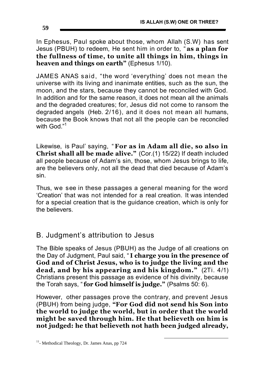In Ephesus, Paul spoke about those, whom Allah (S.W) has sent Jesus (PBUH) to redeem, He sent him in order to, " **as a plan for the fullness of time, to unite all things in him, things in heaven and things on earth"** (Ephesus 1/10).

JAMES ANAS said, "the word 'everything' does not mean the universe with its living and inanimate entities, such as the sun, the moon, and the stars, because they cannot be reconciled with God. In addition and for the same reason, it does not mean all the animals and the degraded creatures; for, Jesus did not come to ransom the degraded angels (Heb. 2/16), and it does not mean all humans, because the Book knows that not all the people can be reconciled with God."<sup>1</sup>

Likewise, is Paul' saying, " **For as in Adam all die, so also in Christ shall all be made alive."** (Cor.(1) 15/22) If death included all people because of Adam's sin, those, whom Jesus brings to life, are the believers only, not all the dead that died because of Adam's sin.

Thus, we see in these passages a general meaning for the word 'Creation' that was not intended for a real creation. It was intended for a special creation that is the guidance creation, which is only for the believers.

### B. Judgment's attribution to Jesus

The Bible speaks of Jesus (PBUH) as the Judge of all creations on the Day of Judgment, Paul said, " **I charge you in the presence of God and of Christ Jesus, who is to judge the living and the dead, and by his appearing and his kingdom."** (2Ti. 4/1) Christians present this passage as evidence of his divinity, because the Torah says, "**for God himself is judge."** (Psalms 50: 6).

However, other passages prove the contrary, and prevent Jesus (PBUH) from being judge, **"For God did not send his Son into the world to judge the world, but in order that the world might be saved through him. He that believeth on him is not judged: he that believeth not hath been judged already,**

 $\overline{a}$ 

<sup>&</sup>lt;sup>11</sup>- Methodical Theology, Dr. James Anas, pp 724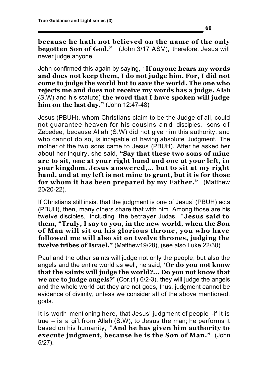**60**

**because he hath not believed on the name of the only begotten Son of God."** (John 3/17 ASV), therefore, Jesus will never judge anyone.

John confirmed this again by saying, " **If anyone hears my words and does not keep them, I do not judge him. For, I did not come to judge the world but to save the world. The one who rejects me and does not receive my words has a judge.** Allah (S.W) and his statute) **the word that I have spoken will judge him on the last day."** (John 12:47-48)

Jesus (PBUH), whom Christians claim to be the Judge of all, could not guarantee heaven for his cousins and disciples, sons of Zebedee, because Allah (S.W) did not give him this authority, and who cannot do so, is incapable of having absolute Judgment. The mother of the two sons came to Jesus (PBUH). After he asked her about her inquiry, she said, **"Say that these two sons of mine are to sit, one at your right hand and one at your left, in your kingdom. Jesus answered,… but to sit at my right hand, and at my left is not mine to grant, but it is for those for whom it has been prepared by my Father."** (Matthew 20/20-22).

If Christians still insist that the judgment is one of Jesus' (PBUH) acts (PBUH), then, many others share that with him. Among those are his twelve disciples, including the betrayer Judas. " **Jesus said to them, "Truly, I say to you, in the new world, when the Son of Man will sit on his glorious throne, you who have followed me will also sit on twelve thrones, judging the twelve tribes of Israel.''** (Matthew19/28), (see also Luke 22/30)

Paul and the other saints will judge not only the people, but also the angels and the entire world as well, he said, **'Or do you not know that the saints will judge the world?... Do you not know that we are to judge angels?'** (Cor.(1) 6/2-3), they will judge the angels and the whole world but they are not gods, thus, judgment cannot be evidence of divinity, unless we consider all of the above mentioned, gods.

It is worth mentioning here, that Jesus' judgment of people -if it is true – is a gift from Allah (S.W), to Jesus the man; he performs it based on his humanity, " **And he has given him authority to execute judgment, because he is the Son of Man."** (John 5/27).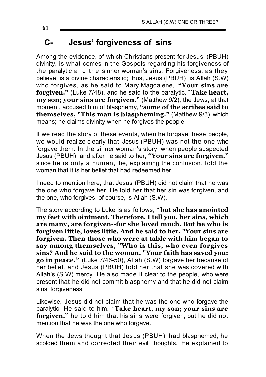## **C- Jesus' forgiveness of sins**

Among the evidence, of which Christians present for Jesus' (PBUH) divinity, is what comes in the Gospels regarding his forgiveness of the paralytic and the sinner woman's sins. Forgiveness, as they believe, is a divine characteristic; thus, Jesus (PBUH) is Allah (S.W) who forgives, as he said to Mary Magdalene, **"Your sins are forgiven."** (Luke 7/48), and he said to the paralytic, "**Take heart, my son; your sins are forgiven."** (Matthew 9/2), the Jews, at that moment, accused him of blasphemy, **"some of the scribes said to themselves, "This man is blaspheming."** (Matthew 9/3) which means; he claims divinity when he forgives the people.

If we read the story of these events, when he forgave these people, we would realize clearly that Jesus (PBUH) was not the one who forgave them. In the sinner woman's story, when people suspected Jesus (PBUH), and after he said to her, **"Your sins are forgiven."** since he is only a human, he, explaining the confusion, told the woman that it is her belief that had redeemed her.

I need to mention here, that Jesus (PBUH) did not claim that he was the one who forgave her. He told her that her sin was forgiven, and the one, who forgives, of course, is Allah (S.W).

The story according to Luke is as follows, " **but she has anointed my feet with ointment. Therefore, I tell you, her sins, which are many, are forgiven--for she loved much. But he who is forgiven little, loves little. And he said to her, "Your sins are forgiven. Then those who were at table with him began to say among themselves, "Who is this, who even forgives sins? And he said to the woman, "Your faith has saved you; go in peace."** (Luke 7/46-50), Allah (S.W) forgave her because of her belief, and Jesus (PBUH) told her that she was covered with Allah's (S.W) mercy. He also made it clear to the people, who were present that he did not commit blasphemy and that he did not claim sins' forgiveness.

Likewise, Jesus did not claim that he was the one who forgave the paralytic. He said to him, "**Take heart, my son; your sins are forgiven."** he told him that his sins were forgiven, but he did not mention that he was the one who forgave.

When the Jews thought that Jesus (PBUH) had blasphemed, he scolded them and corrected their evil thoughts. He explained to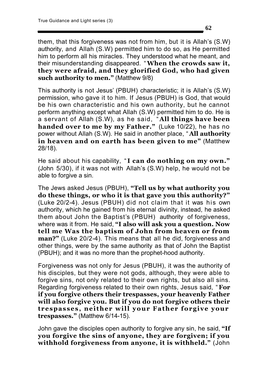them, that this forgiveness was not from him, but it is Allah's (S.W) authority, and Allah (S.W) permitted him to do so, as He permitted him to perform all his miracles. They understood what he meant, and their misunderstanding disappeared. "**When the crowds saw it, they were afraid, and they glorified God, who had given such authority to men."** (Matthew 9/8)

This authority is not Jesus' (PBUH) characteristic; it is Allah's (S.W) permission, who gave it to him. If Jesus (PBUH) is God, that would be his own characteristic and his own authority, but he cannot perform anything except what Allah (S.W) permitted him to do. He is a servant of Allah (S.W), as he said, " **All things have been handed over to me by my Father."** (Luke 10/22), he has no power without Allah (S.W). He said in another place, " **All authority in heaven and on earth has been given to me"** (Matthew 28/18).

He said about his capability, " **I can do nothing on my own."** (John 5/30), if it was not with Allah's (S.W) help, he would not be able to forgive a sin.

The Jews asked Jesus (PBUH), **"Tell us by what authority you do these things, or who it is that gave you this authority?"** (Luke 20/2-4). Jesus (PBUH) did not claim that it was his own authority, which he gained from his eternal divinity, instead, he asked them about John the Baptist's (PBUH) authority of forgiveness, where was it from. He said, **"I also will ask you a question. Now tell me Was the baptism of John from heaven or from man?"** (Luke 20/2-4). This means that all he did, forgiveness and other things, were by the same authority as that of John the Baptist (PBUH); and it was no more than the prophet-hood authority.

Forgiveness was not only for Jesus (PBUH), it was the authority of his disciples, but they were not gods, although, they were able to forgive sins, not only related to their own rights, but also all sins. Regarding forgiveness related to their own rights, Jesus said, " **For if you forgive others their trespasses, your heavenly Father will also forgive you. But if you do not forgive others their trespasses, neither will your Father forgive your trespasses."** (Matthew 6/14-15).

John gave the disciples open authority to forgive any sin, he said, **"If you forgive the sins of anyone, they are forgiven; if you withhold forgiveness from anyone, it is withheld."** (John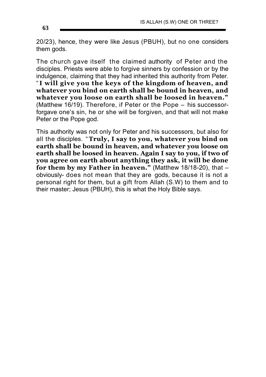20/23), hence, they were like Jesus (PBUH), but no one considers them gods.

The church gave itself the claimed authority of Peter and the disciples. Priests were able to forgive sinners by confession or by the indulgence, claiming that they had inherited this authority from Peter. " **I will give you the keys of the kingdom of heaven, and whatever you bind on earth shall be bound in heaven, and whatever you loose on earth shall be loosed in heaven."** (Matthew 16/19). Therefore, if Peter or the Pope – his successorforgave one's sin, he or she will be forgiven, and that will not make Peter or the Pope god.

This authority was not only for Peter and his successors, but also for all the disciples. "**Truly, I say to you, whatever you bind on earth shall be bound in heaven, and whatever you loose on earth shall be loosed in heaven. Again I say to you, if two of you agree on earth about anything they ask, it will be done for them by my Father in heaven."** (Matthew 18/18-20), that – obviously- does not mean that they are gods, because it is not a personal right for them, but a gift from Allah (S.W) to them and to their master; Jesus (PBUH), this is what the Holy Bible says.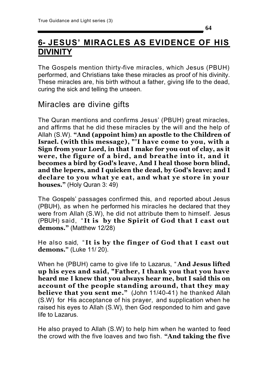# **6- JESUS' MIRACLES AS EVIDENCE OF HIS DIVINITY**

**64**

The Gospels mention thirty-five miracles, which Jesus (PBUH) performed, and Christians take these miracles as proof of his divinity. These miracles are, his birth without a father, giving life to the dead, curing the sick and telling the unseen.

## Miracles are divine gifts

The Quran mentions and confirms Jesus' (PBUH) great miracles, and affirms that he did these miracles by the will and the help of Allah (S.W). **"And (appoint him) an apostle to the Children of Israel. (with this message), "'I have come to you, with a Sign from your Lord, in that I make for you out of clay, as it were, the figure of a bird, and breathe into it, and it becomes a bird by God's leave, And I heal those born blind, and the lepers, and I quicken the dead, by God's leave; and I declare to you what ye eat, and what ye store in your houses."** (Holy Quran 3: 49)

The Gospels' passages confirmed this, and reported about Jesus (PBUH), as when he performed his miracles he declared that they were from Allah (S.W), he did not attribute them to himself. Jesus (PBUH) said, " **It is by the Spirit of God that I cast out demons."** (Matthew 12/28)

He also said, " **It is by the finger of God that I cast out demons."** (Luke 11/ 20).

When he (PBUH) came to give life to Lazarus, " **And Jesus lifted up his eyes and said, "Father, I thank you that you have heard me I knew that you always hear me, but I said this on account of the people standing around, that they may believe that you sent me."** (John 11/40-41) he thanked Allah (S.W) for His acceptance of his prayer, and supplication when he raised his eyes to Allah (S.W), then God responded to him and gave life to Lazarus.

He also prayed to Allah (S.W) to help him when he wanted to feed the crowd with the five loaves and two fish. **"And taking the five**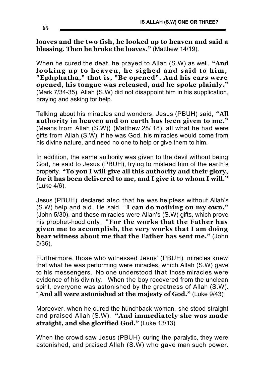**loaves and the two fish, he looked up to heaven and said a blessing. Then he broke the loaves."** (Matthew 14/19).

When he cured the deaf, he prayed to Allah (S.W) as well, **"And looking up to heaven, he sighed and said to him, "Ephphatha," that is, "Be opened". And his ears were opened, his tongue was released, and he spoke plainly."** (Mark 7/34-35), Allah (S.W) did not disappoint him in his supplication, praying and asking for help.

Talking about his miracles and wonders, Jesus (PBUH) said, **"All authority in heaven and on earth has been given to me."** (Means from Allah (S.W)) (Matthew 28/ 18), all what he had were gifts from Allah (S.W), if he was God, his miracles would come from his divine nature, and need no one to help or give them to him.

In addition, the same authority was given to the devil without being God, he said to Jesus (PBUH), trying to mislead him of the earth's property. **"To you I will give all this authority and their glory, for it has been delivered to me, and I give it to whom I will."** (Luke 4/6).

Jesus (PBUH) declared also that he was helpless without Allah's (S.W) help and aid. He said, " **I can do nothing on my own."** (John 5/30), and these miracles were Allah's (S.W) gifts, which prove his prophet-hood only. " **For the works that the Father has given me to accomplish, the very works that I am doing bear witness about me that the Father has sent me."** (John 5/36).

Furthermore, those who witnessed Jesus' (PBUH) miracles knew that what he was performing were miracles, which Allah (S.W) gave to his messengers. No one understood that those miracles were evidence of his divinity. When the boy recovered from the unclean spirit, everyone was astonished by the greatness of Allah (S.W). " **And all were astonished at the majesty of God."** (Luke 9/43)

Moreover, when he cured the hunchback woman, she stood straight and praised Allah (S.W). **"And immediately she was made straight, and she glorified God."** (Luke 13/13)

When the crowd saw Jesus (PBUH) curing the paralytic, they were astonished, and praised Allah (S.W) who gave man such power.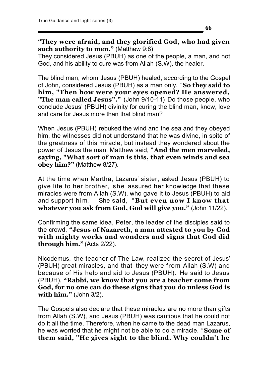**"They were afraid, and they glorified God, who had given such authority to men."** (Matthew 9:8)

They considered Jesus (PBUH) as one of the people, a man, and not God, and his ability to cure was from Allah (S.W), the healer.

The blind man, whom Jesus (PBUH) healed, according to the Gospel of John, considered Jesus (PBUH) as a man only. " **So they said to him, "Then how were your eyes opened? He answered, "The man called Jesus"."** (John 9/10-11) Do those people, who conclude Jesus' (PBUH) divinity for curing the blind man, know, love and care for Jesus more than that blind man?

When Jesus (PBUH) rebuked the wind and the sea and they obeyed him, the witnesses did not understand that he was divine, in spite of the greatness of this miracle, but instead they wondered about the power of Jesus the man. Matthew said, " **And the men marveled, saying, "What sort of man is this, that even winds and sea obey him?"** (Matthew 8/27).

At the time when Martha, Lazarus' sister, asked Jesus (PBUH) to give life to her brother, she assured her knowledge that these miracles were from Allah (S.W), who gave it to Jesus (PBUH) to aid and support him. She said, " **But even now I know that whatever you ask from God, God will give you."** (John 11/22).

Confirming the same idea, Peter, the leader of the disciples said to the crowd, **"Jesus of Nazareth, a man attested to you by God with mighty works and wonders and signs that God did through him."** (Acts 2/22).

Nicodemus, the teacher of The Law, realized the secret of Jesus' (PBUH) great miracles, and that they were from Allah (S.W) and because of His help and aid to Jesus (PBUH). He said to Jesus (PBUH), **"Rabbi, we know that you are a teacher come from God, for no one can do these signs that you do unless God is with him."** (John 3/2).

The Gospels also declare that these miracles are no more than gifts from Allah (S.W), and Jesus (PBUH) was cautious that he could not do it all the time. Therefore, when he came to the dead man Lazarus, he was worried that he might not be able to do a miracle. " **Some of them said, "He gives sight to the blind. Why couldn't he**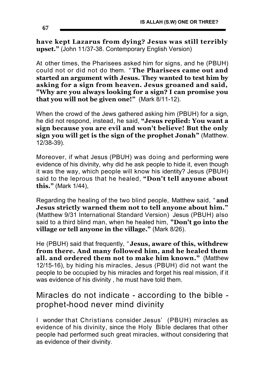**have kept Lazarus from dying? Jesus was still terribly upset."** (John 11/37-38. Contemporary English Version)

At other times, the Pharisees asked him for signs, and he (PBUH) could not or did not do them. "**The Pharisees came out and started an argument with Jesus. They wanted to test him by asking for a sign from heaven. Jesus groaned and said, "Why are you always looking for a sign? I can promise you that you will not be given one!"** (Mark 8/11-12).

When the crowd of the Jews gathered asking him (PBUH) for a sign, he did not respond, instead, he said, **"Jesus replied: You want a sign because you are evil and won't believe! But the only sign you will get is the sign of the prophet Jonah"** (Matthew. 12/38-39).

Moreover, if what Jesus (PBUH) was doing and performing were evidence of his divinity, why did he ask people to hide it, even though it was the way, which people will know his identity? Jesus (PBUH) said to the leprous that he healed, **"Don't tell anyone about this."** (Mark 1/44),

Regarding the healing of the two blind people, Matthew said, " **and Jesus strictly warned them not to tell anyone about him."** (Matthew 9/31 International Standard Version) Jesus (PBUH) also said to a third blind man, when he healed him, **"Don't go into the village or tell anyone in the village."** (Mark 8/26).

He (PBUH) said that frequently, " **Jesus, aware of this, withdrew from there. And many followed him, and he healed them all. and ordered them not to make him known."** (Matthew 12/15-16), by hiding his miracles, Jesus (PBUH) did not want the people to be occupied by his miracles and forget his real mission, if it was evidence of his divinity , he must have told them.

### Miracles do not indicate - according to the bible prophet-hood never mind divinity

I wonder that Christians consider Jesus' (PBUH) miracles as evidence of his divinity, since the Holy Bible declares that other people had performed such great miracles, without considering that as evidence of their divinity.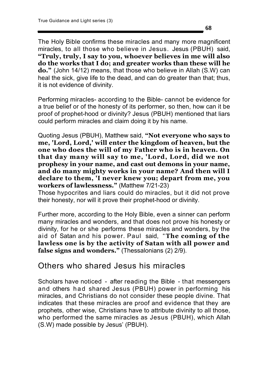**68**

The Holy Bible confirms these miracles and many more magnificent miracles, to all those who believe in Jesus. Jesus (PBUH) said, **"Truly, truly, I say to you, whoever believes in me will also do the works that I do; and greater works than these will he do."** (John 14/12) means, that those who believe in Allah (S.W) can heal the sick, give life to the dead, and can do greater than that; thus, it is not evidence of divinity.

Performing miracles- according to the Bible- cannot be evidence for a true belief or of the honesty of its performer, so then, how can it be proof of prophet-hood or divinity? Jesus (PBUH) mentioned that liars could perform miracles and claim doing it by his name.

Quoting Jesus (PBUH), Matthew said, **"Not everyone who says to me, 'Lord, Lord,' will enter the kingdom of heaven, but the one who does the will of my Father who is in heaven. On that day many will say to me, 'Lord, Lord, did we not prophesy in your name, and cast out demons in your name, and do many mighty works in your name? And then will I declare to them, 'I never knew you; depart from me, you workers of lawlessness."** (Matthew 7/21-23)

Those hypocrites and liars could do miracles, but it did not prove their honesty, nor will it prove their prophet-hood or divinity.

Further more, according to the Holy Bible, even a sinner can perform many miracles and wonders, and that does not prove his honesty or divinity, for he or she performs these miracles and wonders, by the aid of Satan and his power. Paul said, "**The coming of the lawless one is by the activity of Satan with all power and false signs and wonders."** (Thessalonians (2) 2/9).

### Others who shared Jesus his miracles

Scholars have noticed - after reading the Bible - that messengers and others had shared Jesus (PBUH) power in performing his miracles, and Christians do not consider these people divine. That indicates that these miracles are proof and evidence that they are prophets, other wise, Christians have to attribute divinity to all those, who performed the same miracles as Jesus (PBUH), which Allah (S.W) made possible by Jesus' (PBUH).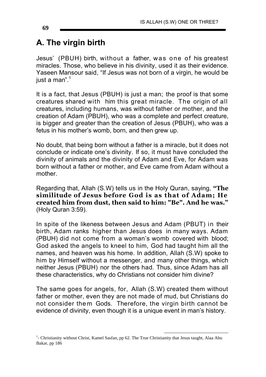## **A. The virgin birth**

Jesus' (PBUH) birth, without a father, was one of his greatest miracles. Those, who believe in his divinity, used it as their evidence. Yaseen Mansour said, "If Jesus was not born of a virgin, he would be just a man". $1$ 

It is a fact, that Jesus (PBUH) is just a man; the proof is that some creatures shared with him this great miracle. The origin of all creatures, including humans, was without father or mother, and the creation of Adam (PBUH), who was a complete and perfect creature, is bigger and greater than the creation of Jesus (PBUH), who was a fetus in his mother's womb, born, and then grew up.

No doubt, that being born without a father is a miracle, but it does not conclude or indicate one's divinity. If so, it must have concluded the divinity of animals and the divinity of Adam and Eve, for Adam was born without a father or mother, and Eve came from Adam without a mother.

Regarding that, Allah (S.W) tells us in the Holy Quran, saying, **"The similitude of Jesus before God is as that of Adam; He created him from dust, then said to him: "Be". And he was."** (Holy Quran 3:59).

In spite of the likeness between Jesus and Adam (PBUT) in their birth, Adam ranks higher than Jesus does in many ways. Adam (PBUH) did not come from a woman's womb covered with blood; God asked the angels to kneel to him, God had taught him all the names, and heaven was his home. In addition, Allah (S.W) spoke to him by Himself without a messenger, and many other things, which neither Jesus (PBUH) nor the others had. Thus, since Adam has all these characteristics, why do Christians not consider him divine?

The same goes for angels, for, Allah (S.W) created them without father or mother, even they are not made of mud, but Christians do not consider them Gods. Therefore, the virgin birth cannot be evidence of divinity, even though it is a unique event in man's history.

 $\overline{a}$ <sup>1</sup>- Christianity without Christ, Kamel Sasfan, pp 62. The True Christianity that Jesus taught, Alaa Abu Bakar, pp 186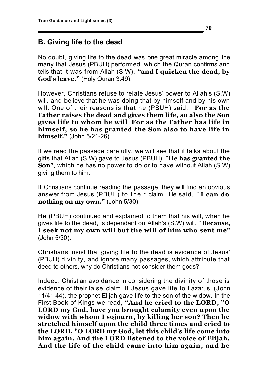### **B. Giving life to the dead**

No doubt, giving life to the dead was one great miracle among the many that Jesus (PBUH) performed, which the Quran confirms and tells that it was from Allah (S.W). **"and I quicken the dead, by God's leave."** (Holy Quran 3:49).

However, Christians refuse to relate Jesus' power to Allah's (S.W) will, and believe that he was doing that by himself and by his own will. One of their reasons is that he (PBUH) said, " **For as the Father raises the dead and gives them life, so also the Son gives life to whom he will For as the Father has life in himself, so he has granted the Son also to have life in himself."** (John 5/21-26).

If we read the passage carefully, we will see that it talks about the gifts that Allah (S.W) gave to Jesus (PBUH), "**He has granted the Son"**, which he has no power to do or to have without Allah (S.W) giving them to him.

If Christians continue reading the passage, they will find an obvious answer from Jesus (PBUH) to their claim. He said, " **I can do nothing on my own."** (John 5/30).

He (PBUH) continued and explained to them that his will, when he gives life to the dead, is dependant on Allah's (S.W) will. " **Because, I seek not my own will but the will of him who sent me"** (John 5/30).

Christians insist that giving life to the dead is evidence of Jesus' (PBUH) divinity, and ignore many passages, which attribute that deed to others, why do Christians not consider them gods?

Indeed, Christian avoidance in considering the divinity of those is evidence of their false claim. If Jesus gave life to Lazarus, (John 11/41-44), the prophet Elijah gave life to the son of the widow. In the First Book of Kings we read, **"And he cried to the LORD, "O LORD my God, have you brought calamity even upon the widow with whom I sojourn, by killing her son? Then he stretched himself upon the child three times and cried to the LORD, "O LORD my God, let this child's life come into him again. And the LORD listened to the voice of Elijah. And the life of the child came into him again, and he**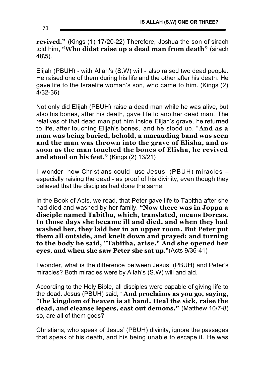**revived."** (Kings (1) 17/20-22) Therefore, Joshua the son of sirach told him, **"Who didst raise up a dead man from death"** (sirach 48\5).

Elijah (PBUH) - with Allah's (S.W) will - also raised two dead people. He raised one of them during his life and the other after his death. He gave life to the Israelite woman's son, who came to him. (Kings (2) 4/32-36)

Not only did Elijah (PBUH) raise a dead man while he was alive, but also his bones, after his death, gave life to another dead man. The relatives of that dead man put him inside Elijah's grave, he returned to life, after touching Elijah's bones, and he stood up. " **And as a man was being buried, behold, a marauding band was seen and the man was thrown into the grave of Elisha, and as soon as the man touched the bones of Elisha, he revived and stood on his feet."** (Kings (2) 13/21)

I wonder how Christians could use Jesus' (PBUH) miracles – especially raising the dead - as proof of his divinity, even though they believed that the disciples had done the same.

In the Book of Acts, we read, that Peter gave life to Tabitha after she had died and washed by her family. **"Now there was in Joppa a disciple named Tabitha, which, translated, means Dorcas. In those days she became ill and died, and when they had washed her, they laid her in an upper room. But Peter put them all outside, and knelt down and prayed; and turning to the body he said, "Tabitha, arise." And she opened her eyes, and when she saw Peter she sat up."**(Acts 9/36-41)

I wonder, what is the difference between Jesus' (PBUH) and Peter's miracles? Both miracles were by Allah's (S.W) will and aid.

According to the Holy Bible, all disciples were capable of giving life to the dead. Jesus (PBUH) said, " **And proclaims as you go, saying, 'The kingdom of heaven is at hand. Heal the sick, raise the dead, and cleanse lepers, cast out demons."** (Matthew 10/7-8) so, are all of them gods?

Christians, who speak of Jesus' (PBUH) divinity, ignore the passages that speak of his death, and his being unable to escape it. He was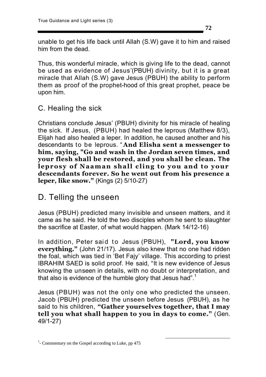**72**

unable to get his life back until Allah (S.W) gave it to him and raised him from the dead.

Thus, this wonderful miracle, which is giving life to the dead, cannot be used as evidence of Jesus'(PBUH) divinity, but it is a great miracle that Allah (S.W) gave Jesus (PBUH) the ability to perform them as proof of the prophet-hood of this great prophet, peace be upon him.

### C. Healing the sick

Christians conclude Jesus' (PBUH) divinity for his miracle of healing the sick. If Jesus, (PBUH) had healed the leprous (Matthew 8/3), Elijah had also healed a leper. In addition, he caused another and his descendants to be leprous. " **And Elisha sent a messenger to him, saying, "Go and wash in the Jordan seven times, and your flesh shall be restored, and you shall be clean. The leprosy of Naaman shall cling to you and to your descendants forever. So he went out from his presence a leper, like snow."** (Kings (2) 5/10-27)

## D. Telling the unseen

Jesus (PBUH) predicted many invisible and unseen matters, and it came as he said. He told the two disciples whom he sent to slaughter the sacrifice at Easter, of what would happen. (Mark 14/12-16)

In addition, Peter said to Jesus (PBUH), **"Lord, you know everything."** (John 21/17). Jesus also knew that no one had ridden the foal, which was tied in 'Bet Fajy' village. This according to priest IBRAHIM SAED is solid proof. He said, "It is new evidence of Jesus knowing the unseen in details, with no doubt or interpretation, and that also is evidence of the humble glory that Jesus had".<sup>1</sup>

Jesus (PBUH) was not the only one who predicted the unseen. Jacob (PBUH) predicted the unseen before Jesus (PBUH), as he said to his children, **"Gather yourselves together, that I may tell you what shall happen to you in days to come."** (Gen. 49/1-27)

<u>.</u>

<sup>&</sup>lt;sup>1</sup>- Commentary on the Gospel according to Luke, pp 475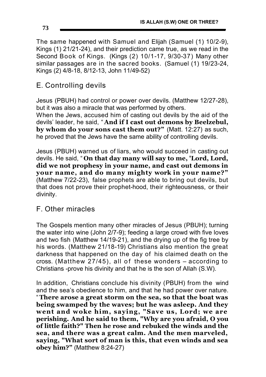The same happened with Samuel and Elijah (Samuel (1) 10/2-9), Kings (1) 21/21-24), and their prediction came true, as we read in the Second Book of Kings. (Kings (2) 10/1-17, 9/30-37) Many other similar passages are in the sacred books. (Samuel (1) 19/23-24, Kings (2) 4/8-18, 8/12-13, John 11/49-52)

#### E. Controlling devils

Jesus (PBUH) had control or power over devils. (Matthew 12/27-28), but it was also a miracle that was performed by others.

When the Jews, accused him of casting out devils by the aid of the devils' leader, he said, " **And if I cast out demons by Beelzebul, by whom do your sons cast them out?"** (Matt. 12:27) as such, he proved that the Jews have the same ability of controlling devils.

Jesus (PBUH) warned us of liars, who would succeed in casting out devils. He said, " **On that day many will say to me, 'Lord, Lord, did we not prophesy in your name, and cast out demons in your name, and do many mighty work in your name?"** (Matthew 7/22-23), false prophets are able to bring out devils, but that does not prove their prophet-hood, their righteousness, or their divinity.

#### F. Other miracles

The Gospels mention many other miracles of Jesus (PBUH); turning the water into wine (John 2/7-9); feeding a large crowd with five loves and two fish (Matthew 14/19-21), and the drying up of the fig tree by his words. (Matthew 21/18-19) Christians also mention the great darkness that happened on the day of his claimed death on the cross. (Matthew 27/45), all of these wonders – according to Christians -prove his divinity and that he is the son of Allah (S.W).

In addition, Christians conclude his divinity (PBUH) from the wind and the sea's obedience to him, and that he had power over nature. "**There arose a great storm on the sea, so that the boat was being swamped by the waves; but he was asleep. And they went and woke him, saying, "Save us, Lord; we are perishing. And he said to them, "Why are you afraid, O you of little faith?" Then he rose and rebuked the winds and the sea, and there was a great calm. And the men marveled, saying, "What sort of man is this, that even winds and sea obey him?"** (Matthew 8:24-27)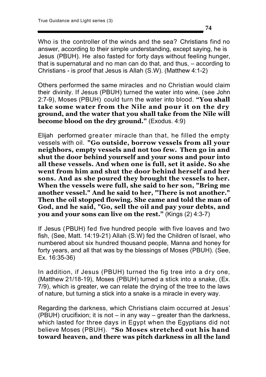Who is the controller of the winds and the sea? Christians find no answer, according to their simple understanding, except saying, he is Jesus (PBUH). He also fasted for forty days without feeling hunger, that is supernatural and no man can do that, and thus, – according to Christians - is proof that Jesus is Allah (S.W). (Matthew 4:1-2)

Others performed the same miracles and no Christian would claim their divinity. If Jesus (PBUH) turned the water into wine, (see John 2:7-9), Moses (PBUH) could turn the water into blood. **"You shall take some water from the Nile and pour it on the dry ground, and the water that you shall take from the Nile will become blood on the dry ground."** (Exodus. 4:9)

Elijah performed greater miracle than that, he filled the empty vessels with oil. **"Go outside, borrow vessels from all your neighbors, empty vessels and not too few. Then go in and shut the door behind yourself and your sons and pour into all these vessels. And when one is full, set it aside. So she went from him and shut the door behind herself and her sons. And as she poured they brought the vessels to her. When the vessels were full, she said to her son, "Bring me another vessel." And he said to her, "There is not another." Then the oil stopped flowing. She came and told the man of God, and he said, "Go, sell the oil and pay your debts, and you and your sons can live on the rest."** (Kings (2) 4:3-7)

If Jesus (PBUH) fed five hundred people with five loaves and two fish, (See, Matt. 14:19-21) Allah (S.W) fed the Children of Israel, who numbered about six hundred thousand people, Manna and honey for forty years, and all that was by the blessings of Moses (PBUH). (See, Ex. 16:35-36)

In addition, if Jesus (PBUH) turned the fig tree into a dry one, (Matthew 21/18-19), Moses (PBUH) turned a stick into a snake, (Ex. 7/9), which is greater, we can relate the drying of the tree to the laws of nature, but turning a stick into a snake is a miracle in every way.

Regarding the darkness, which Christians claim occurred at Jesus' (PBUH) crucifixion; it is not – in any way – greater than the darkness, which lasted for three days in Egypt when the Egyptians did not believe Moses (PBUH). **"So Moses stretched out his hand toward heaven, and there was pitch darkness in all the land**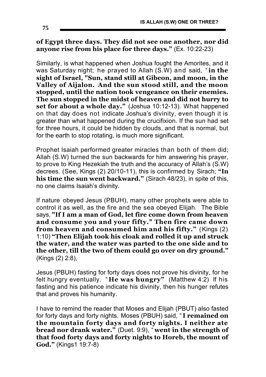**of Egypt three days. They did not see one another, nor did anyone rise from his place for three days."** (Ex. 10:22-23)

Similarly, is what happened when Joshua fought the Amorites, and it was Saturday night; he prayed to Allah (S.W) and said, "**in the sight of Israel, "Sun, stand still at Gibeon, and moon, in the Valley of Aijalon. And the sun stood still, and the moon stopped, until the nation took vengeance on their enemies. The sun stopped in the midst of heaven and did not hurry to set for about a whole day."** (Joshua 10:12-13). What happened on that day does not indicate Joshua's divinity, even though it is greater than what happened during the crucifixion. If the sun had set for three hours, it could be hidden by clouds, and that is normal, but for the earth to stop rotating, is much more significant.

Prophet Isaiah performed greater miracles than both of them did; Allah (S.W) turned the sun backwards for him answering his prayer, to prove to King Hezekiah the truth and the accuracy of Allah's (S.W) decrees. (See, Kings (2) 20/10-11), this is confirmed by Sirach; **"In his time the sun went backward."** (Sirach 48/23), in spite of this, no one claims Isaiah's divinity.

If nature obeyed Jesus (PBUH), many other prophets were able to control it as well, as the fire and the sea obeyed Elijah. The Bible says, **"If I am a man of God, let fire come down from heaven and consume you and your fifty." Then fire came down from heaven and consumed him and his fifty."** (Kings (2) 1:10) **"Then Elijah took his cloak and rolled it up and struck the water, and the water was parted to the one side and to the other, till the two of them could go over on dry ground."** (Kings (2) 2:8),

Jesus (PBUH) fasting for forty days does not prove his divinity, for he felt hungry eventually. " **He was hungry"** (Matthew 4:2) If his fasting and his patience indicate his divinity, then his hunger refutes that and proves his humanity.

I have to remind the reader that Moses and Elijah (PBUT) also fasted for forty days and forty nights. Moses (PBUH) said, " **I remained on the mountain forty days and forty nights. I neither ate bread nor drank water."** (Duet. 9:9), " **went in the strength of that food forty days and forty nights to Horeb, the mount of God."** (Kings1 19:7-8)

**75**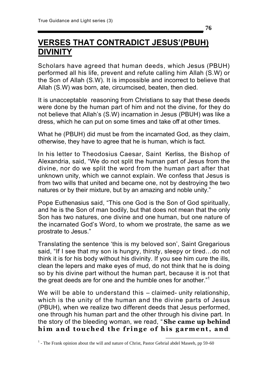## **VERSES THAT CONTRADICT JESUS'(PBUH) DIVINITY**

Scholars have agreed that human deeds, which Jesus (PBUH) performed all his life, prevent and refute calling him Allah (S.W) or the Son of Allah (S.W). It is impossible and incorrect to believe that Allah (S.W) was born, ate, circumcised, beaten, then died.

It is unacceptable reasoning from Christians to say that these deeds were done by the human part of him and not the divine, for they do not believe that Allah's (S.W) incarnation in Jesus (PBUH) was like a dress, which he can put on some times and take off at other times.

What he (PBUH) did must be from the incarnated God, as they claim, otherwise, they have to agree that he is human, which is fact.

In his letter to Theodosius Caesar, Saint Kerliss, the Bishop of Alexandria, said, "We do not split the human part of Jesus from the divine, nor do we split the word from the human part after that unknown unity, which we cannot explain. We confess that Jesus is from two wills that united and became one, not by destroying the two natures or by their mixture, but by an amazing and noble unity."

Pope Euthenasius said, "This one God is the Son of God spiritually, and he is the Son of man bodily, but that does not mean that the only Son has two natures, one divine and one human, but one nature of the incarnated God's Word, to whom we prostrate, the same as we prostrate to Jesus."

Translating the sentence 'this is my beloved son', Saint Gregarious said, "If I see that my son is hungry, thirsty, sleepy or tired…do not think it is for his body without his divinity. If you see him cure the ills, clean the lepers and make eyes of mud, do not think that he is doing so by his divine part without the human part, because it is not that the great deeds are for one and the humble ones for another. $11$ 

We will be able to understand this – claimed- unity relationship, which is the unity of the human and the divine parts of Jesus (PBUH), when we realize two different deeds that Jesus performed, one through his human part and the other through his divine part. In the story of the bleeding woman, we read, " **She came up behind him and touched the fringe of his garment, and** 

<sup>&</sup>lt;sup>1</sup> - The Frank opinion about the will and nature of Christ, Pastor Gebrial abdel Maseeh, pp 59-60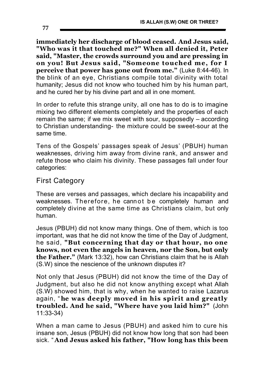**immediately her discharge of blood ceased. And Jesus said, "Who was it that touched me?" When all denied it, Peter said, "Master, the crowds surround you and are pressing in on you! But Jesus said, "Someone touched me, for I perceive that power has gone out from me."** (Luke 8:44-46). In the blink of an eye, Christians compile total divinity with total humanity; Jesus did not know who touched him by his human part, and he cured her by his divine part and all in one moment.

In order to refute this strange unity, all one has to do is to imagine mixing two different elements completely and the properties of each remain the same; if we mix sweet with sour, supposedly – according to Christian understanding- the mixture could be sweet-sour at the same time.

Tens of the Gospels' passages speak of Jesus' (PBUH) human weaknesses, driving him away from divine rank, and answer and refute those who claim his divinity. These passages fall under four categories:

#### First Category

These are verses and passages, which declare his incapability and weaknesses. Therefore, he cannot be completely human and completely divine at the same time as Christians claim, but only human.

Jesus (PBUH) did not know many things. One of them, which is too important, was that he did not know the time of the Day of Judgment, he said, **"But concerning that day or that hour, no one knows, not even the angels in heaven, nor the Son, but only the Father."** (Mark 13:32), how can Christians claim that he is Allah (S.W) since the nescience of the unknown disputes it?

Not only that Jesus (PBUH) did not know the time of the Day of Judgment, but also he did not know anything except what Allah (S.W) showed him, that is why, when he wanted to raise Lazarus again, "**he was deeply moved in his spirit and greatly troubled. And he said, "Where have you laid him?"** (John 11:33-34)

When a man came to Jesus (PBUH) and asked him to cure his insane son, Jesus (PBUH) did not know how long that son had been sick. " **And Jesus asked his father, "How long has this been**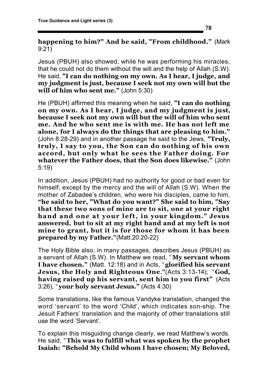Jesus (PBUH) also showed, while he was performing his miracles, that he could not do them without the will and the help of Allah (S.W). He said, **"I can do nothing on my own. As I hear, I judge, and my judgment is just, because I seek not my own will but the will of him who sent me."** (John 5:30)

He (PBUH) affirmed this meaning when he said, **"I can do nothing on my own. As I hear, I judge, and my judgment is just, because I seek not my own will but the will of him who sent me. And he who sent me is with me. He has not left me alone, for I always do the things that are pleasing to him."** (John 8:28-29) and in another passage he said to the Jews, **"Truly, truly, I say to you, the Son can do nothing of his own accord, but only what he sees the Father doing. For whatever the Father does, that the Son does likewise."** (John 5:19)

In addition, Jesus (PBUH) had no authority for good or bad even for himself, except by the mercy and the will of Allah (S.W). When the mother of Zabadee's children, who were his disciples, came to him, **"he said to her, "What do you want?" She said to him, "Say that these two sons of mine are to sit, one at your right hand and one at your left, in your kingdom." Jesus answered, but to sit at my right hand and at my left is not mine to grant, but it is for those for whom it has been prepared by my Father."**(Matt.20:20-22)

The Holy Bible also, in many passages, describes Jesus (PBUH) as a servant of Allah (S.W). In Matthew we read, "**My servant whom I have chosen."** (Matt. 12:18) and in Acts, " **glorified his servant Jesus, the Holy and Righteous One."**(Acts 3:13-14); " **God, having raised up his servant, sent him to you first"** (Acts 3:26), " **your holy servant Jesus."** (Acts 4:30)

Some translations, like the famous Vandyke translation, changed the word 'servant' to the word 'Child', which indicates son-ship. The Jesuit Fathers' translation and the majority of other translations still use the word 'Servant'.

To explain this misguiding change clearly, we read Matthew's words. He said, "**This was to fulfill what was spoken by the prophet Isaiah: "Behold My Child whom I have chosen; My Beloved,**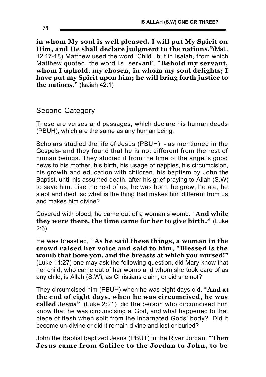**in whom My soul is well pleased. I will put My Spirit on Him, and He shall declare judgment to the nations."**(Matt. 12:17-18) Matthew used the word 'Child', but in Isaiah, from which Matthew quoted, the word is 'servant'. " **Behold my servant, whom I uphold, my chosen, in whom my soul delights; I have put my Spirit upon him; he will bring forth justice to the nations."** (Isaiah 42:1)

Second Category

These are verses and passages, which declare his human deeds (PBUH), which are the same as any human being.

Scholars studied the life of Jesus (PBUH) - as mentioned in the Gospels- and they found that he is not different from the rest of human beings. They studied it from the time of the angel's good news to his mother, his birth, his usage of nappies, his circumcision, his growth and education with children, his baptism by John the Baptist, until his assumed death, after his grief praying to Allah (S.W) to save him. Like the rest of us, he was born, he grew, he ate, he slept and died, so what is the thing that makes him different from us and makes him divine?

Covered with blood, he came out of a woman's womb. " **And while they were there, the time came for her to give birth."** (Luke 2:6)

He was breastfed, " **As he said these things, a woman in the crowd raised her voice and said to him, "Blessed is the womb that bore you, and the breasts at which you nursed!"** (Luke 11:27) one may ask the following question, did Mary know that her child, who came out of her womb and whom she took care of as any child, is Allah (S.W), as Christians claim, or did she not?

They circumcised him (PBUH) when he was eight days old. " **And at the end of eight days, when he was circumcised, he was called Jesus"** (Luke 2:21) did the person who circumcised him know that he was circumcising a God, and what happened to that piece of flesh when split from the incarnated Gods' body? Did it become un-divine or did it remain divine and lost or buried?

John the Baptist baptized Jesus (PBUT) in the River Jordan. "**Then Jesus came from Galilee to the Jordan to John, to be**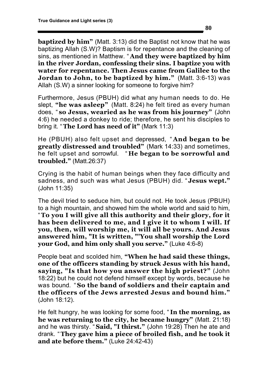**baptized by him"** (Matt. 3:13) did the Baptist not know that he was baptizing Allah (S.W)? Baptism is for repentance and the cleaning of sins, as mentioned in Matthew. " **And they were baptized by him in the river Jordan, confessing their sins. I baptize you with water for repentance. Then Jesus came from Galilee to the Jordan to John, to be baptized by him."** (Matt. 3:6-13) was Allah (S.W) a sinner looking for someone to forgive him?

Furthermore, Jesus (PBUH) did what any human needs to do. He slept, **"he was asleep"** (Matt. 8:24) he felt tired as every human does, " **so Jesus, wearied as he was from his journey"** (John 4:6) he needed a donkey to ride; therefore, he sent his disciples to bring it. "**The Lord has need of it"** (Mark 11:3)

He (PBUH) also felt upset and depressed, " **And began to be greatly distressed and troubled"** (Mark 14:33) and sometimes, he felt upset and sorrowful. " **He began to be sorrowful and troubled."** (Matt.26:37)

Crying is the habit of human beings when they face difficulty and sadness, and such was what Jesus (PBUH) did. " **Jesus wept."** (John 11:35)

The devil tried to seduce him, but could not. He took Jesus (PBUH) to a high mountain, and showed him the whole world and said to him, "**To you I will give all this authority and their glory, for it has been delivered to me, and I give it to whom I will. If you, then, will worship me, it will all be yours. And Jesus answered him, "It is written, "'You shall worship the Lord your God, and him only shall you serve."** (Luke 4:6-8)

People beat and scolded him, **"When he had said these things, one of the officers standing by struck Jesus with his hand, saying, "Is that how you answer the high priest?"** (John 18:22) but he could not defend himself except by words, because he was bound. " **So the band of soldiers and their captain and the officers of the Jews arrested Jesus and bound him."** (John 18:12).

He felt hungry, he was looking for some food, " **In the morning, as he was returning to the city, he became hungry"** (Matt. 21:18) and he was thirsty. " **Said, "I thirst."** (John 19:28) Then he ate and drank. "**They gave him a piece of broiled fish, and he took it and ate before them."** (Luke 24:42-43)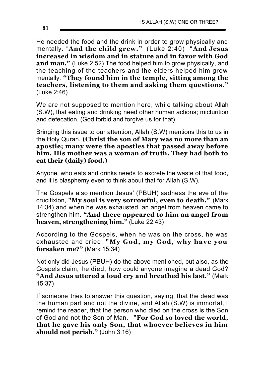He needed the food and the drink in order to grow physically and mentally. " **And the child grew."** (Luke 2:40) " **And Jesus increased in wisdom and in stature and in favor with God and man."** (Luke 2:52) The food helped him to grow physically, and the teaching of the teachers and the elders helped him grow mentally. **"They found him in the temple, sitting among the teachers, listening to them and asking them questions."** (Luke 2:46)

We are not supposed to mention here, while talking about Allah (S.W), that eating and drinking need other human actions; micturition and defecation. (God forbid and forgive us for that)

Bringing this issue to our attention, Allah (S.W) mentions this to us in the Holy Quran. **(Christ the son of Mary was no more than an apostle; many were the apostles that passed away before him. His mother was a woman of truth. They had both to eat their (daily) food.)**

Anyone, who eats and drinks needs to excrete the waste of that food, and it is blasphemy even to think about that for Allah (S.W).

The Gospels also mention Jesus' (PBUH) sadness the eve of the crucifixion, **"My soul is very sorrowful, even to death."** (Mark 14:34) and when he was exhausted, an angel from heaven came to strengthen him. **"And there appeared to him an angel from heaven, strengthening him."** (Luke 22:43)

According to the Gospels, when he was on the cross, he was exhausted and cried, **"My God, my God, why have you forsaken me?"** (Mark 15:34)

Not only did Jesus (PBUH) do the above mentioned, but also, as the Gospels claim, he died, how could anyone imagine a dead God? **"And Jesus uttered a loud cry and breathed his last."** (Mark 15:37)

If someone tries to answer this question, saying, that the dead was the human part and not the divine, and Allah (S.W) is immortal, I remind the reader, that the person who died on the cross is the Son of God and not the Son of Man. **"For God so loved the world, that he gave his only Son, that whoever believes in him should not perish."** (John 3:16)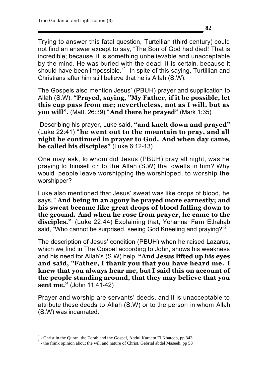Trying to answer this fatal question, Turtellian (third century) could not find an answer except to say, "The Son of God had died! That is incredible; because it is something unbelievable and unacceptable by the mind. He was buried with the dead; it is certain, because it should have been impossible."<sup>1</sup> In spite of this saying, Turtillian and Christians after him still believe that he is Allah (S.W).

The Gospels also mention Jesus' (PBUH) prayer and supplication to Allah (S.W). **"Prayed, saying, "My Father, if it be possible, let this cup pass from me; nevertheless, not as I will, but as you will".** (Matt. 26:39) " **And there he prayed"** (Mark 1:35)

 Describing his prayer, Luke said, **"and knelt down and prayed"** (Luke 22:41) "**he went out to the mountain to pray, and all night he continued in prayer to God. And when day came, he called his disciples"** (Luke 6:12-13)

One may ask, to whom did Jesus (PBUH) pray all night, was he praying to himself or to the Allah (S.W) that dwells in him? Why would people leave worshipping the worshipped, to worship the worshipper?

Luke also mentioned that Jesus' sweat was like drops of blood, he says, " **And being in an agony he prayed more earnestly; and his sweat became like great drops of blood falling down to the ground. And when he rose from prayer, he came to the disciples."** (Luke 22:44) Explaining that, Yohanna Fam Ethahab said, "Who cannot be surprised, seeing God Kneeling and praying?"<sup>2</sup>

The description of Jesus' condition (PBUH) when he raised Lazarus, which we find in The Gospel according to John, shows his weakness and his need for Allah's (S.W) help. **"And Jesus lifted up his eyes and said, "Father, I thank you that you have heard me. I knew that you always hear me, but I said this on account of the people standing around, that they may believe that you sent me."** (John 11:41-42)

Prayer and worship are servants' deeds, and it is unacceptable to attribute these deeds to Allah (S.W) or to the person in whom Allah (S.W) was incarnated.

<sup>-</sup><sup>1</sup> - Christ in the Quran, the Torah and the Gospel, Abdul Kareem El Khateeb, pp 343

 $2$  - the frank opinion about the will and nature of Christ, Gebrial abdel Maseeh, pp 58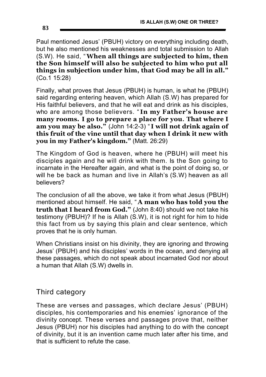Paul mentioned Jesus' (PBUH) victory on everything including death, but he also mentioned his weaknesses and total submission to Allah (S.W). He said, "**When all things are subjected to him, then the Son himself will also be subjected to him who put all things in subjection under him, that God may be all in all."** (Co.1 15:28)

Finally, what proves that Jesus (PBUH) is human, is what he (PBUH) said regarding entering heaven, which Allah (S.W) has prepared for His faithful believers, and that he will eat and drink as his disciples, who are among those believers. " **In my Father's house are many rooms. I go to prepare a place for you. That where I am you may be also."** (John 14:2-3) " **I will not drink again of this fruit of the vine until that day when I drink it new with you in my Father's kingdom."** (Matt. 26:29)

The Kingdom of God is heaven, where he (PBUH) will meet his disciples again and he will drink with them. Is the Son going to incarnate in the Hereafter again, and what is the point of doing so, or will he be back as human and live in Allah's (S.W) heaven as all believers?

The conclusion of all the above, we take it from what Jesus (PBUH) mentioned about himself. He said, " **A man who has told you the truth that I heard from God."** (John 8:40) should we not take his testimony (PBUH)? If he is Allah (S.W), it is not right for him to hide this fact from us by saying this plain and clear sentence, which proves that he is only human.

When Christians insist on his divinity, they are ignoring and throwing Jesus' (PBUH) and his disciples' words in the ocean, and denying all these passages, which do not speak about incarnated God nor about a human that Allah (S.W) dwells in.

#### Third category

These are verses and passages, which declare Jesus' (PBUH) disciples, his contemporaries and his enemies' ignorance of the divinity concept. These verses and passages prove that, neither Jesus (PBUH) nor his disciples had anything to do with the concept of divinity, but it is an invention came much later after his time, and that is sufficient to refute the case.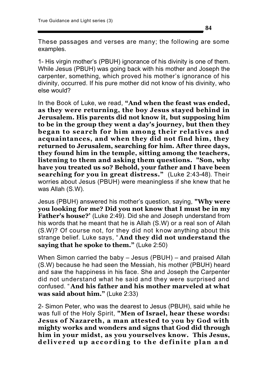**84**

These passages and verses are many; the following are some examples.

1- His virgin mother's (PBUH) ignorance of his divinity is one of them. While Jesus (PBUH) was going back with his mother and Joseph the carpenter, something, which proved his mother's ignorance of his divinity, occurred. If his pure mother did not know of his divinity, who else would?

In the Book of Luke, we read, **"And when the feast was ended, as they were returning, the boy Jesus stayed behind in Jerusalem. His parents did not know it, but supposing him to be in the group they went a day's journey, but then they began to search for him among their relatives and acquaintances, and when they did not find him, they returned to Jerusalem, searching for him. After three days, they found him in the temple, sitting among the teachers, listening to them and asking them questions. "Son, why have you treated us so? Behold, your father and I have been searching for you in great distress."** (Luke 2:43-48). Their worries about Jesus (PBUH) were meaningless if she knew that he was Allah (S.W).

Jesus (PBUH) answered his mother's question, saying, **"Why were you looking for me? Did you not know that I must be in my Father's house?'** (Luke 2:49). Did she and Joseph understand from his words that he meant that he is Allah (S.W) or a real son of Allah (S.W)? Of course not, for they did not know anything about this strange belief. Luke says, " **And they did not understand the saying that he spoke to them."** (Luke 2:50)

When Simon carried the baby – Jesus (PBUH) – and praised Allah (S.W) because he had seen the Messiah, his mother (PBUH) heard and saw the happiness in his face. She and Joseph the Carpenter did not understand what he said and they were surprised and confused. " **And his father and his mother marveled at what was said about him."** (Luke 2:33)

2- Simon Peter, who was the dearest to Jesus (PBUH), said while he was full of the Holy Spirit, **"Men of Israel, hear these words: Jesus of Nazareth, a man attested to you by God with mighty works and wonders and signs that God did through him in your midst, as you yourselves know. This Jesus, delivered up according to the definite plan and**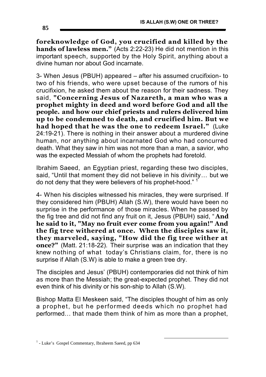**foreknowledge of God, you crucified and killed by the hands of lawless men."** (Acts 2:22-23) He did not mention in this important speech, supported by the Holy Spirit, anything about a divine human nor about God incarnate.

3- When Jesus (PBUH) appeared – after his assumed crucifixion- to two of his friends, who were upset because of the rumors of his crucifixion, he asked them about the reason for their sadness. They said, **"Concerning Jesus of Nazareth, a man who was a prophet mighty in deed and word before God and all the people. and how our chief priests and rulers delivered him up to be condemned to death, and crucified him. But we had hoped that he was the one to redeem Israel."** (Luke 24:19-21). There is nothing in their answer about a murdered divine human, nor anything about incarnated God who had concurred death. What they saw in him was not more than a man, a savior, who was the expected Messiah of whom the prophets had foretold.

Ibrahim Saeed, an Egyptian priest, regarding these two disciples, said, "Until that moment they did not believe in his divinity… but we do not deny that they were believers of his prophet-hood." <sup>1</sup>

4- When his disciples witnessed his miracles, they were surprised. If they considered him (PBUH) Allah (S.W), there would have been no surprise in the performance of those miracles. When he passed by the fig tree and did not find any fruit on it, Jesus (PBUH) said, " **And he said to it, "May no fruit ever come from you again!" And the fig tree withered at once. When the disciples saw it, they marveled, saying, "How did the fig tree wither at once?"** (Matt. 21:18-22). Their surprise was an indication that they knew nothing of what today's Christians claim, for, there is no surprise if Allah (S.W) is able to make a green tree dry.

The disciples and Jesus' (PBUH) contemporaries did not think of him as more than the Messiah; the great-expected prophet. They did not even think of his divinity or his son-ship to Allah (S.W).

Bishop Matta El Meskeen said, "The disciples thought of him as only a prophet, but he performed deeds which no prophet had performed… that made them think of him as more than a prophet,

 $\overline{a}$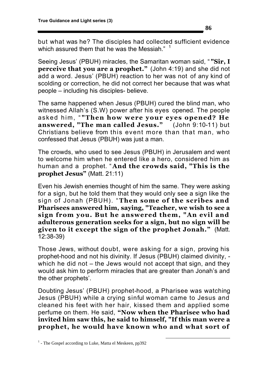but what was he? The disciples had collected sufficient evidence which assured them that he was the Messiah."  $1$ 

Seeing Jesus' (PBUH) miracles, the Samaritan woman said, " **"Sir, I perceive that you are a prophet."** (John 4:19) and she did not add a word. Jesus' (PBUH) reaction to her was not of any kind of scolding or correction, he did not correct her because that was what people – including his disciples- believe.

The same happened when Jesus (PBUH) cured the blind man, who witnessed Allah's (S.W) power after his eyes opened. The people asked him, " **"Then how were your eyes opened? He answered, "The man called Jesus."** (John 9:10-11) but Christians believe from this event more than that man, who confessed that Jesus (PBUH) was just a man.

The crowds, who used to see Jesus (PBUH) in Jerusalem and went to welcome him when he entered like a hero, considered him as human and a prophet. " **And the crowds said, "This is the prophet Jesus"** (Matt. 21:11)

Even his Jewish enemies thought of him the same. They were asking for a sign, but he told them that they would only see a sign like the sign of Jonah (PBUH). "**Then some of the scribes and Pharisees answered him, saying, "Teacher, we wish to see a sign from you. But he answered them, "An evil and adulterous generation seeks for a sign, but no sign will be given to it except the sign of the prophet Jonah."** (Matt. 12:38-39)

Those Jews, without doubt, were asking for a sign, proving his prophet-hood and not his divinity. If Jesus (PBUH) claimed divinity, which he did not – the Jews would not accept that sign, and they would ask him to perform miracles that are greater than Jonah's and the other prophets'.

Doubting Jesus' (PBUH) prophet-hood, a Pharisee was watching Jesus (PBUH) while a crying sinful woman came to Jesus and cleaned his feet with her hair, kissed them and applied some perfume on them. He said, **"Now when the Pharisee who had invited him saw this, he said to himself, "If this man were a prophet, he would have known who and what sort of** 

<u>.</u>

<sup>&</sup>lt;sup>1</sup> - The Gospel according to Luke, Matta el Meskeen, pp392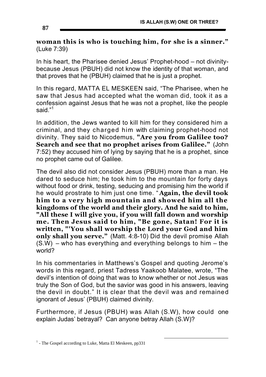#### **woman this is who is touching him, for she is a sinner."** (Luke 7:39)

In his heart, the Pharisee denied Jesus' Prophet-hood – not divinitybecause Jesus (PBUH) did not know the identity of that woman, and that proves that he (PBUH) claimed that he is just a prophet.

In this regard, MATTA EL MESKEEN said, "The Pharisee, when he saw that Jesus had accepted what the woman did, took it as a confession against Jesus that he was not a prophet, like the people said."<sup>1</sup>

In addition, the Jews wanted to kill him for they considered him a criminal, and they charged him with claiming prophet-hood not divinity. They said to Nicodemus, **"Are you from Galilee too? Search and see that no prophet arises from Galilee."** (John 7:52) they accused him of lying by saying that he is a prophet, since no prophet came out of Galilee.

The devil also did not consider Jesus (PBUH) more than a man. He dared to seduce him; he took him to the mountain for forty days without food or drink, testing, seducing and promising him the world if he would prostrate to him just one time. " **Again, the devil took him to a very high mountain and showed him all the kingdoms of the world and their glory. And he said to him, "All these I will give you, if you will fall down and worship me. Then Jesus said to him, "Be gone, Satan! For it is written, "'You shall worship the Lord your God and him only shall you serve."** (Matt. 4:8-10) Did the devil promise Allah (S.W) – who has everything and everything belongs to him – the world?

In his commentaries in Matthews's Gospel and quoting Jerome's words in this regard, priest Tadress Yaakoob Malatee, wrote, "The devil's intention of doing that was to know whether or not Jesus was truly the Son of God, but the savior was good in his answers, leaving the devil in doubt." It is clear that the devil was and remained ignorant of Jesus' (PBUH) claimed divinity.

Furthermore, if Jesus (PBUH) was Allah (S.W), how could one explain Judas' betrayal? Can anyone betray Allah (S.W)?

 $\overline{a}$ 

<sup>&</sup>lt;sup>1</sup> - The Gospel according to Luke, Matta El Meskeen, pp331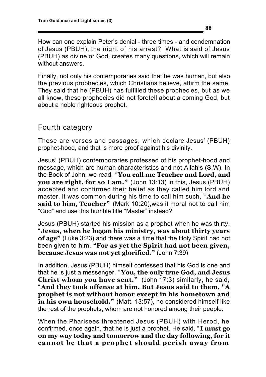**88**

How can one explain Peter's denial - three times - and condemnation of Jesus (PBUH), the night of his arrest? What is said of Jesus (PBUH) as divine or God, creates many questions, which will remain without answers.

Finally, not only his contemporaries said that he was human, but also the previous prophecies, which Christians believe, affirm the same. They said that he (PBUH) has fulfilled these prophecies, but as we all know, these prophecies did not foretell about a coming God, but about a noble righteous prophet.

#### Fourth category

These are verses and passages, which declare Jesus' (PBUH) prophet-hood, and that is more proof against his divinity.

Jesus' (PBUH) contemporaries professed of his prophet-hood and message, which are human characteristics and not Allah's (S.W). In the Book of John, we read, " **You call me Teacher and Lord, and you are right, for so I am."** (John 13:13) in this, Jesus (PBUH) accepted and confirmed their belief as they called him lord and master, it was common during his time to call him such, " **And he said to him, Teacher"** (Mark 10:20),was it moral not to call him "God" and use this humble title "Master" instead?

Jesus (PBUH) started his mission as a prophet when he was thirty, " **Jesus, when he began his ministry, was about thirty years of age"** (Luke 3:23) and there was a time that the Holy Spirit had not been given to him. **"For as yet the Spirit had not been given, because Jesus was not yet glorified."** (John 7:39)

In addition, Jesus (PBUH) himself confessed that his God is one and that he is just a messenger. " **You, the only true God, and Jesus Christ whom you have sent."** (John 17:3) similarly, he said, " **And they took offense at him. But Jesus said to them, "A prophet is not without honor except in his hometown and**  in his own household." (Matt. 13:57), he considered himself like the rest of the prophets, whom are not honored among their people.

When the Pharisees threatened Jesus (PBUH) with Herod, he confirmed, once again, that he is just a prophet. He said, " **I must go on my way today and tomorrow and the day following, for it cannot be that a prophet should perish away from**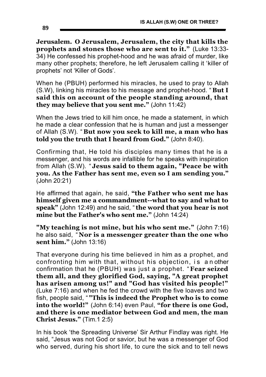**Jerusalem. O Jerusalem, Jerusalem, the city that kills the prophets and stones those who are sent to it."** (Luke 13:33- 34) He confessed his prophet-hood and he was afraid of murder, like many other prophets; therefore, he left Jerusalem calling it 'killer of prophets' not 'Killer of Gods'.

When he (PBUH) performed his miracles, he used to pray to Allah (S.W), linking his miracles to his message and prophet-hood. " **But I said this on account of the people standing around, that they may believe that you sent me."** (John 11:42)

When the Jews tried to kill him once, he made a statement, in which he made a clear confession that he is human and just a messenger of Allah (S.W). " **But now you seek to kill me, a man who has told you the truth that I heard from God."** (John 8:40).

Confirming that, He told his disciples many times that he is a messenger, and his words are infallible for he speaks with inspiration from Allah (S.W). " **Jesus said to them again, "Peace be with you. As the Father has sent me, even so I am sending you."** (John 20:21)

He affirmed that again, he said, **"the Father who sent me has himself given me a commandment--what to say and what to speak"** (John 12:49) and he said, "**the word that you hear is not mine but the Father's who sent me."** (John 14:24)

**"My teaching is not mine, but his who sent me."** (John 7:16) he also said, " **Nor is a messenger greater than the one who sent him."** (John 13:16)

That everyone during his time believed in him as a prophet, and confronting him with that, without his objection, is an other confirmation that he (PBUH) was just a prophet. " **Fear seized them all, and they glorified God, saying, "A great prophet has arisen among us!" and "God has visited his people!"** (Luke 7:16) and when he fed the crowd with the five loaves and two fish, people said, " **"This is indeed the Prophet who is to come into the world!"** (John 6:14) even Paul, **"for there is one God, and there is one mediator between God and men, the man Christ Jesus."** (Tim.1 2:5)

In his book 'the Spreading Universe' Sir Arthur Findlay was right. He said, "Jesus was not God or savior, but he was a messenger of God who served, during his short life, to cure the sick and to tell news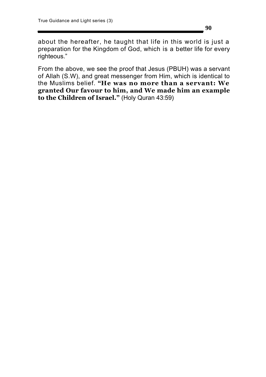about the hereafter, he taught that life in this world is just a preparation for the Kingdom of God, which is a better life for every righteous."

From the above, we see the proof that Jesus (PBUH) was a servant of Allah (S.W), and great messenger from Him, which is identical to the Muslims belief. **"He was no more than a servant: We granted Our favour to him, and We made him an example to the Children of Israel."** (Holy Quran 43:59)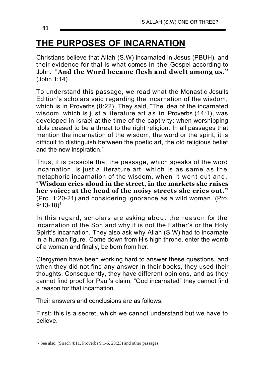# **THE PURPOSES OF INCARNATION**

Christians believe that Allah (S.W) incarnated in Jesus (PBUH), and their evidence for that is what comes in the Gospel according to John. " **And the Word became flesh and dwelt among us."** (John 1:14)

To understand this passage, we read what the Monastic Jesuits Edition's scholars said regarding the incarnation of the wisdom, which is in Proverbs (8:22). They said, "The idea of the incarnated wisdom, which is just a literature art as in Proverbs (14:1), was developed in Israel at the time of the captivity; when worshipping idols ceased to be a threat to the right religion. In all passages that mention the incarnation of the wisdom, the word or the spirit, it is difficult to distinguish between the poetic art, the old religious belief and the new inspiration."

Thus, it is possible that the passage, which speaks of the word incarnation, is just a literature art, which is as same as the metaphoric incarnation of the wisdom, when it went out and, "**Wisdom cries aloud in the street, in the markets she raises her voice; at the head of the noisy streets she cries out."** (Pro. 1:20-21) and considering ignorance as a wild woman. (Pro.  $9:13-18$ <sup>1</sup>

In this regard, scholars are asking about the reason for the incarnation of the Son and why it is not the Father's or the Holy Spirit's incarnation. They also ask why Allah (S.W) had to incarnate in a human figure. Come down from His high throne, enter the womb of a woman and finally, be born from her.

Clergymen have been working hard to answer these questions, and when they did not find any answer in their books, they used their thoughts. Consequently, they have different opinions, and as they cannot find proof for Paul's claim, "God incarnated" they cannot find a reason for that incarnation.

Their answers and conclusions are as follows:

First: this is a secret, which we cannot understand but we have to believe.

 $\overline{a}$ 

 $<sup>1</sup>$ - See also, (Sirach 4:11, Proverbs 9:1-6, 23:23) and other passages.</sup>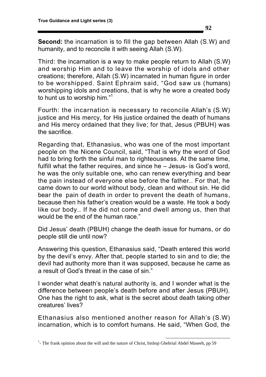**Second:** the incarnation is to fill the gap between Allah (S.W) and humanity, and to reconcile it with seeing Allah (S.W).

Third: the incarnation is a way to make people return to Allah (S.W) and worship Him and to leave the worship of idols and other creations; therefore, Allah (S.W) incarnated in human figure in order to be worshipped. Saint Ephraim said, "God saw us (humans) worshipping idols and creations, that is why he wore a created body to hunt us to worship him."<sup>1</sup>

Fourth: the incarnation is necessary to reconcile Allah's (S.W) justice and His mercy, for His justice ordained the death of humans and His mercy ordained that they live; for that, Jesus (PBUH) was the sacrifice.

Regarding that, Ethanasius, who was one of the most important people on the Nicene Council, said, "That is why the word of God had to bring forth the sinful man to righteousness. At the same time, fulfill what the father requires, and since he – Jesus- is God's word, he was the only suitable one, who can renew everything and bear the pain instead of everyone else before the father.. For that, he came down to our world without body, clean and without sin. He did bear the pain of death in order to prevent the death of humans, because then his father's creation would be a waste. He took a body like our body.. If he did not come and dwell among us, then that would be the end of the human race."

Did Jesus' death (PBUH) change the death issue for humans, or do people still die until now?

Answering this question, Ethanasius said, "Death entered this world by the devil's envy. After that, people started to sin and to die; the devil had authority more than it was supposed, because he came as a result of God's threat in the case of sin."

I wonder what death's natural authority is, and I wonder what is the difference between people's death before and after Jesus (PBUH). One has the right to ask, what is the secret about death taking other creatures' lives?

Ethanasius also mentioned another reason for Allah's (S.W) incarnation, which is to comfort humans. He said, "When God, the

<u>.</u>

<sup>&</sup>lt;sup>1</sup>- The frank opinion about the will and the nature of Christ, bishop Ghebrial Abdel Maseeh, pp 59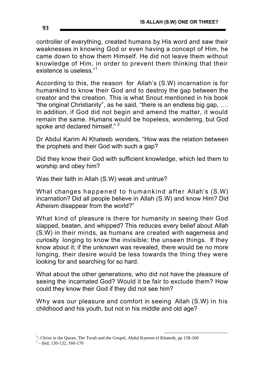controller of everything, created humans by His word and saw their weaknesses in knowing God or even having a concept of Him, he came down to show them Himself. He did not leave them without knowledge of Him, in order to prevent them thinking that their existence is useless."<sup>1</sup>

According to this, the reason for Allah's (S.W) incarnation is for humankind to know their God and to destroy the gap between the creator and the creation. This is what Snout mentioned in his book "the original Christianity", as he said, "there is an endless big gap, …. In addition, if God did not begin and amend the matter, it would remain the same. Humans would be hopeless, wondering, but God spoke and declared himself."  $2^2$ 

Dr Abdul Karim Al Khateeb wonders, "How was the relation between the prophets and their God with such a gap?

Did they know their God with sufficient knowledge, which led them to worship and obey him?

Was their faith in Allah (S.W) weak and untrue?

What changes happened to humankind after Allah's (S.W) incarnation? Did all people believe in Allah (S.W) and know Him? Did Atheism disappear from the world?"

What kind of pleasure is there for humanity in seeing their God slapped, beaten, and whipped? This reduces every belief about Allah (S.W) in their minds, as humans are created with eagerness and curiosity longing to know the invisible; the unseen things. If they know about it; if the unknown was revealed, there would be no more longing, their desire would be less towards the thing they were looking for and searching for so hard.

What about the other generations, who did not have the pleasure of seeing the incarnated God? Would it be fair to exclude them? How could they know their God if they did not see him?

Why was our pleasure and comfort in seeing Allah (S.W) in his childhood and his youth, but not in his middle and old age?

 $\overline{a}$  $1$ - Christ in the Quran, The Torah and the Gospel, Abdul Kareem el Khateeb, pp 158-160

<sup>&</sup>lt;sup>2</sup> - ibid, 130-132, 160-170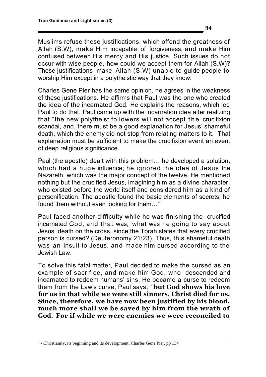Muslims refuse these justifications, which offend the greatness of Allah (S.W), make Him incapable of forgiveness, and make Him confused between His mercy and His justice. Such issues do not occur with wise people, how could we accept them for Allah (S.W)? These justifications make Allah (S.W) unable to guide people to worship Him except in a polytheistic way that they know.

Charles Gene Pier has the same opinion, he agrees in the weakness of these justifications. He affirms that Paul was the one who created the idea of the incarnated God. He explains the reasons, which led Paul to do that. Paul came up with the incarnation idea after realizing that "the new polytheist followers will not accept the crucifixion scandal, and, there must be a good explanation for Jesus' shameful death, which the enemy did not stop from relating matters to it. That explanation must be sufficient to make the crucifixion event an event of deep religious significance.

Paul (the apostle) dealt with this problem… he developed a solution, which had a huge influence; he ignored the idea of Jesus the Nazareth, which was the major concept of the twelve. He mentioned nothing but the crucified Jesus, imagining him as a divine character, who existed before the world itself and considered him as a kind of personification. The apostle found the basic elements of secrets; he found them without even looking for them..."<sup>1</sup>

Paul faced another difficulty while he was finishing the crucified incarnated God, and that was, what was he going to say about Jesus' death on the cross, since the Torah states that every crucified person is cursed? (Deuteronomy 21:23), Thus, this shameful death was an insult to Jesus, and made him cursed according to the Jewish Law.

To solve this fatal matter, Paul decided to make the cursed as an example of sacrifice, and make him God, who descended and incarnated to redeem humans' sins. He became a curse to redeem them from the Law's curse, Paul says, " **but God shows his love for us in that while we were still sinners, Christ died for us. Since, therefore, we have now been justified by his blood, much more shall we be saved by him from the wrath of God. For if while we were enemies we were reconciled to** 

<u>.</u>

<sup>&</sup>lt;sup>1</sup> - Christianity, its beginning and its development, Charles Gene Pier, pp 134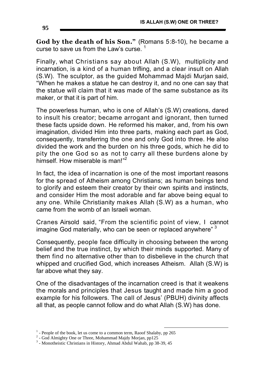**God by the death of his Son."** (Romans 5:8-10), he became a curse to save us from the Law's curse.  $1$ 

Finally, what Christians say about Allah (S.W), multiplicity and incarnation, is a kind of a human trifling, and a clear insult on Allah (S.W). The sculptor, as the guided Mohammad Majdi Murjan said, "When he makes a statue he can destroy it, and no one can say that the statue will claim that it was made of the same substance as its maker, or that it is part of him.

The powerless human, who is one of Allah's (S.W) creations, dared to insult his creator; became arrogant and ignorant, then turned these facts upside down. He reformed his maker, and, from his own imagination, divided Him into three parts, making each part as God, consequently, transferring the one and only God into three. He also divided the work and the burden on his three gods, which he did to pity the one God so as not to carry all these burdens alone by .<br>himself. How miserable is man!"<sup>2</sup>

In fact, the idea of incarnation is one of the most important reasons for the spread of Atheism among Christians; as human beings tend to glorify and esteem their creator by their own spirits and instincts, and consider Him the most adorable and far above being equal to any one. While Christianity makes Allah (S.W) as a human, who came from the womb of an Israeli woman.

Cranes Airsold said, "From the scientific point of view, I cannot imagine God materially, who can be seen or replaced anywhere"<sup>3</sup>

Consequently, people face difficulty in choosing between the wrong belief and the true instinct, by which their minds supported. Many of them find no alternative other than to disbelieve in the church that whipped and crucified God, which increases Atheism. Allah (S.W) is far above what they say.

One of the disadvantages of the incarnation creed is that it weakens the morals and principles that Jesus taught and made him a good example for his followers. The call of Jesus' (PBUH) divinity affects all that, as people cannot follow and do what Allah (S.W) has done.

 $\overline{a}$ 

 $<sup>1</sup>$  - People of the book, let us come to a common term, Raoof Shalaby, pp 265</sup>

 $2$  - God Almighty One or Three, Mohammad Majdy Morjan, pp125

<sup>&</sup>lt;sup>3</sup> - Monotheistic Christians in History, Ahmad Abdul Wahab, pp 38-39, 45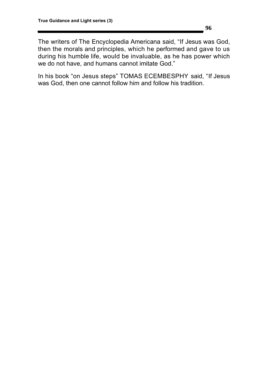The writers of The Encyclopedia Americana said, "If Jesus was God, then the morals and principles, which he performed and gave to us during his humble life, would be invaluable, as he has power which we do not have, and humans cannot imitate God."

In his book "on Jesus steps" TOMAS ECEMBESPHY said, "If Jesus was God, then one cannot follow him and follow his tradition.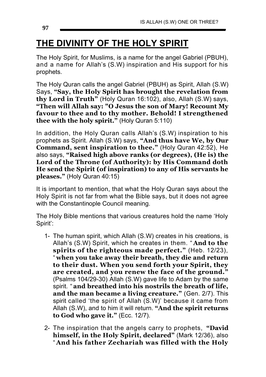# **THE DIVINITY OF THE HOLY SPIRIT**

The Holy Spirit, for Muslims, is a name for the angel Gabriel (PBUH), and a name for Allah's (S.W) inspiration and His support for his prophets.

The Holy Quran calls the angel Gabriel (PBUH) as Spirit, Allah (S.W) Says, **"Say, the Holy Spirit has brought the revelation from thy Lord in Truth"** (Holy Quran 16:102), also, Allah (S.W) says, **"Then will Allah say: "O Jesus the son of Mary! Recount My favour to thee and to thy mother. Behold! I strengthened thee with the holy spirit."** (Holy Quran 5:110)

In addition, the Holy Quran calls Allah's (S.W) inspiration to his prophets as Spirit. Allah (S.W) says, **"And thus have We, by Our Command, sent inspiration to thee."** (Holy Quran 42:52), He also says, **"Raised high above ranks (or degrees), (He is) the Lord of the Throne (of Authority): by His Command doth He send the Spirit (of inspiration) to any of His servants he pleases."** (Holy Quran 40:15)

It is important to mention, that what the Holy Quran says about the Holy Spirit is not far from what the Bible says, but it does not agree with the Constantinople Council meaning.

The Holy Bible mentions that various creatures hold the name 'Holy Spirit':

- 1- The human spirit, which Allah (S.W) creates in his creations, is Allah's (S.W) Spirit, which he creates in them. " **And to the spirits of the righteous made perfect."** (Heb. 12/23), " **when you take away their breath, they die and return to their dust. When you send forth your Spirit, they are created, and you renew the face of the ground."** (Psalms 104/29-30) Allah (S.W) gave life to Adam by the same spirit. " **and breathed into his nostrils the breath of life, and the man became a living creature."** (Gen. 2/7). This spirit called 'the spirit of Allah (S.W)' because it came from Allah (S.W), and to him it will return. **"And the spirit returns to God who gave it."** (Ecc. 12/7).
- 2- The inspiration that the angels carry to prophets, **"David himself, in the Holy Spirit, declared"** (Mark 12/36), also " **And his father Zechariah was filled with the Holy**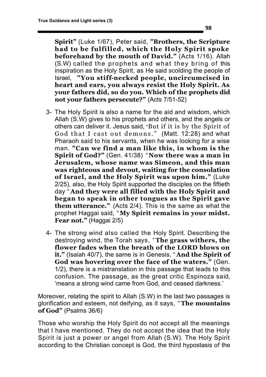**Spirit"** (Luke 1/67), Peter said, **"Brothers, the Scripture had to be fulfilled, which the Holy Spirit spoke beforehand by the mouth of David."** (Acts 1/16). Allah (S.W) called the prophets and what they bring of this inspiration as the Holy Spirit, as He said scolding the people of Israel, **"You stiff-necked people, uncircumcised in heart and ears, you always resist the Holy Spirit. As your fathers did, so do you. Which of the prophets did not your fathers persecute?"** (Acts 7/51-52)

- 3- The Holy Spirit is also a name for the aid and wisdom, which Allah (S.W) gives to his prophets and others, and the angels or others can deliver it. Jesus said, "But if it is by the Spirit of God that I cast out demons." (Matt. 12:28) and what Pharaoh said to his servants, when he was looking for a wise man. **"Can we find a man like this, in whom is the Spirit of God?"** (Gen. 41/38) " **Now there was a man in Jerusalem, whose name was Simeon, and this man was righteous and devout, waiting for the consolation of Israel, and the Holy Spirit was upon him."** (Luke 2/25), also, the Holy Spirit supported the disciples on the fiftieth day " **And they were all filled with the Holy Spirit and began to speak in other tongues as the Spirit gave them utterance."** (Acts 2/4). This is the same as what the prophet Haggai said, "**My Spirit remains in your midst. Fear not."** (Haggai 2/5)
- 4- The strong wind also called the Holy Spirit. Describing the destroying wind, the Torah says, "**The grass withers, the flower fades when the breath of the LORD blows on it."** (Isaiah 40/7), the same is in Genesis, " **And the Spirit of God was hovering over the face of the waters."** (Gen. 1/2), there is a mistranslation in this passage that leads to this confusion. The passage, as the great critic Espinoza said, 'means a strong wind came from God, and ceased darkness.'

Moreover, relating the spirit to Allah (S.W) in the last two passages is glorification and esteem, not deifying, as it says, "**The mountains of God"** (Psalms 36/6)

Those who worship the Holy Spirit do not accept all the meanings that I have mentioned. They do not accept the idea that the Holy Spirit is just a power or angel from Allah (S.W). The Holy Spirit according to the Christian concept is God, the third hypostasis of the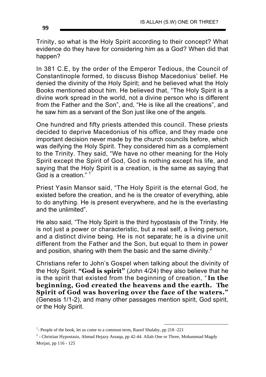Trinity, so what is the Holy Spirit according to their concept? What evidence do they have for considering him as a God? When did that happen?

In 381 C.E, by the order of the Emperor Tedious, the Council of Constantinople formed, to discuss Bishop Macedonius' belief. He denied the divinity of the Holy Spirit; and he believed what the Holy Books mentioned about him. He believed that, "The Holy Spirit is a divine work spread in the world, not a divine person who is different from the Father and the Son", and, "He is like all the creations", and he saw him as a servant of the Son just like one of the angels.

One hundred and fifty priests attended this council. These priests decided to deprive Macedonius of his office, and they made one important decision never made by the church councils before, which was deifying the Holy Spirit. They considered him as a complement to the Trinity. They said, "We have no other meaning for the Holy Spirit except the Spirit of God, God is nothing except his life, and saying that the Holy Spirit is a creation, is the same as saying that God is a creation."

Priest Yasin Mansor said, "The Holy Spirit is the eternal God, he existed before the creation, and he is the creator of everything, able to do anything. He is present everywhere, and he is the everlasting and the unlimited".

He also said, "The Holy Spirit is the third hypostasis of the Trinity. He is not just a power or characteristic, but a real self, a living person, and a distinct divine being. He is not separate; he is a divine unit different from the Father and the Son, but equal to them in power and position, sharing with them the basic and the same divinity.<sup>2</sup>

Christians refer to John's Gospel when talking about the divinity of the Holy Spirit. **"God is spirit"** (John 4/24) they also believe that he is the spirit that existed from the beginning of creation, " **In the beginning, God created the heavens and the earth. The Spirit of God was hovering over the face of the waters."** (Genesis 1/1-2), and many other passages mention spirit, God spirit, or the Holy Spirit.

 $\overline{a}$ 

<sup>&</sup>lt;sup>1</sup>- People of the book, let us come to a common term, Raoof Shalaby, pp 218 -221

 $2$  - Christian Hypostasis, Ahmad Hejazy Assaqa, pp 42-44. Allah One or Three, Mohammad Magdy Morjan, pp 116 - 125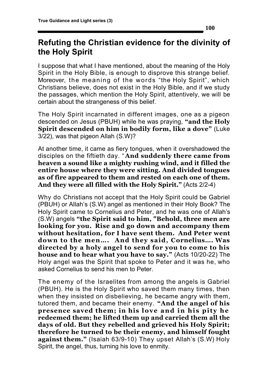I suppose that what I have mentioned, about the meaning of the Holy Spirit in the Holy Bible, is enough to disprove this strange belief. Moreover, the meaning of the words "the Holy Spirit", which Christians believe, does not exist in the Holy Bible, and if we study the passages, which mention the Holy Spirit, attentively, we will be certain about the strangeness of this belief.

The Holy Spirit incarnated in different images, one as a pigeon descended on Jesus (PBUH) while he was praying, **"and the Holy Spirit descended on him in bodily form, like a dove"** (Luke  $3/22$ ), was that pigeon Allah  $(S.W)$ ?

At another time, it came as fiery tongues, when it overshadowed the disciples on the fiftieth day. " **And suddenly there came from heaven a sound like a mighty rushing wind, and it filled the entire house where they were sitting. And divided tongues as of fire appeared to them and rested on each one of them. And they were all filled with the Holy Spirit."** (Acts 2/2-4)

Why do Christians not accept that the Holy Spirit could be Gabriel (PBUH) or Allah's (S.W) angel as mentioned in their Holy Book? The Holy Spirit came to Cornelius and Peter, and he was one of Allah's (S.W) angels **"the Spirit said to him, "Behold, three men are looking for you. Rise and go down and accompany them without hesitation, for I have sent them. And Peter went down to the men…. And they said, Cornelius…. Was directed by a holy angel to send for you to come to his house and to hear what you have to say."** (Acts 10/20-22) The Holy angel was the Spirit that spoke to Peter and it was he, who asked Cornelius to send his men to Peter.

The enemy of the Israelites from among the angels is Gabriel (PBUH). He is the Holy Spirit who saved them many times, then when they insisted on disbelieving, he became angry with them, tutored them, and became their enemy. **"And the angel of his presence saved them; in his love and in his pity he redeemed them; he lifted them up and carried them all the days of old. But they rebelled and grieved his Holy Spirit; therefore he turned to be their enemy, and himself fought against them."** (Isaiah 63/9-10) They upset Allah's (S.W) Holy Spirit, the angel, thus, turning his love to enmity.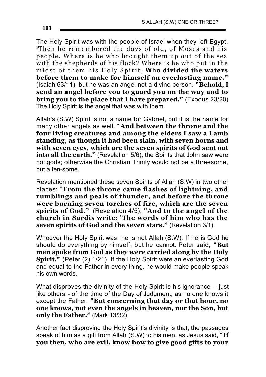The Holy Spirit was with the people of Israel when they left Egypt. "Then he remembered the days of old, of Moses and his people. Where is he who brought them up out of the sea with the shepherds of his flock? Where is he who put in the midst of them his Holy Spirit, **Who divided the waters before them to make for himself an everlasting name."** (Isaiah 63/11), but he was an angel not a divine person. **"Behold, I send an angel before you to guard you on the way and to bring you to the place that I have prepared."** (Exodus 23/20) The Holy Spirit is the angel that was with them.

Allah's (S.W) Spirit is not a name for Gabriel, but it is the name for many other angels as well. " **And between the throne and the four living creatures and among the elders I saw a Lamb standing, as though it had been slain, with seven horns and with seven eyes, which are the seven spirits of God sent out**  into all the earth." (Revelation 5/6), the Spirits that John saw were not gods; otherwise the Christian Trinity would not be a threesome, but a ten-some.

Revelation mentioned these seven Spirits of Allah (S.W) in two other places; " **From the throne came flashes of lightning, and rumblings and peals of thunder, and before the throne were burning seven torches of fire, which are the seven spirits of God."** (Revelation 4/5), **"And to the angel of the church in Sardis write: 'The words of him who has the seven spirits of God and the seven stars."** (Revelation 3/1).

Whoever the Holy Spirit was, he is not Allah (S.W). If he is God he should do everything by himself, but he cannot. Peter said, " **But men spoke from God as they were carried along by the Holy Spirit.**" (Peter (2) 1/21). If the Holy Spirit were an everlasting God and equal to the Father in every thing, he would make people speak his own words.

What disproves the divinity of the Holy Spirit is his ignorance – just like others - of the time of the Day of Judgment, as no one knows it except the Father. **"But concerning that day or that hour, no one knows, not even the angels in heaven, nor the Son, but only the Father."** (Mark 13/32)

Another fact disproving the Holy Spirit's divinity is that, the passages speak of him as a gift from Allah (S.W) to his men, as Jesus said, " **If you then, who are evil, know how to give good gifts to your**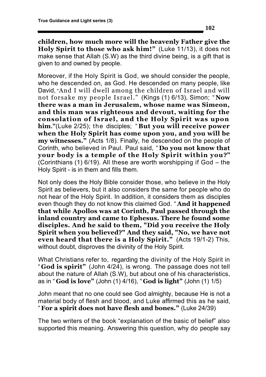**children, how much more will the heavenly Father give the Holy Spirit to those who ask him!"** (Luke 11/13), it does not make sense that Allah (S.W) as the third divine being, is a gift that is given to and owned by people.

Moreover, if the Holy Spirit is God, we should consider the people, who he descended on, as God. He descended on many people, like David, "And I will dwell among the children of Israel and will not forsake my people Israel." (Kings (1) 6/13), Simon; " **Now there was a man in Jerusalem, whose name was Simeon, and this man was righteous and devout, waiting for the consolation of Israel, and the Holy Spirit was upon him."**(Luke 2/25); the disciples; " **But you will receive power when the Holy Spirit has come upon you, and you will be my witnesses."** (Acts 1/8). Finally, he descended on the people of Corinth, who believed in Paul. Paul said, " **Do you not know that your body is a temple of the Holy Spirit within you?"** (Corinthians (1) 6/19). All these are worth worshipping if God – the Holy Spirit - is in them and fills them.

Not only does the Holy Bible consider those, who believe in the Holy Spirit as believers, but it also considers the same for people who do not hear of the Holy Spirit. In addition, it considers them as disciples even though they do not know this claimed God. " **And it happened that while Apollos was at Corinth, Paul passed through the inland country and came to Ephesus. There he found some disciples. And he said to them, "Did you receive the Holy Spirit when you believed?" And they said, "No, we have not even heard that there is a Holy Spirit.**" (Acts 19/1-2) This, without doubt, disproves the divinity of the Holy Spirit.

What Christians refer to, regarding the divinity of the Holy Spirit in " **God is spirit"** (John 4/24), is wrong. The passage does not tell about the nature of Allah (S.W), but about one of his characteristics, as in " **God is love"** (John (1) 4/16), " **God is light"** (John (1) 1/5)

John meant that no one could see God almighty, because He is not a material body of flesh and blood, and Luke affirmed this as he said, " **For a spirit does not have flesh and bones."** (Luke 24/39)

The two writers of the book "explanation of the basic of belief" also supported this meaning. Answering this question, why do people say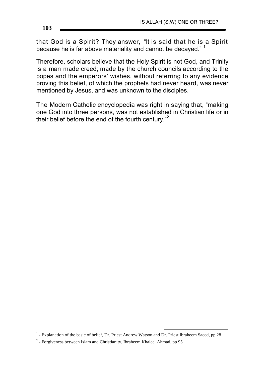that God is a Spirit? They answer, "It is said that he is a Spirit because he is far above materiality and cannot be decayed." <sup>1</sup>

Therefore, scholars believe that the Holy Spirit is not God, and Trinity is a man made creed; made by the church councils according to the popes and the emperors' wishes, without referring to any evidence proving this belief, of which the prophets had never heard, was never mentioned by Jesus, and was unknown to the disciples.

The Modern Catholic encyclopedia was right in saying that, "making one God into three persons, was not established in Christian life or in their belief before the end of the fourth century."<sup>2</sup>

 $\overline{a}$ 

<sup>&</sup>lt;sup>1</sup> - Explanation of the basic of belief, Dr. Priest Andrew Watson and Dr. Priest Ibraheem Saeed, pp 28

 $2$  - Forgiveness between Islam and Christianity, Ibraheem Khaleel Ahmad, pp 95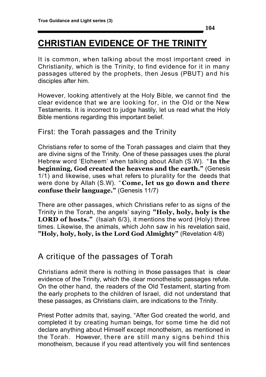## **CHRISTIAN EVIDENCE OF THE TRINITY**

It is common, when talking about the most important creed in Christianity, which is the Trinity, to find evidence for it in many passages uttered by the prophets, then Jesus (PBUT) and his disciples after him.

However, looking attentively at the Holy Bible, we cannot find the clear evidence that we are looking for, in the Old or the New Testaments. It is incorrect to judge hastily, let us read what the Holy Bible mentions regarding this important belief.

#### First: the Torah passages and the Trinity

Christians refer to some of the Torah passages and claim that they are divine signs of the Trinity. One of these passages uses the plural Hebrew word 'Eloheem' when talking about Allah (S.W). " **In the beginning, God created the heavens and the earth."** (Genesis 1/1) and likewise, uses what refers to plurality for the deeds that were done by Allah (S.W). " **Come, let us go down and there confuse their language."** (Genesis 11/7)

There are other passages, which Christians refer to as signs of the Trinity in the Torah, the angels' saying **"Holy, holy, holy is the LORD of hosts."** (Isaiah 6/3), it mentions the word (Holy) three times. Likewise, the animals, which John saw in his revelation said, **"Holy, holy, holy, is the Lord God Almighty"** (Revelation 4/8)

## A critique of the passages of Torah

Christians admit there is nothing in those passages that is clear evidence of the Trinity, which the clear monotheistic passages refute. On the other hand, the readers of the Old Testament, starting from the early prophets to the children of Israel, did not understand that these passages, as Christians claim, are indications to the Trinity.

Priest Potter admits that, saying, "After God created the world, and completed it by creating human beings, for some time he did not declare anything about Himself except monotheism, as mentioned in the Torah. However, there are still many signs behind this monotheism, because if you read attentively you will find sentences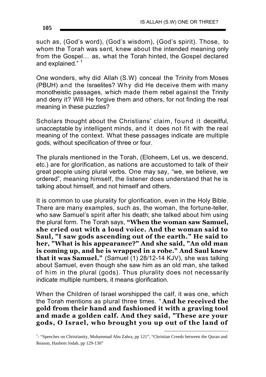such as, (God's word), (God's wisdom), (God's spirit). Those, to whom the Torah was sent, knew about the intended meaning only from the Gospel… as, what the Torah hinted, the Gospel declared and explained." 1

One wonders, why did Allah (S.W) conceal the Trinity from Moses (PBUH) and the Israelites? Why did He deceive them with many monotheistic passages, which made them rebel against the Trinity and deny it? Will He forgive them and others, for not finding the real meaning in these puzzles?

Scholars thought about the Christians' claim, found it deceitful, unacceptable by intelligent minds, and it does not fit with the real meaning of the context. What these passages indicate are multiple gods, without specification of three or four.

The plurals mentioned in the Torah, (Eloheem, Let us, we descend, etc.) are for glorification, as nations are accustomed to talk of their great people using plural verbs. One may say, "we, we believe, we ordered", meaning himself, the listener does understand that he is talking about himself, and not himself and others.

It is common to use plurality for glorification, even in the Holy Bible. There are many examples, such as, the woman, the fortune-teller, who saw Samuel's spirit after his death; she talked about him using the plural form. The Torah says, **"When the woman saw Samuel, she cried out with a loud voice. And the woman said to Saul, "I saw gods ascending out of the earth." He said to her, "What is his appearance?" And she said, "An old man is coming up, and he is wrapped in a robe." And Saul knew that it was Samuel."** (Samuel (1) 28/12-14 KJV), she was talking about Samuel, even though she saw him as an old man, she talked of him in the plural (gods). Thus plurality does not necessarily indicate multiple numbers, it means glorification.

When the Children of Israel worshipped the calf, it was one, which the Torah mentions as plural three times. " **And he received the gold from their hand and fashioned it with a graving tool and made a golden calf. And they said, "These are your gods, O Israel, who brought you up out of the land of** 

 $\overline{a}$ 

<sup>&</sup>lt;sup>1</sup>- "Speeches on Christianity, Mohammad Abu Zahra, pp 121", "Christian Creeds between the Quran and Reason, Hashem Jodah, pp 129-130"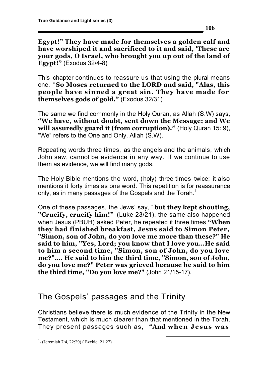**Egypt!" They have made for themselves a golden calf and have worshiped it and sacrificed to it and said, 'These are your gods, O Israel, who brought you up out of the land of Egypt!"** (Exodus 32/4-8)

This chapter continues to reassure us that using the plural means one. " **So Moses returned to the LORD and said, "Alas, this people have sinned a great sin. They have made for themselves gods of gold."** (Exodus 32/31)

The same we find commonly in the Holy Quran, as Allah (S.W) says, **"We have, without doubt, sent down the Message; and We will assuredly guard it (from corruption)."** (Holy Quran 15: 9), "We" refers to the One and Only, Allah (S.W).

Repeating words three times, as the angels and the animals, which John saw, cannot be evidence in any way. If we continue to use them as evidence, we will find many gods.

The Holy Bible mentions the word, (holy) three times twice; it also mentions it forty times as one word. This repetition is for reassurance only, as in many passages of the Gospels and the Torah.<sup>1</sup>

One of these passages, the Jews' say, " **but they kept shouting, "Crucify, crucify him!"** (Luke 23/21), the same also happened when Jesus (PBUH) asked Peter, he repeated it three times **"When they had finished breakfast, Jesus said to Simon Peter, "Simon, son of John, do you love me more than these?" He said to him, "Yes, Lord; you know that I love you…He said to him a second time, "Simon, son of John, do you love me?"…. He said to him the third time, "Simon, son of John, do you love me?" Peter was grieved because he said to him the third time, "Do you love me?"** (John 21/15-17).

## The Gospels' passages and the Trinity

Christians believe there is much evidence of the Trinity in the New Testament, which is much clearer than that mentioned in the Torah. They present passages such as, **"And when Jesus was** 

<u>.</u>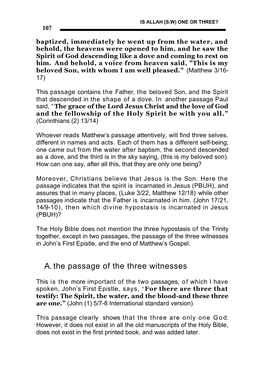**baptized, immediately he went up from the water, and behold, the heavens were opened to him, and he saw the Spirit of God descending like a dove and coming to rest on him. And behold, a voice from heaven said, "This is my beloved Son, with whom I am well pleased."** (Matthew 3/16- 17)

This passage contains the Father, the beloved Son, and the Spirit that descended in the shape of a dove. In another passage Paul said, "**The grace of the Lord Jesus Christ and the love of God and the fellowship of the Holy Spirit be with you all."** (Corinthians (2) 13/14)

Whoever reads Matthew's passage attentively, will find three selves, different in names and acts. Each of them has a different self-being; one came out from the water after baptism, the second descended as a dove, and the third is in the sky saying, (this is my beloved son). How can one say, after all this, that they are only one being?

Moreover, Christians believe that Jesus is the Son. Here the passage indicates that the spirit is incarnated in Jesus (PBUH), and assures that in many places, (Luke 3/22, Matthew 12/18) while other passages indicate that the Father is incarnated in him. (John 17/21, 14/9-10), then which divine hypostasis is incarnated in Jesus (PBUH)?

The Holy Bible does not mention the three hypostasis of the Trinity together, except in two passages, the passage of the three witnesses in John's First Epistle, and the end of Matthew's Gospel.

### A. the passage of the three witnesses

This is the more important of the two passages, of which I have spoken, John's First Epistle, says, "**For there are three that testify: The Spirit, the water, and the blood-and these three are one."** (John (1) 5/7-8 International standard version)

This passage clearly shows that the three are only one God. However, it does not exist in all the old manuscripts of the Holy Bible, does not exist in the first printed book, and was added later.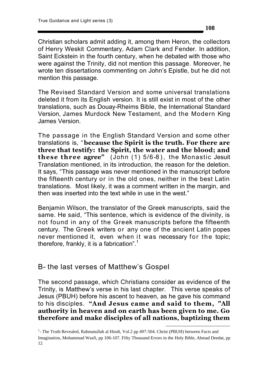Christian scholars admit adding it, among them Heron, the collectors of Henry Weskit Commentary, Adam Clark and Fender. In addition, Saint Eckstein in the fourth century, when he debated with those who were against the Trinity, did not mention this passage. Moreover, he wrote ten dissertations commenting on John's Epistle, but he did not mention this passage.

The Revised Standard Version and some universal translations deleted it from its English version. It is still exist in most of the other translations, such as Douay-Rheims Bible, the International Standard Version, James Murdock New Testament, and the Modern King James Version.

The passage in the English Standard Version and some other translations is, " **because the Spirit is the truth. For there are three that testify: the Spirit, the water and the blood; and these three agree"** (John (1) 5/6-8), the Monastic Jesuit Translation mentioned, in its introduction, the reason for the deletion. It says, "This passage was never mentioned in the manuscript before the fifteenth century or in the old ones, neither in the best Latin translations. Most likely, it was a comment written in the margin, and then was inserted into the text while in use in the west."

Benjamin Wilson, the translator of the Greek manuscripts, said the same. He said, "This sentence, which is evidence of the divinity, is not found in any of the Greek manuscripts before the fifteenth century. The Greek writers or any one of the ancient Latin popes never mentioned it, even when it was necessary for the topic; therefore, frankly, it is a fabrication".<sup>1</sup>

#### B- the last verses of Matthew's Gospel

The second passage, which Christians consider as evidence of the Trinity, is Matthew's verse in his last chapter. This verse speaks of Jesus (PBUH) before his ascent to heaven, as he gave his command to his disciples. **"And Jesus came and said to them, "All authority in heaven and on earth has been given to me. Go therefore and make disciples of all nations, baptizing them** 

<u>.</u>

<sup>&</sup>lt;sup>1</sup>- The Truth Revealed, Rahmatullah al Hindi, Vol.2 pp 497-504. Christ (PBUH) between Facts and Imagination, Mohammad Wasfi, pp 106-107. Fifty Thousand Errors in the Holy Bible, Ahmad Deedat, pp 12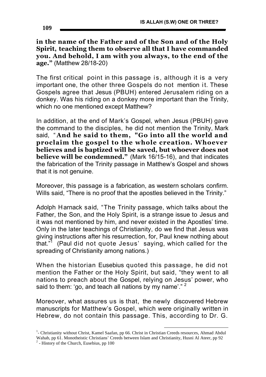**in the name of the Father and of the Son and of the Holy Spirit, teaching them to observe all that I have commanded you. And behold, I am with you always, to the end of the age."** (Matthew 28/18-20)

The first critical point in this passage is, although it is a very important one, the other three Gospels do not mention it. These Gospels agree that Jesus (PBUH) entered Jerusalem riding on a donkey. Was his riding on a donkey more important than the Trinity, which no one mentioned except Matthew?

In addition, at the end of Mark's Gospel, when Jesus (PBUH) gave the command to the disciples, he did not mention the Trinity, Mark said, " **And he said to them, "Go into all the world and proclaim the gospel to the whole creation. Whoever believes and is baptized will be saved, but whoever does not believe will be condemned."** (Mark 16/15-16), and that indicates the fabrication of the Trinity passage in Matthew's Gospel and shows that it is not genuine.

Moreover, this passage is a fabrication, as western scholars confirm. Wills said, "There is no proof that the apostles believed in the Trinity."

Adolph Harnack said, "The Trinity passage, which talks about the Father, the Son, and the Holy Spirit, is a strange issue to Jesus and it was not mentioned by him, and never existed in the Apostles' time. Only in the later teachings of Christianity, do we find that Jesus was giving instructions after his resurrection, for, Paul knew nothing about that."<sup>1</sup> (Paul did not quote Jesus' saying, which called for the spreading of Christianity among nations.)

When the historian Eusebius quoted this passage, he did not mention the Father or the Holy Spirit, but said, "they went to all nations to preach about the Gospel, relying on Jesus' power, who said to them: 'go, and teach all nations by my name'."<sup>2</sup>

Moreover, what assures us is that, the newly discovered Hebrew manuscripts for Matthew's Gospel, which were originally written in Hebrew, do not contain this passage. This, according to Dr. G.

 $\overline{a}$ 

<sup>&</sup>lt;sup>1</sup>- Christianity without Christ, Kamel Saafan, pp 66. Christ in Christian Creeds resources, Ahmad Abdul Wahab, pp 61. Monotheistic Christians' Creeds between Islam and Christianity, Husni Al Ateer, pp 92

<sup>&</sup>lt;sup>2</sup> - History of the Church, Eusebius, pp 100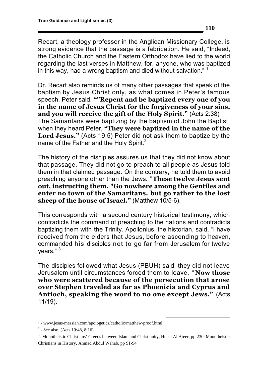Dr. Recart also reminds us of many other passages that speak of the baptism by Jesus Christ only, as what comes in Peter's famous speech. Peter said, **""Repent and be baptized every one of you in the name of Jesus Christ for the forgiveness of your sins, and you will receive the gift of the Holy Spirit."** (Acts 2:38) The Samaritans were baptizing by the baptism of John the Baptist, when they heard Peter, **"They were baptized in the name of the Lord Jesus."** (Acts 19:5) Peter did not ask them to baptize by the name of the Father and the Holy Spirit.<sup>2</sup>

The history of the disciples assures us that they did not know about that passage. They did not go to preach to all people as Jesus told them in that claimed passage. On the contrary, he told them to avoid preaching anyone other than the Jews. "**These twelve Jesus sent out, instructing them, "Go nowhere among the Gentiles and enter no town of the Samaritans. but go rather to the lost**  sheep of the house of Israel." (Matthew 10/5-6).

This corresponds with a second century historical testimony, which contradicts the command of preaching to the nations and contradicts baptizing them with the Trinity. Apollonius, the historian, said, "I have received from the elders that Jesus, before ascending to heaven, commanded his disciples not to go far from Jerusalem for twelve years." <sup>3</sup>

The disciples followed what Jesus (PBUH) said, they did not leave Jerusalem until circumstances forced them to leave. " **Now those who were scattered because of the persecution that arose over Stephen traveled as far as Phoenicia and Cyprus and Antioch, speaking the word to no one except Jews."** (Acts 11/19).

-

<sup>1</sup> - www.jesus-messiah.com/apologetics/catholic/matthew-proof.html

 $2$  - See also, (Acts 10:48, 8:16)

<sup>&</sup>lt;sup>3</sup>-Monotheistic Christians' Creeds between Islam and Christianity, Husni Al Ateer, pp 230. Monotheistic Christians in History, Ahmad Abdul Wahab, pp 91-94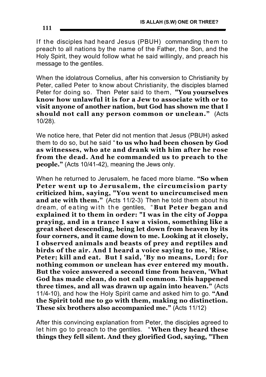If the disciples had heard Jesus (PBUH) commanding them to preach to all nations by the name of the Father, the Son, and the Holy Spirit, they would follow what he said willingly, and preach his message to the gentiles.

When the idolatrous Cornelius, after his conversion to Christianity by Peter, called Peter to know about Christianity, the disciples blamed Peter for doing so. Then Peter said to them, **"You yourselves know how unlawful it is for a Jew to associate with or to visit anyone of another nation, but God has shown me that I should not call any person common or unclean."** (Acts 10/28).

We notice here, that Peter did not mention that Jesus (PBUH) asked them to do so, but he said "**to us who had been chosen by God as witnesses, who ate and drank with him after he rose from the dead. And he commanded us to preach to the people."** (Acts 10/41-42), meaning the Jews only.

When he returned to Jerusalem, he faced more blame. **"So when Peter went up to Jerusalem, the circumcision party criticized him, saying, "You went to uncircumcised men and ate with them."** (Acts 11/2-3) Then he told them about his dream, of eating with the gentiles, " **But Peter began and explained it to them in order: "I was in the city of Joppa praying, and in a trance I saw a vision, something like a great sheet descending, being let down from heaven by its four corners, and it came down to me. Looking at it closely, I observed animals and beasts of prey and reptiles and birds of the air. And I heard a voice saying to me, 'Rise, Peter; kill and eat. But I said, 'By no means, Lord; for nothing common or unclean has ever entered my mouth. But the voice answered a second time from heaven, 'What God has made clean, do not call common. This happened three times, and all was drawn up again into heaven."** (Acts 11/4-10), and how the Holy Spirit came and asked him to go. **"And the Spirit told me to go with them, making no distinction. These six brothers also accompanied me."** (Acts 11/12)

After this convincing explanation from Peter, the disciples agreed to let him go to preach to the gentiles. "**When they heard these things they fell silent. And they glorified God, saying, "Then**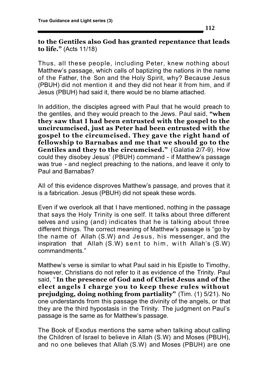#### **to the Gentiles also God has granted repentance that leads to life."** (Acts 11/18)

Thus, all these people, including Peter, knew nothing about Matthew's passage, which calls of baptizing the nations in the name of the Father, the Son and the Holy Spirit, why? Because Jesus (PBUH) did not mention it and they did not hear it from him, and if Jesus (PBUH) had said it, there would be no blame attached.

In addition, the disciples agreed with Paul that he would preach to the gentiles, and they would preach to the Jews. Paul said, **"when they saw that I had been entrusted with the gospel to the uncircumcised, just as Peter had been entrusted with the gospel to the circumcised. They gave the right hand of fellowship to Barnabas and me that we should go to the Gentiles and they to the circumcised."** (Galatia 2/7-9). How could they disobey Jesus' (PBUH) command - if Matthew's passage was true - and neglect preaching to the nations, and leave it only to Paul and Barnabas?

All of this evidence disproves Matthew's passage, and proves that it is a fabrication. Jesus (PBUH) did not speak these words.

Even if we overlook all that I have mentioned, nothing in the passage that says the Holy Trinity is one self. It talks about three different selves and using (and) indicates that he is talking about three different things. The correct meaning of Matthew's passage is "go by the name of Allah (S.W) and Jesus, his messenger, and the inspiration that Allah  $(S.W)$  sent to him, with Allah's  $(S.W)$ commandments."

Matthew's verse is similar to what Paul said in his Epistle to Timothy, however, Christians do not refer to it as evidence of the Trinity. Paul said, " **In the presence of God and of Christ Jesus and of the elect angels I charge you to keep these rules without prejudging, doing nothing from partiality"** (Tim. (1) 5/21). No one understands from this passage the divinity of the angels, or that they are the third hypostasis in the Trinity. The judgment on Paul's passage is the same as for Matthew's passage.

The Book of Exodus mentions the same when talking about calling the Children of Israel to believe in Allah (S.W) and Moses (PBUH), and no one believes that Allah (S.W) and Moses (PBUH) are one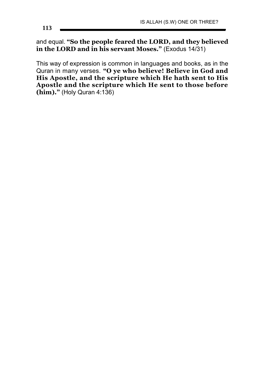and equal. **"So the people feared the LORD, and they believed in the LORD and in his servant Moses."** (Exodus 14/31)

This way of expression is common in languages and books, as in the Quran in many verses. **"O ye who believe! Believe in God and His Apostle, and the scripture which He hath sent to His Apostle and the scripture which He sent to those before (him)."** (Holy Quran 4:136)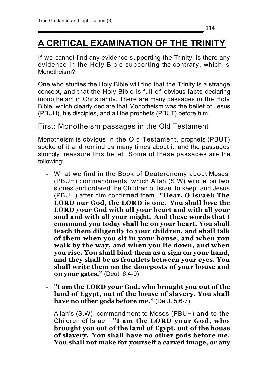# **A CRITICAL EXAMINATION OF THE TRINITY**

If we cannot find any evidence supporting the Trinity, is there any evidence in the Holy Bible supporting the contrary, which is Monotheism?

One who studies the Holy Bible will find that the Trinity is a strange concept, and that the Holy Bible is full of obvious facts declaring monotheism in Christianity. There are many passages in the Holy Bible, which clearly declare that Monotheism was the belief of Jesus (PBUH), his disciples, and all the prophets (PBUT) before him.

#### First: Monotheism passages in the Old Testament

Monotheism is obvious in the Old Testament, prophets (PBUT) spoke of it and remind us many times about it, and the passages strongly reassure this belief. Some of these passages are the following:

- What we find in the Book of Deuteronomy about Moses' (PBUH) commandments, which Allah (S.W) wrote on two stones and ordered the Children of Israel to keep, and Jesus (PBUH) after him confirmed them. **"Hear, O Israel: The LORD our God, the LORD is one. You shall love the LORD your God with all your heart and with all your soul and with all your might. And these words that I command you today shall be on your heart. You shall teach them diligently to your children, and shall talk of them when you sit in your house, and when you walk by the way, and when you lie down, and when you rise. You shall bind them as a sign on your hand, and they shall be as frontlets between your eyes. You shall write them on the doorposts of your house and on your gates."** (Deut. 6:4-9)
- **"I am the LORD your God, who brought you out of the land of Egypt, out of the house of slavery. You shall have no other gods before me."** (Deut. 5:6-7)
- Allah's (S.W) commandment to Moses (PBUH) and to the Children of Israel, **"I am the LORD your God, who brought you out of the land of Egypt, out of the house of slavery. You shall have no other gods before me. You shall not make for yourself a carved image, or any**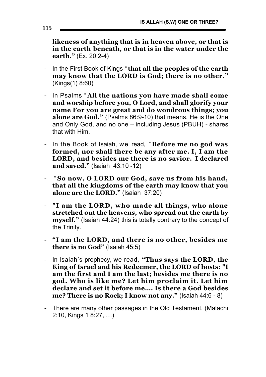**likeness of anything that is in heaven above, or that is in the earth beneath, or that is in the water under the earth."** (Ex. 20:2-4)

- In the First Book of Kings "**that all the peoples of the earth may know that the LORD is God; there is no other."** (Kings(1) 8:60)
- In Psalms " **All the nations you have made shall come and worship before you, O Lord, and shall glorify your name For you are great and do wondrous things; you alone are God."** (Psalms 86:9-10) that means, He is the One and Only God, and no one – including Jesus (PBUH) - shares that with Him.
- In the Book of Isaiah, we read, " **Before me no god was formed, nor shall there be any after me. I, I am the LORD, and besides me there is no savior. I declared and saved."** (Isaiah 43:10 -12)
- " **So now, O LORD our God, save us from his hand, that all the kingdoms of the earth may know that you alone are the LORD."** (Isaiah 37:20)
- **"I am the LORD, who made all things, who alone stretched out the heavens, who spread out the earth by myself."** (Isaiah 44:24) this is totally contrary to the concept of the Trinity.
- **"I am the LORD, and there is no other, besides me there is no God"** (Isaiah 45:5)
- In Isaiah's prophecy, we read, **"Thus says the LORD, the King of Israel and his Redeemer, the LORD of hosts: "I am the first and I am the last; besides me there is no god. Who is like me? Let him proclaim it. Let him declare and set it before me…. Is there a God besides me? There is no Rock; I know not any."** (Isaiah 44:6 - 8)
- There are many other passages in the Old Testament. (Malachi 2:10, Kings 1 8:27, …)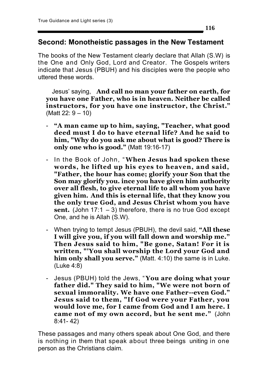#### **Second: Monotheistic passages in the New Testament**

The books of the New Testament clearly declare that Allah (S.W) is the One and Only God, Lord and Creator. The Gospels writers indicate that Jesus (PBUH) and his disciples were the people who uttered these words.

Jesus' saying, **And call no man your father on earth, for you have one Father, who is in heaven. Neither be called instructors, for you have one instructor, the Christ."** (Matt 22: 9 – 10)

- **"A man came up to him, saying, "Teacher, what good deed must I do to have eternal life? And he said to him, "Why do you ask me about what is good? There is only one who is good."** (Matt 19:16-17)
- In the Book of John, "**When Jesus had spoken these words, he lifted up his eyes to heaven, and said, "Father, the hour has come; glorify your Son that the Son may glorify you. ince you have given him authority over all flesh, to give eternal life to all whom you have given him. And this is eternal life, that they know you the only true God, and Jesus Christ whom you have sent.** (John 17:1 – 3) therefore, there is no true God except One, and he is Allah (S.W).
- When trying to tempt Jesus (PBUH), the devil said, **"All these I will give you, if you will fall down and worship me." Then Jesus said to him, "Be gone, Satan! For it is written, "'You shall worship the Lord your God and him only shall you serve."** (Matt. 4:10) the same is in Luke. (Luke 4:8)
- Jesus (PBUH) told the Jews, " **You are doing what your father did." They said to him, "We were not born of sexual immorality. We have one Father--even God." Jesus said to them, "If God were your Father, you would love me, for I came from God and I am here. I came not of my own accord, but he sent me."** (John 8:41- 42)

These passages and many others speak about One God, and there is nothing in them that speak about three beings uniting in one person as the Christians claim.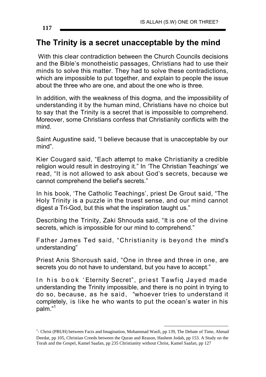## **The Trinity is a secret unacceptable by the mind**

 With this clear contradiction between the Church Councils decisions and the Bible's monotheistic passages, Christians had to use their minds to solve this matter. They had to solve these contradictions, which are impossible to put together, and explain to people the issue about the three who are one, and about the one who is three.

In addition, with the weakness of this dogma, and the impossibility of understanding it by the human mind, Christians have no choice but to say that the Trinity is a secret that is impossible to comprehend. Moreover, some Christians confess that Christianity conflicts with the mind.

Saint Augustine said, "I believe because that is unacceptable by our mind".

Kier Cougard said, "Each attempt to make Christianity a credible religion would result in destroying it." In 'The Christian Teachings' we read, "It is not allowed to ask about God's secrets, because we cannot comprehend the belief's secrets."

In his book, 'The Catholic Teachings', priest De Grout said, "The Holy Trinity is a puzzle in the truest sense, and our mind cannot digest a Tri-God, but this what the inspiration taught us."

Describing the Trinity, Zaki Shnouda said, "It is one of the divine secrets, which is impossible for our mind to comprehend."

Father James Ted said, "Christianity is beyond the mind's understanding"

Priest Anis Shoroush said, "One in three and three in one, are secrets you do not have to understand, but you have to accept."

In his book 'Eternity Secret", priest Tawfiq Jayed made understanding the Trinity impossible, and there is no point in trying to do so, because, as he said, "whoever tries to understand it completely, is like he who wants to put the ocean's water in his palm." 1

 $\overline{a}$ 

<sup>&</sup>lt;sup>1</sup>- Christ (PBUH) between Facts and Imagination, Mohammad Wasfi, pp 139, The Debate of Time, Ahmad Deedat, pp 105, Christian Creeds between the Quran and Reason, Hashem Jodah, pp 153. A Study on the Torah and the Gospel, Kamel Saafan, pp 235 Christianity without Christ, Kamel Saafan, pp 127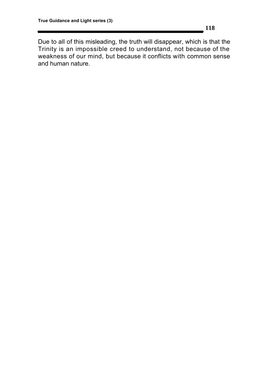Due to all of this misleading, the truth will disappear, which is that the Trinity is an impossible creed to understand, not because of the weakness of our mind, but because it conflicts with common sense and human nature.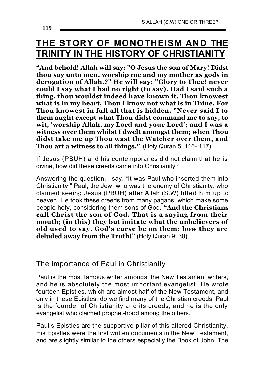## **THE STORY OF MONOTHEISM AND THE TRINITY IN THE HISTORY OF CHRISTIANITY**

**"And behold! Allah will say: "O Jesus the son of Mary! Didst thou say unto men, worship me and my mother as gods in derogation of Allah.?" He will say: "Glory to Thee! never could I say what I had no right (to say). Had I said such a thing, thou wouldst indeed have known it. Thou knowest what is in my heart, Thou I know not what is in Thine. For Thou knowest in full all that is hidden. "Never said I to them aught except what Thou didst command me to say, to wit, 'worship Allah, my Lord and your Lord'; and I was a witness over them whilst I dwelt amongst them; when Thou didst take me up Thou wast the Watcher over them, and Thou art a witness to all things."** (Holy Quran 5: 116- 117)

If Jesus (PBUH) and his contemporaries did not claim that he is divine, how did these creeds came into Christianity?

Answering the question, I say, "It was Paul who inserted them into Christianity." Paul, the Jew, who was the enemy of Christianity, who claimed seeing Jesus (PBUH) after Allah (S.W) lifted him up to heaven. He took these creeds from many pagans, which make some people holy, considering them sons of God. **"And the Christians call Christ the son of God. That is a saying from their mouth; (in this) they but imitate what the unbelievers of old used to say. God's curse be on them: how they are deluded away from the Truth!"** (Holy Quran 9: 30).

The importance of Paul in Christianity

Paul is the most famous writer amongst the New Testament writers, and he is absolutely the most important evangelist. He wrote fourteen Epistles, which are almost half of the New Testament, and only in these Epistles, do we find many of the Christian creeds. Paul is the founder of Christianity and its creeds, and he is the only evangelist who claimed prophet-hood among the others.

Paul's Epistles are the supportive pillar of this altered Christianity. His Epistles were the first written documents in the New Testament, and are slightly similar to the others especially the Book of John. The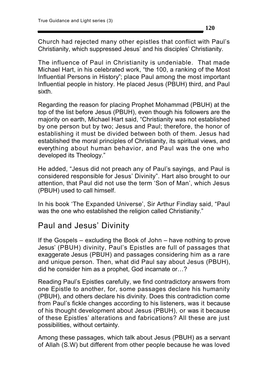Church had rejected many other epistles that conflict with Paul's Christianity, which suppressed Jesus' and his disciples' Christianity.

The influence of Paul in Christianity is undeniable. That made Michael Hart, in his celebrated work, "the 100, a ranking of the Most Influential Persons in History"; place Paul among the most important Influential people in history. He placed Jesus (PBUH) third, and Paul sixth.

Regarding the reason for placing Prophet Mohammad (PBUH) at the top of the list before Jesus (PBUH), even though his followers are the majority on earth, Michael Hart said, "Christianity was not established by one person but by two; Jesus and Paul; therefore, the honor of establishing it must be divided between both of them. Jesus had established the moral principles of Christianity, its spiritual views, and everything about human behavior, and Paul was the one who developed its Theology."

He added, "Jesus did not preach any of Paul's sayings, and Paul is considered responsible for Jesus' Divinity". Hart also brought to our attention, that Paul did not use the term 'Son of Man', which Jesus (PBUH) used to call himself.

In his book 'The Expanded Universe', Sir Arthur Findlay said, "Paul was the one who established the religion called Christianity."

## Paul and Jesus' Divinity

If the Gospels – excluding the Book of John – have nothing to prove Jesus' (PBUH) divinity, Paul's Epistles are full of passages that exaggerate Jesus (PBUH) and passages considering him as a rare and unique person. Then, what did Paul say about Jesus (PBUH), did he consider him as a prophet, God incarnate or…?

Reading Paul's Epistles carefully, we find contradictory answers from one Epistle to another, for, some passages declare his humanity (PBUH), and others declare his divinity. Does this contradiction come from Paul's fickle changes according to his listeners, was it because of his thought development about Jesus (PBUH), or was it because of these Epistles' alterations and fabrications? All these are just possibilities, without certainty.

Among these passages, which talk about Jesus (PBUH) as a servant of Allah (S.W) but different from other people because he was loved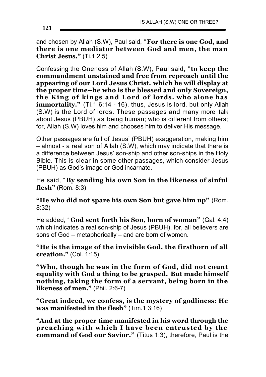and chosen by Allah (S.W), Paul said, " **For there is one God, and there is one mediator between God and men, the man Christ Jesus."** (Ti.1 2:5)

Confessing the Oneness of Allah (S.W), Paul said, "**to keep the commandment unstained and free from reproach until the appearing of our Lord Jesus Christ. which he will display at the proper time--he who is the blessed and only Sovereign, the King of kings and Lord of lords. who alone has immortality."** (Ti.1 6:14 - 16), thus, Jesus is lord, but only Allah (S.W) is the Lord of lords. These passages and many more talk about Jesus (PBUH) as being human; who is different from others; for, Allah (S.W) loves him and chooses him to deliver His message.

Other passages are full of Jesus' (PBUH) exaggeration, making him – almost - a real son of Allah (S.W), which may indicate that there is a difference between Jesus' son-ship and other son-ships in the Holy Bible. This is clear in some other passages, which consider Jesus (PBUH) as God's image or God incarnate.

He said, " **By sending his own Son in the likeness of sinful flesh"** (Rom. 8:3)

**"He who did not spare his own Son but gave him up"** (Rom. 8:32)

He added, " **God sent forth his Son, born of woman"** (Gal. 4:4) which indicates a real son-ship of Jesus (PBUH), for, all believers are sons of God – metaphorically – and are born of women.

**"He is the image of the invisible God, the firstborn of all creation."** (Col. 1:15)

**"Who, though he was in the form of God, did not count equality with God a thing to be grasped. But made himself nothing, taking the form of a servant, being born in the likeness of men."** (Phil. 2:6-7)

**"Great indeed, we confess, is the mystery of godliness: He was manifested in the flesh"** (Tim.1 3:16)

**"And at the proper time manifested in his word through the preaching with which I have been entrusted by the command of God our Savior."** (Titus 1:3), therefore, Paul is the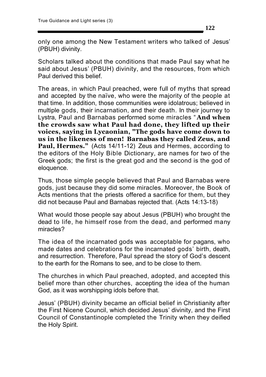only one among the New Testament writers who talked of Jesus' (PBUH) divinity.

Scholars talked about the conditions that made Paul say what he said about Jesus' (PBUH) divinity, and the resources, from which Paul derived this belief.

The areas, in which Paul preached, were full of myths that spread and accepted by the naïve, who were the majority of the people at that time. In addition, those communities were idolatrous; believed in multiple gods, their incarnation, and their death. In their journey to Lystra, Paul and Barnabas performed some miracles " **And when the crowds saw what Paul had done, they lifted up their voices, saying in Lycaonian, "The gods have come down to us in the likeness of men! Barnabas they called Zeus, and**  Paul, Hermes." (Acts 14/11-12) Zeus and Hermes, according to the editors of the Holy Bible Dictionary, are names for two of the Greek gods; the first is the great god and the second is the god of eloquence.

Thus, those simple people believed that Paul and Barnabas were gods, just because they did some miracles. Moreover, the Book of Acts mentions that the priests offered a sacrifice for them, but they did not because Paul and Barnabas rejected that. (Acts 14:13-18)

What would those people say about Jesus (PBUH) who brought the dead to life, he himself rose from the dead, and performed many miracles?

The idea of the incarnated gods was acceptable for pagans, who made dates and celebrations for the incarnated gods' birth, death, and resurrection. Therefore, Paul spread the story of God's descent to the earth for the Romans to see, and to be close to them.

The churches in which Paul preached, adopted, and accepted this belief more than other churches, accepting the idea of the human God, as it was worshipping idols before that.

Jesus' (PBUH) divinity became an official belief in Christianity after the First Nicene Council, which decided Jesus' divinity, and the First Council of Constantinople completed the Trinity when they deified the Holy Spirit.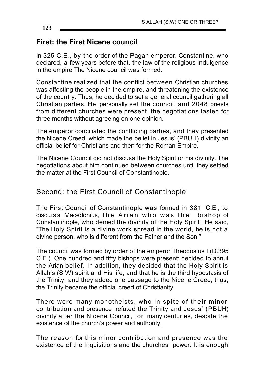#### **123**

#### **First: the First Nicene council**

In 325 C.E., by the order of the Pagan emperor, Constantine, who declared, a few years before that, the law of the religious indulgence in the empire The Nicene council was formed.

Constantine realized that the conflict between Christian churches was affecting the people in the empire, and threatening the existence of the country. Thus, he decided to set a general council gathering all Christian parties. He personally set the council, and 2048 priests from different churches were present, the negotiations lasted for three months without agreeing on one opinion.

The emperor conciliated the conflicting parties, and they presented the Nicene Creed, which made the belief in Jesus' (PBUH) divinity an official belief for Christians and then for the Roman Empire.

The Nicene Council did not discuss the Holy Spirit or his divinity. The negotiations about him continued between churches until they settled the matter at the First Council of Constantinople.

### Second: the First Council of Constantinople

The First Council of Constantinople was formed in 381 C.E., to discuss Macedonius, the Arian who was the bishop of Constantinople, who denied the divinity of the Holy Spirit. He said, "The Holy Spirit is a divine work spread in the world, he is not a divine person, who is different from the Father and the Son."

The council was formed by order of the emperor Theodosius I (D.395 C.E.). One hundred and fifty bishops were present; decided to annul the Arian belief. In addition, they decided that the Holy Spirit is Allah's (S.W) spirit and His life, and that he is the third hypostasis of the Trinity, and they added one passage to the Nicene Creed; thus, the Trinity became the official creed of Christianity.

There were many monotheists, who in spite of their minor contribution and presence refuted the Trinity and Jesus' (PBUH) divinity after the Nicene Council, for many centuries, despite the existence of the church's power and authority,

The reason for this minor contribution and presence was the existence of the Inquisitions and the churches' power. It is enough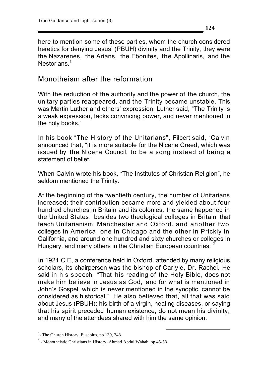**124**

here to mention some of these parties, whom the church considered heretics for denying Jesus' (PBUH) divinity and the Trinity, they were the Nazarenes, the Arians, the Ebonites, the Apollinaris, and the Nestorians<sup>1</sup>

### Monotheism after the reformation

With the reduction of the authority and the power of the church, the unitary parties reappeared, and the Trinity became unstable. This was Martin Luther and others' expression. Luther said, "The Trinity is a weak expression, lacks convincing power, and never mentioned in the holy books."

In his book "The History of the Unitarians", Filbert said, "Calvin announced that, "it is more suitable for the Nicene Creed, which was issued by the Nicene Council, to be a song instead of being a statement of belief."

When Calvin wrote his book, "The Institutes of Christian Religion", he seldom mentioned the Trinity.

At the beginning of the twentieth century, the number of Unitarians increased; their contribution became more and yielded about four hundred churches in Britain and its colonies, the same happened in the United States. besides two theological colleges in Britain that teach Unitarianism; Manchester and Oxford, and another two colleges in America, one in Chicago and the other in Prickly in California, and around one hundred and sixty churches or colleges in Hungary, and many others in the Christian European countries.

In 1921 C.E, a conference held in Oxford, attended by many religious scholars, its chairperson was the bishop of Carlyle, Dr. Rachel. He said in his speech, "That his reading of the Holy Bible, does not make him believe in Jesus as God, and for what is mentioned in John's Gospel, which is never mentioned in the synoptic, cannot be considered as historical." He also believed that, all that was said about Jesus (PBUH); his birth of a virgin, healing diseases, or saying that his spirit preceded human existence, do not mean his divinity, and many of the attendees shared with him the same opinion.

<u>.</u>

<sup>&</sup>lt;sup>1</sup>- The Church History, Eusebius, pp 130, 343

 $2$  - Monotheistic Christians in History, Ahmad Abdul Wahab, pp 45-53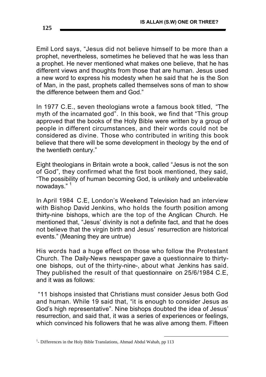Emil Lord says, "Jesus did not believe himself to be more than a prophet, nevertheless, sometimes he believed that he was less than a prophet. He never mentioned what makes one believe, that he has different views and thoughts from those that are human. Jesus used a new word to express his modesty when he said that he is the Son of Man, in the past, prophets called themselves sons of man to show the difference between them and God."

In 1977 C.E., seven theologians wrote a famous book titled, "The myth of the incarnated god". In this book, we find that "This group approved that the books of the Holy Bible were written by a group of people in different circumstances, and their words could not be considered as divine. Those who contributed in writing this book believe that there will be some development in theology by the end of the twentieth century."

Eight theologians in Britain wrote a book, called "Jesus is not the son of God", they confirmed what the first book mentioned, they said, "The possibility of human becoming God, is unlikely and unbelievable nowadays." <sup>1</sup>

In April 1984 C.E, London's Weekend Television had an interview with Bishop David Jenkins, who holds the fourth position among thirty-nine bishops, which are the top of the Anglican Church. He mentioned that, "Jesus' divinity is not a definite fact, and that he does not believe that the virgin birth and Jesus' resurrection are historical events." (Meaning they are untrue)

His words had a huge effect on those who follow the Protestant Church. The Daily-News newspaper gave a questionnaire to thirtyone bishops, out of the thirty-nine-, about what Jenkins has said. They published the result of that questionnaire on 25/6/1984 C.E, and it was as follows:

"11 bishops insisted that Christians must consider Jesus both God and human. While 19 said that, "it is enough to consider Jesus as God's high representative". Nine bishops doubted the idea of Jesus' resurrection, and said that, it was a series of experiences or feelings, which convinced his followers that he was alive among them. Fifteen

 $\overline{a}$ 

<sup>&</sup>lt;sup>1</sup>- Differences in the Holy Bible Translations, Ahmad Abdul Wahab, pp 113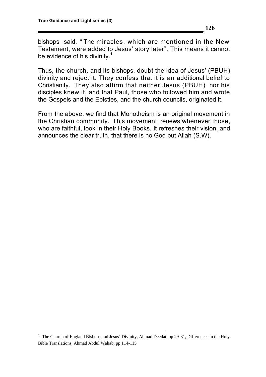bishops said, " The miracles, which are mentioned in the New Testament, were added to Jesus' story later". This means it cannot be evidence of his divinity.<sup>1</sup>

Thus, the church, and its bishops, doubt the idea of Jesus' (PBUH) divinity and reject it. They confess that it is an additional belief to Christianity. They also affirm that neither Jesus (PBUH) nor his disciples knew it, and that Paul, those who followed him and wrote the Gospels and the Epistles, and the church councils, originated it.

From the above, we find that Monotheism is an original movement in the Christian community. This movement renews whenever those, who are faithful, look in their Holy Books. It refreshes their vision, and announces the clear truth, that there is no God but Allah (S.W).

<sup>1</sup>- The Church of England Bishops and Jesus' Divinity, Ahmad Deedat, pp 29-31, Differences in the Holy Bible Translations, Ahmad Abdul Wahab, pp 114-115

<u>.</u>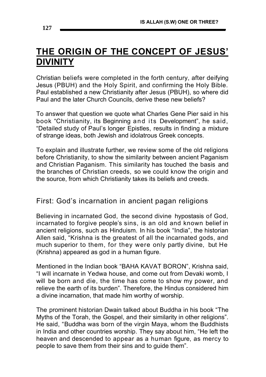# **THE ORIGIN OF THE CONCEPT OF JESUS' DIVINITY**

Christian beliefs were completed in the forth century, after deifying Jesus (PBUH) and the Holy Spirit, and confirming the Holy Bible. Paul established a new Christianity after Jesus (PBUH), so where did Paul and the later Church Councils, derive these new beliefs?

To answer that question we quote what Charles Gene Pier said in his book "Christianity, its Beginning and its Development", he said, "Detailed study of Paul's longer Epistles, results in finding a mixture of strange ideas, both Jewish and idolatrous Greek concepts.

To explain and illustrate further, we review some of the old religions before Christianity, to show the similarity between ancient Paganism and Christian Paganism. This similarity has touched the basis and the branches of Christian creeds, so we could know the origin and the source, from which Christianity takes its beliefs and creeds.

## First: God's incarnation in ancient pagan religions

Believing in incarnated God, the second divine hypostasis of God, incarnated to forgive people's sins, is an old and known belief in ancient religions, such as Hinduism. In his book "India", the historian Allen said, "Krishna is the greatest of all the incarnated gods, and much superior to them, for they were only partly divine, but He (Krishna) appeared as god in a human figure.

Mentioned in the Indian book "BAHA KAVAT BORON", Krishna said, "I will incarnate in Yedwa house, and come out from Devaki womb, I will be born and die, the time has come to show my power, and relieve the earth of its burden". Therefore, the Hindus considered him a divine incarnation, that made him worthy of worship.

The prominent historian Dwain talked about Buddha in his book "The Myths of the Torah, the Gospel, and their similarity in other religions". He said, "Buddha was born of the virgin Maya, whom the Buddhists in India and other countries worship. They say about him, "He left the heaven and descended to appear as a human figure, as mercy to people to save them from their sins and to guide them".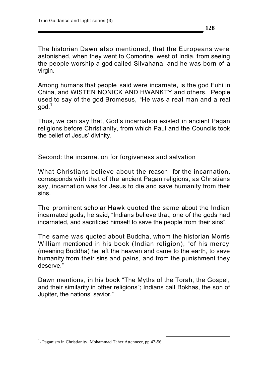The historian Dawn also mentioned, that the Europeans were astonished, when they went to Comorine, west of India, from seeing the people worship a god called Silvahana, and he was born of a virgin.

Among humans that people said were incarnate, is the god Fuhi in China, and WISTEN NONICK AND HWANKTY and others. People used to say of the god Bromesus, "He was a real man and a real  $q$ od.<sup>1</sup>

Thus, we can say that, God's incarnation existed in ancient Pagan religions before Christianity, from which Paul and the Councils took the belief of Jesus' divinity.

Second: the incarnation for forgiveness and salvation

What Christians believe about the reason for the incarnation, corresponds with that of the ancient Pagan religions, as Christians say, incarnation was for Jesus to die and save humanity from their sins.

The prominent scholar Hawk quoted the same about the Indian incarnated gods, he said, "Indians believe that, one of the gods had incarnated, and sacrificed himself to save the people from their sins".

The same was quoted about Buddha, whom the historian Morris William mentioned in his book (Indian religion), "of his mercy (meaning Buddha) he left the heaven and came to the earth, to save humanity from their sins and pains, and from the punishment they deserve."

Dawn mentions, in his book "The Myths of the Torah, the Gospel, and their similarity in other religions"; Indians call Bokhas, the son of Jupiter, the nations' savior."

<u>.</u>

<sup>&</sup>lt;sup>1</sup>- Paganism in Christianity, Mohammad Taher Attenneer, pp 47-56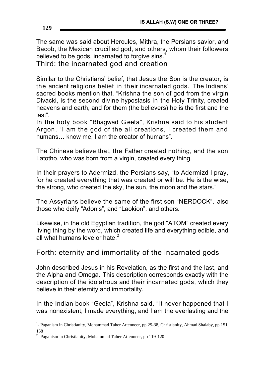The same was said about Hercules, Mithra, the Persians savior, and Bacob, the Mexican crucified god, and others, whom their followers believed to be gods, incarnated to forgive sins.<sup>1</sup>

Third: the incarnated god and creation

Similar to the Christians' belief, that Jesus the Son is the creator, is the ancient religions belief in their incarnated gods. The Indians' sacred books mention that, "Krishna the son of god from the virgin Divacki, is the second divine hypostasis in the Holy Trinity, created heavens and earth, and for them (the believers) he is the first and the last".

In the holy book "Bhagwad G eeta", Krishna said to his student Argon, "I am the god of the all creations, I created them and humans… know me, I am the creator of humans".

The Chinese believe that, the Father created nothing, and the son Latotho, who was born from a virgin, created every thing.

In their prayers to Adermizd, the Persians say, "to Adermizd I pray, for he created everything that was created or will be. He is the wise, the strong, who created the sky, the sun, the moon and the stars."

The Assyrians believe the same of the first son "NERDOCK", also those who deify "Adonis", and "Laokion", and others.

Likewise, in the old Egyptian tradition, the god "ATOM" created every living thing by the word, which created life and everything edible, and all what humans love or hate. $2$ 

## Forth: eternity and immortality of the incarnated gods

John described Jesus in his Revelation, as the first and the last, and the Alpha and Omega. This description corresponds exactly with the description of the idolatrous and their incarnated gods, which they believe in their eternity and immortality.

In the Indian book "Geeta", Krishna said, "It never happened that I was nonexistent, I made everything, and I am the everlasting and the

 $\overline{a}$ 

<sup>2</sup>- Paganism in Christianity, Mohammad Taher Attenneer, pp 119-120

<sup>&</sup>lt;sup>1</sup>- Paganism in Christianity, Mohammad Taher Attenneer, pp 29-38, Christianity, Ahmad Shalaby, pp 151, 158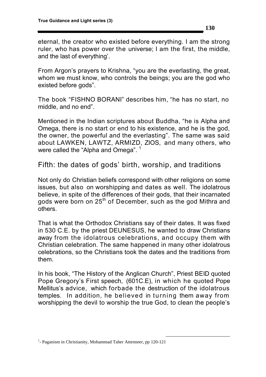eternal, the creator who existed before everything. I am the strong ruler, who has power over the universe; I am the first, the middle, and the last of everything'.

From Argon's prayers to Krishna, "you are the everlasting, the great, whom we must know, who controls the beings; you are the god who existed before gods".

The book "FISHNO BORANI" describes him, "he has no start, no middle, and no end".

Mentioned in the Indian scriptures about Buddha, "he is Alpha and Omega, there is no start or end to his existence, and he is the god, the owner, the powerful and the everlasting". The same was said about LAWKEN, LAWTZ, ARMIZD, ZIOS, and many others, who were called the "Alpha and Omega".  $^\mathrm{1}$ 

Fifth: the dates of gods' birth, worship, and traditions

Not only do Christian beliefs correspond with other religions on some issues, but also on worshipping and dates as well. The idolatrous believe, in spite of the differences of their gods, that their incarnated gods were born on 25<sup>th</sup> of December, such as the god Mithra and others.

That is what the Orthodox Christians say of their dates. It was fixed in 530 C.E. by the priest DEUNESUS, he wanted to draw Christians away from the idolatrous celebrations, and occupy them with Christian celebration. The same happened in many other idolatrous celebrations, so the Christians took the dates and the traditions from them.

In his book, "The History of the Anglican Church", Priest BEID quoted Pope Gregory's First speech, (601C.E), in which he quoted Pope Mellitus's advice, which forbade the destruction of the idolatrous temples. In addition, he believed in turning them away from worshipping the devil to worship the true God, to clean the people's

<u>.</u>

<sup>&</sup>lt;sup>1</sup>- Paganism in Christianity, Mohammad Taher Attenneer, pp 120-121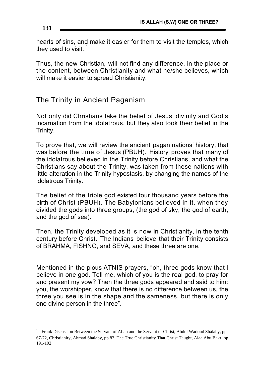hearts of sins, and make it easier for them to visit the temples, which they used to visit.  $1$ 

Thus, the new Christian, will not find any difference, in the place or the content, between Christianity and what he/she believes, which will make it easier to spread Christianity.

### The Trinity in Ancient Paganism

Not only did Christians take the belief of Jesus' divinity and God's incarnation from the idolatrous, but they also took their belief in the Trinity.

To prove that, we will review the ancient pagan nations' history, that was before the time of Jesus (PBUH). History proves that many of the idolatrous believed in the Trinity before Christians, and what the Christians say about the Trinity, was taken from these nations with little alteration in the Trinity hypostasis, by changing the names of the idolatrous Trinity.

The belief of the triple god existed four thousand years before the birth of Christ (PBUH). The Babylonians believed in it, when they divided the gods into three groups, (the god of sky, the god of earth, and the god of sea).

Then, the Trinity developed as it is now in Christianity, in the tenth century before Christ. The Indians believe that their Trinity consists of BRAHMA, FISHNO, and SEVA, and these three are one.

Mentioned in the pious ATNIS prayers, "oh, three gods know that I believe in one god. Tell me, which of you is the real god, to pray for and present my vow? Then the three gods appeared and said to him: you, the worshipper, know that there is no difference between us, the three you see is in the shape and the sameness, but there is only one divine person in the three".

 $\overline{a}$ 

<sup>&</sup>lt;sup>1</sup> - Frank Discussion Between the Servant of Allah and the Servant of Christ, Abdul Wadoud Shalaby, pp 67-72, Christianity, Ahmad Shalaby, pp 83, The True Christianity That Christ Taught, Alaa Abu Bakr, pp 191-192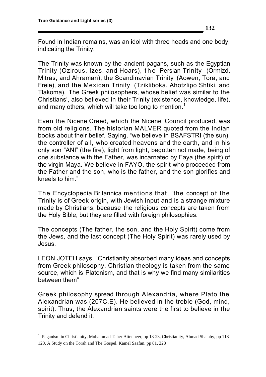Found in Indian remains, was an idol with three heads and one body, indicating the Trinity.

The Trinity was known by the ancient pagans, such as the Egyptian Trinity (Ozirous, Izes, and Hoars), the Persian Trinity (Ormizd, Mitras, and Ahraman), the Scandinavian Trinity (Aowen, Tora, and Freie), and the Mexican Trinity (Tzikliboka, Ahotzlipo Shtiki, and Tlakoma). The Greek philosophers, whose belief was similar to the Christians', also believed in their Trinity (existence, knowledge, life), and many others, which will take too long to mention.<sup>1</sup>

Even the Nicene Creed, which the Nicene Council produced, was from old religions. The historian MALVER quoted from the Indian books about their belief. Saying, "we believe in BSAFSTRI (the sun), the controller of all, who created heavens and the earth, and in his only son "ANI" (the fire), light from light, begotten not made, being of one substance with the Father, was incarnated by Faya (the spirit) of the virgin Maya. We believe in FAYO, the spirit who proceeded from the Father and the son, who is the father, and the son glorifies and kneels to him."

The Encyclopedia Britannica mentions that, "the concept of the Trinity is of Greek origin, with Jewish input and is a strange mixture made by Christians, because the religious concepts are taken from the Holy Bible, but they are filled with foreign philosophies.

The concepts (The father, the son, and the Holy Spirit) come from the Jews, and the last concept (The Holy Spirit) was rarely used by Jesus.

LEON JOTEH says, "Christianity absorbed many ideas and concepts from Greek philosophy. Christian theology is taken from the same source, which is Platonism, and that is why we find many similarities between them"

Greek philosophy spread through Alexandria, where Plato the Alexandrian was (207C.E). He believed in the treble (God, mind, spirit). Thus, the Alexandrian saints were the first to believe in the Trinity and defend it.

<u>.</u>

<sup>&</sup>lt;sup>1</sup>- Paganism in Christianity, Mohammad Taher Attenneer, pp 13-23, Christianity, Ahmad Shalaby, pp 118-120, A Study on the Torah and The Gospel, Kamel Saafan, pp 81, 228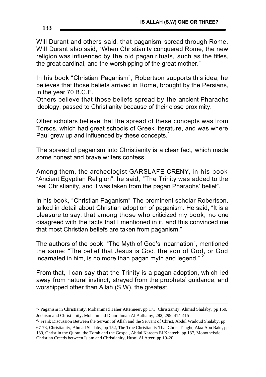Will Durant and others said, that paganism spread through Rome. Will Durant also said, "When Christianity conquered Rome, the new religion was influenced by the old pagan rituals, such as the titles, the great cardinal, and the worshipping of the great mother."

In his book "Christian Paganism", Robertson supports this idea; he believes that those beliefs arrived in Rome, brought by the Persians, in the year 70 B.C.E.

Others believe that those beliefs spread by the ancient Pharaohs ideology, passed to Christianity because of their close proximity.

Other scholars believe that the spread of these concepts was from Torsos, which had great schools of Greek literature, and was where Paul grew up and influenced by these concepts.<sup>1</sup>

The spread of paganism into Christianity is a clear fact, which made some honest and brave writers confess.

Among them, the archeologist GARSLAFE CRENY, in his book "Ancient Egyptian Religion", he said, "The Trinity was added to the real Christianity, and it was taken from the pagan Pharaohs' belief".

In his book, "Christian Paganism" The prominent scholar Robertson, talked in detail about Christian adoption of paganism. He said, "It is a pleasure to say, that among those who criticized my book, no one disagreed with the facts that I mentioned in it, and this convinced me that most Christian beliefs are taken from paganism."

The authors of the book, "The Myth of God's Incarnation", mentioned the same; "The belief that Jesus is God, the son of God, or God incarnated in him, is no more than pagan myth and legend." <sup>2</sup>

From that, I can say that the Trinity is a pagan adoption, which led away from natural instinct, strayed from the prophets' guidance, and worshipped other than Allah (S.W), the greatest.

 $\overline{a}$ 

<sup>&</sup>lt;sup>1</sup>- Paganism in Christianity, Mohammad Taher Attenneer, pp 173, Christianity, Ahmad Shalaby, pp 150, Judaism and Christianity, Mohammad Diaurahman Al Aathamy, 282, 299, 414-415

<sup>&</sup>lt;sup>2</sup>- Frank Discussion Between the Servant of Allah and the Servant of Christ, Abdul Wadoud Shalaby, pp

<sup>67-73,</sup> Christianity, Ahmad Shalaby, pp 152, The True Christianity That Christ Taught, Alaa Abu Bakr, pp 139, Christ in the Quran, the Torah and the Gospel, Abdul Kareem El Khateeb, pp 137, Monotheistic Christian Creeds between Islam and Christianity, Husni Al Ateer, pp 19-20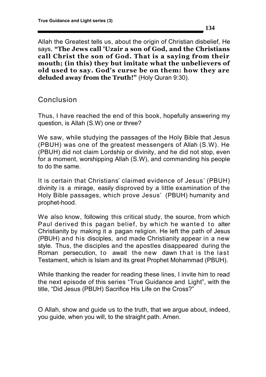Allah the Greatest tells us, about the origin of Christian disbelief, He says, **"The Jews call 'Uzair a son of God, and the Christians call Christ the son of God. That is a saying from their mouth; (in this) they but imitate what the unbelievers of old used to say. God's curse be on them: how they are deluded away from the Truth!"** (Holy Quran 9:30).

Conclusion

Thus, I have reached the end of this book, hopefully answering my question, is Allah (S.W) one or three?

We saw, while studying the passages of the Holy Bible that Jesus (PBUH) was one of the greatest messengers of Allah (S.W). He (PBUH) did not claim Lordship or divinity, and he did not stop, even for a moment, worshipping Allah (S.W), and commanding his people to do the same.

It is certain that Christians' claimed evidence of Jesus' (PBUH) divinity is a mirage, easily disproved by a little examination of the Holy Bible passages, which prove Jesus' (PBUH) humanity and prophet-hood.

We also know, following this critical study, the source, from which Paul derived this pagan belief, by which he wanted to alter Christianity by making it a pagan religion. He left the path of Jesus (PBUH) and his disciples, and made Christianity appear in a new style. Thus, the disciples and the apostles disappeared during the Roman persecution, to await the new dawn that is the last Testament, which is Islam and its great Prophet Mohammad (PBUH).

While thanking the reader for reading these lines, I invite him to read the next episode of this series "True Guidance and Light", with the title, "Did Jesus (PBUH) Sacrifice His Life on the Cross?"

O Allah, show and guide us to the truth, that we argue about, indeed, you guide, when you will, to the straight path. Amen.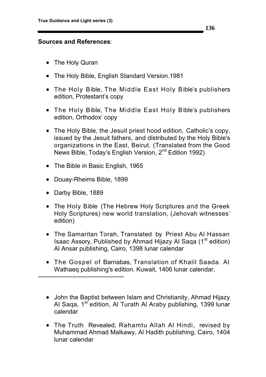#### **Sources and References**:

- The Holy Quran
- The Holy Bible, English Standard Version.1981
- The Holy Bible, The Middle East Holy Bible's publishers edition, Protestant's copy
- The Holy Bible, The Middle East Holy Bible's publishers edition, Orthodox' copy
- The Holy Bible, the Jesuit priest hood edition, Catholic's copy, issued by the Jesuit fathers, and distributed by the Holy Bible's organizations in the East, Beirut. (Translated from the Good News Bible, Today's English Version, 2<sup>nd</sup> Edition 1992)
- The Bible in Basic English, 1965
- Douay-Rheims Bible, 1899
- Darby Bible, 1889
- The Holy Bible (The Hebrew Holy Scriptures and the Greek Holy Scriptures) new world translation, (Jehovah witnesses' edition)
- The Samaritan Torah, Translated by Priest Abu Al Hassan Isaac Assory, Published by Ahmad Hijazy Al Saga (1<sup>st</sup> edition) Al Ansar publishing, Cairo, 1398 lunar calendar
- The Gospel of Barnabas, Translation of Khalil Saada. Al Wathaeq publishing's edition. Kuwait, 1406 lunar calendar,

------------------------------------------

- John the Baptist between Islam and Christianity, Ahmad Hijazy Al Saqa, 1st edition, Al Turath Al Araby publishing, 1399 lunar calendar
- The Truth Revealed, Rahamtu Allah Al Hindi, revised by Muhammad Ahmad Malkawy, Al Hadith publishing, Cairo, 1404 lunar calendar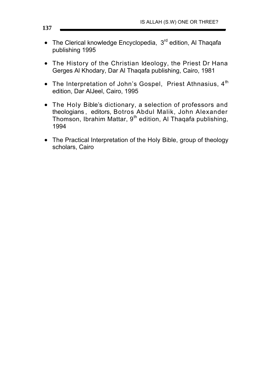- $\bullet$  The Clerical knowledge Encyclopedia,  $3<sup>rd</sup>$  edition, Al Thaqafa publishing 1995
- The History of the Christian Ideology, the Priest Dr Hana Gerges Al Khodary, Dar Al Thaqafa publishing, Cairo, 1981
- The Interpretation of John's Gospel, Priest Athnasius,  $4<sup>th</sup>$ edition, Dar AlJeel, Cairo, 1995
- The Holy Bible's dictionary, a selection of professors and theologians, editors, Botros Abdul Malik, John Alexander Thomson, Ibrahim Mattar,  $9<sup>th</sup>$  edition, Al Thaqafa publishing, 1994
- The Practical Interpretation of the Holy Bible, group of theology scholars, Cairo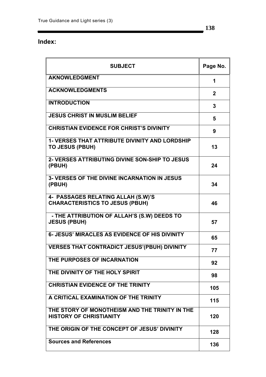#### **Index:**

| <b>SUBJECT</b>                                                                   | Page No.    |
|----------------------------------------------------------------------------------|-------------|
| <b>AKNOWLEDGMENT</b>                                                             | 1           |
| <b>ACKNOWLEDGMENTS</b>                                                           | $\mathbf 2$ |
| <b>INTRODUCTION</b>                                                              | 3           |
| <b>JESUS CHRIST IN MUSLIM BELIEF</b>                                             | 5           |
| <b>CHRISTIAN EVIDENCE FOR CHRIST'S DIVINITY</b>                                  | 9           |
| <b>1- VERSES THAT ATTRIBUTE DIVINITY AND LORDSHIP</b><br><b>TO JESUS (PBUH)</b>  | 13          |
| 2- VERSES ATTRIBUTING DIVINE SON-SHIP TO JESUS<br>(PBUH)                         | 24          |
| <b>3- VERSES OF THE DIVINE INCARNATION IN JESUS</b><br>(PBUH)                    | 34          |
| 4- PASSAGES RELATING ALLAH (S.W)'S<br><b>CHARACTERISTICS TO JESUS (PBUH)</b>     | 46          |
| - THE ATTRIBUTION OF ALLAH'S (S.W) DEEDS TO<br><b>JESUS (PBUH)</b>               | 57          |
| 6- JESUS' MIRACLES AS EVIDENCE OF HIS DIVINITY                                   | 65          |
| <b>VERSES THAT CONTRADICT JESUS'(PBUH) DIVINITY</b>                              | 77          |
| THE PURPOSES OF INCARNATION                                                      | 92          |
| THE DIVINITY OF THE HOLY SPIRIT                                                  | 98          |
| <b>CHRISTIAN EVIDENCE OF THE TRINITY</b>                                         | 105         |
| A CRITICAL EXAMINATION OF THE TRINITY                                            | 115         |
| THE STORY OF MONOTHEISM AND THE TRINITY IN THE<br><b>HISTORY OF CHRISTIANITY</b> | 120         |
| THE ORIGIN OF THE CONCEPT OF JESUS' DIVINITY                                     | 128         |
| <b>Sources and References</b>                                                    | 136         |